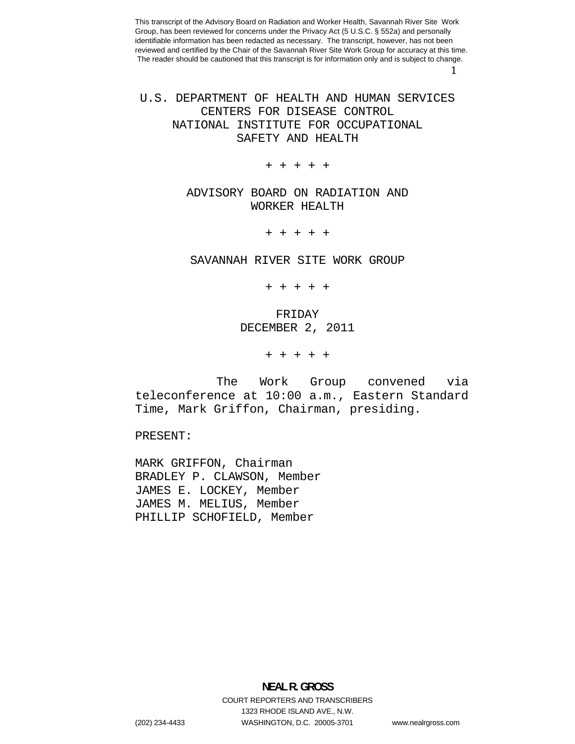1 

U.S. DEPARTMENT OF HEALTH AND HUMAN SERVICES CENTERS FOR DISEASE CONTROL NATIONAL INSTITUTE FOR OCCUPATIONAL SAFETY AND HEALTH

+ + + + +

# ADVISORY BOARD ON RADIATION AND WORKER HEALTH

+ + + + +

SAVANNAH RIVER SITE WORK GROUP

+ + + + +

# FRIDAY DECEMBER 2, 2011

+ + + + +

The Work Group convened via teleconference at 10:00 a.m., Eastern Standard Time, Mark Griffon, Chairman, presiding.

PRESENT:

MARK GRIFFON, Chairman BRADLEY P. CLAWSON, Member JAMES E. LOCKEY, Member JAMES M. MELIUS, Member PHILLIP SCHOFIELD, Member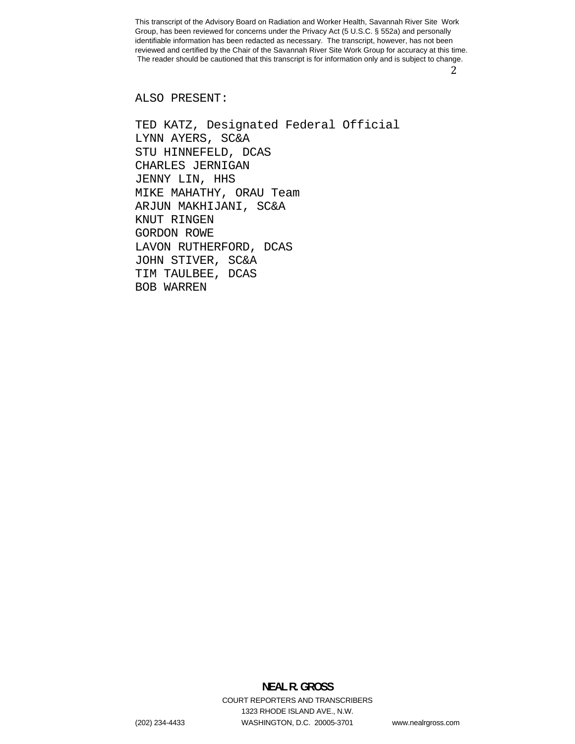2 

ALSO PRESENT:

TED KATZ, Designated Federal Official LYNN AYERS, SC&A STU HINNEFELD, DCAS CHARLES JERNIGAN JENNY LIN, HHS MIKE MAHATHY, ORAU Team ARJUN MAKHIJANI, SC&A KNUT RINGEN GORDON ROWE LAVON RUTHERFORD, DCAS JOHN STIVER, SC&A TIM TAULBEE, DCAS BOB WARREN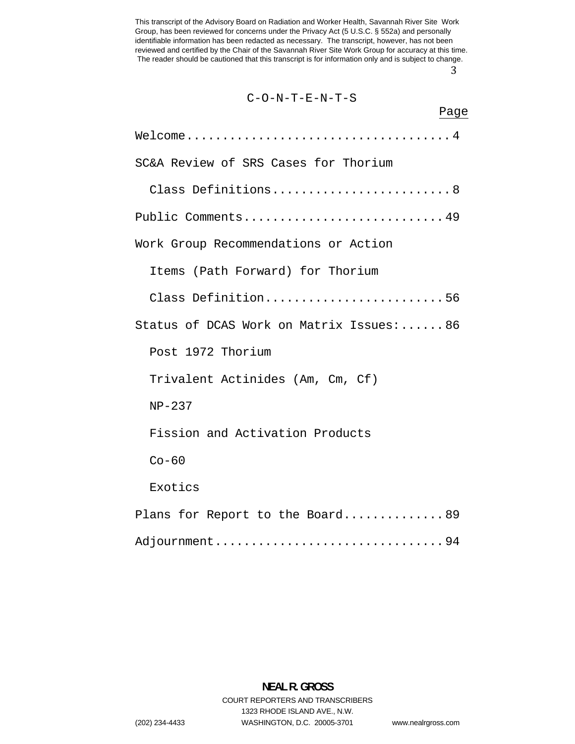3 

| $C-O-N-T-E-N-T-S$                       |  |
|-----------------------------------------|--|
| Page                                    |  |
|                                         |  |
| SC&A Review of SRS Cases for Thorium    |  |
| Class Definitions8                      |  |
| Public Comments49                       |  |
| Work Group Recommendations or Action    |  |
| Items (Path Forward) for Thorium        |  |
| Class Definition56                      |  |
| Status of DCAS Work on Matrix Issues:86 |  |
| Post 1972 Thorium                       |  |
| Trivalent Actinides (Am, Cm, Cf)        |  |
| $NP-237$                                |  |
| Fission and Activation Products         |  |
| $Co-60$                                 |  |
| Exotics                                 |  |
| Plans for Report to the Board89         |  |
| Adjournment94                           |  |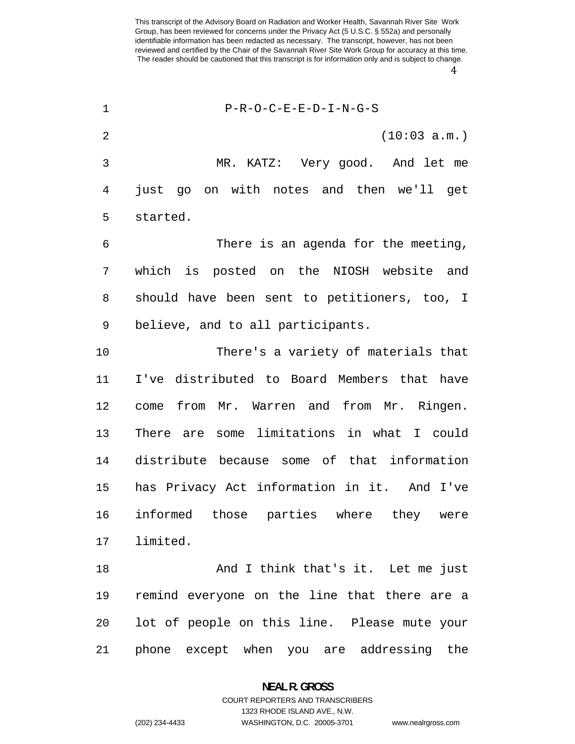| $\mathbf 1$    | $P-R-O-C-E-E-D-I-N-G-S$                      |
|----------------|----------------------------------------------|
| $\overline{2}$ | (10:03 a.m.)                                 |
| 3              | MR. KATZ: Very good. And let me              |
| 4              | just go on with notes and then we'll get     |
| 5              | started.                                     |
| 6              | There is an agenda for the meeting,          |
| 7              | which is posted on the NIOSH website and     |
| 8              | should have been sent to petitioners, too, I |
| 9              | believe, and to all participants.            |
| 10             | There's a variety of materials that          |
| 11             | I've distributed to Board Members that have  |
| 12             | come from Mr. Warren and from Mr. Ringen.    |
| 13             | There are some limitations in what I could   |
| 14             | distribute because some of that information  |
| 15             | has Privacy Act information in it. And I've  |
| 16             | informed those parties where they were       |
| 17             | limited.                                     |
| 18             | And I think that's it. Let me just           |
| 19             | remind everyone on the line that there are a |
| 20             | lot of people on this line. Please mute your |
| 21             | phone except when you are addressing the     |

**NEAL R. GROSS**  COURT REPORTERS AND TRANSCRIBERS

1323 RHODE ISLAND AVE., N.W.

(202) 234-4433 WASHINGTON, D.C. 20005-3701 www.nealrgross.com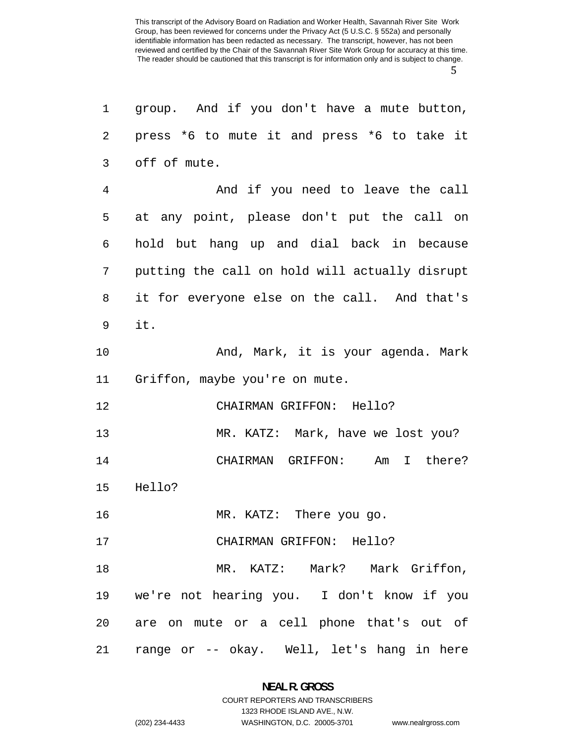| 1  | group. And if you don't have a mute button,    |
|----|------------------------------------------------|
| 2  | press *6 to mute it and press *6 to take it    |
| 3  | off of mute.                                   |
| 4  | And if you need to leave the call              |
| 5  | at any point, please don't put the call on     |
| 6  | hold but hang up and dial back in because      |
| 7  | putting the call on hold will actually disrupt |
| 8  | it for everyone else on the call. And that's   |
| 9  | it.                                            |
| 10 | And, Mark, it is your agenda. Mark             |
| 11 | Griffon, maybe you're on mute.                 |
| 12 | CHAIRMAN GRIFFON: Hello?                       |
| 13 | MR. KATZ: Mark, have we lost you?              |
| 14 | CHAIRMAN GRIFFON:<br>Am I there?               |
| 15 | Hello?                                         |
| 16 | MR. KATZ: There you go.                        |
| 17 | CHAIRMAN GRIFFON: Hello?                       |
| 18 | MR. KATZ: Mark? Mark Griffon,                  |
| 19 | we're not hearing you. I don't know if you     |
|    | 20 are on mute or a cell phone that's out of   |
| 21 | range or -- okay. Well, let's hang in here     |

## **NEAL R. GROSS**  COURT REPORTERS AND TRANSCRIBERS

1323 RHODE ISLAND AVE., N.W.

(202) 234-4433 WASHINGTON, D.C. 20005-3701 www.nealrgross.com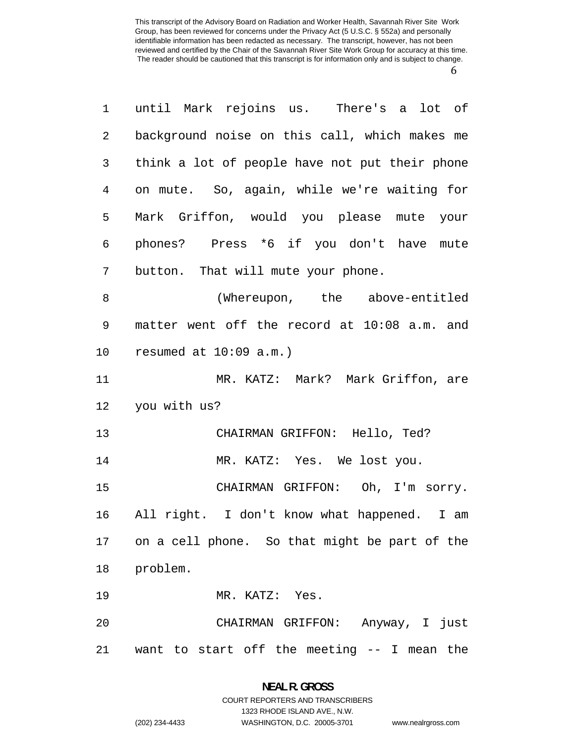| $\mathbf 1$    | until Mark rejoins us. There's a lot of          |
|----------------|--------------------------------------------------|
| 2              | background noise on this call, which makes me    |
| 3              | think a lot of people have not put their phone   |
| $\overline{4}$ | on mute. So, again, while we're waiting for      |
| 5              | Mark Griffon, would you please mute your         |
| 6              | phones? Press *6 if you don't have mute          |
| 7              | button. That will mute your phone.               |
| 8              | (Whereupon, the above-entitled                   |
| 9              | matter went off the record at 10:08 a.m. and     |
| 10             | resumed at $10:09$ a.m.)                         |
| 11             | MR. KATZ: Mark? Mark Griffon, are                |
| 12             | you with us?                                     |
| 13             | CHAIRMAN GRIFFON: Hello, Ted?                    |
| 14             | MR. KATZ: Yes. We lost you.                      |
| 15             | CHAIRMAN GRIFFON: Oh, I'm sorry.                 |
| 16             | All right. I don't know what happened. I am      |
|                | 17 on a cell phone. So that might be part of the |
| 18             | problem.                                         |
| 19             | MR. KATZ: Yes.                                   |
| 20             | CHAIRMAN GRIFFON: Anyway, I just                 |
| 21             | want to start off the meeting -- I mean the      |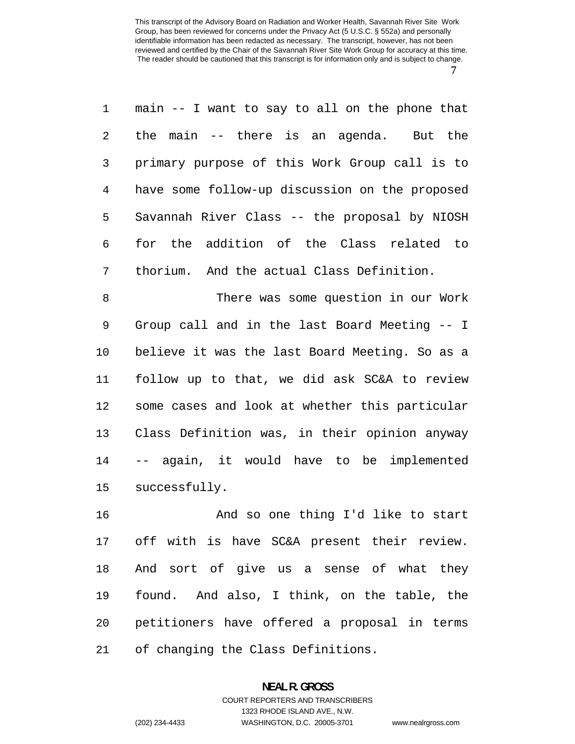main -- I want to say to all on the phone that the main -- there is an agenda. But the primary purpose of this Work Group call is to have some follow-up discussion on the proposed Savannah River Class -- the proposal by NIOSH for the addition of the Class related to thorium. And the actual Class Definition.

There was some question in our Work Group call and in the last Board Meeting -- I believe it was the last Board Meeting. So as a follow up to that, we did ask SC&A to review some cases and look at whether this particular Class Definition was, in their opinion anyway -- again, it would have to be implemented successfully.

And so one thing I'd like to start off with is have SC&A present their review. And sort of give us a sense of what they found. And also, I think, on the table, the petitioners have offered a proposal in terms of changing the Class Definitions.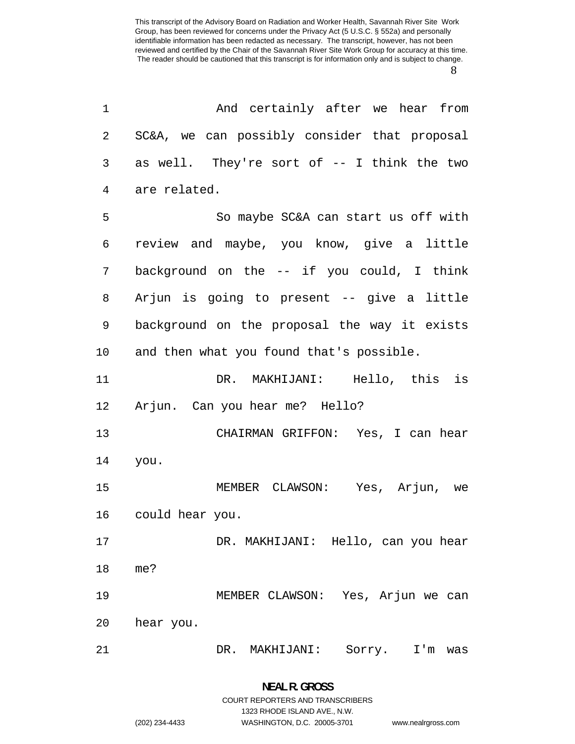| 1  | And certainly after we hear from             |
|----|----------------------------------------------|
| 2  | SC&A, we can possibly consider that proposal |
| 3  | as well. They're sort of -- I think the two  |
| 4  | are related.                                 |
| 5  | So maybe SC&A can start us off with          |
| 6  | review and maybe, you know, give a little    |
| 7  | background on the -- if you could, I think   |
| 8  | Arjun is going to present -- give a little   |
| 9  | background on the proposal the way it exists |
| 10 | and then what you found that's possible.     |
| 11 | DR. MAKHIJANI: Hello, this is                |
| 12 | Arjun. Can you hear me? Hello?               |
| 13 | CHAIRMAN GRIFFON: Yes, I can hear            |
| 14 | you.                                         |
| 15 | MEMBER CLAWSON: Yes, Arjun, we               |
| 16 | could hear you.                              |
| 17 | DR. MAKHIJANI: Hello, can you hear           |
| 18 | me?                                          |
| 19 | MEMBER CLAWSON: Yes, Arjun we can            |
| 20 | hear you.                                    |
| 21 | DR. MAKHIJANI:<br>Sorry.<br>$I'$ m<br>was    |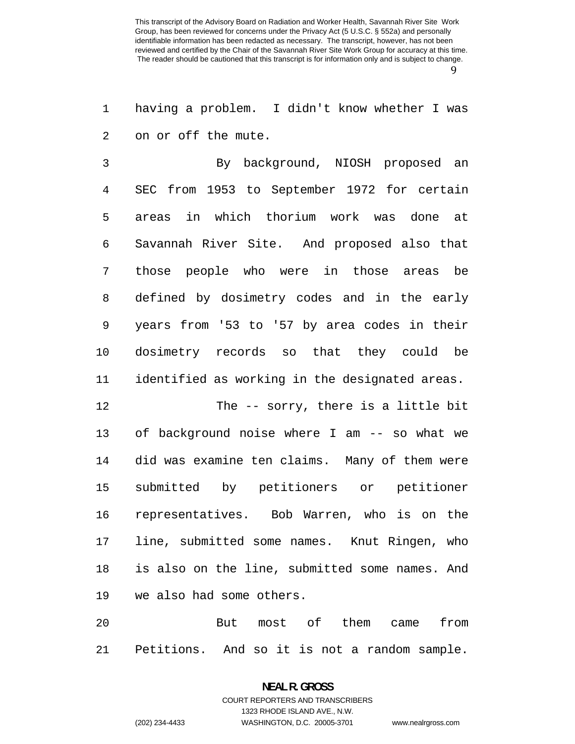having a problem. I didn't know whether I was on or off the mute.

By background, NIOSH proposed an SEC from 1953 to September 1972 for certain areas in which thorium work was done at Savannah River Site. And proposed also that those people who were in those areas be defined by dosimetry codes and in the early years from '53 to '57 by area codes in their dosimetry records so that they could be identified as working in the designated areas.

The -- sorry, there is a little bit of background noise where I am -- so what we did was examine ten claims. Many of them were submitted by petitioners or petitioner representatives. Bob Warren, who is on the line, submitted some names. Knut Ringen, who is also on the line, submitted some names. And we also had some others.

20 But most of them came from Petitions. And so it is not a random sample.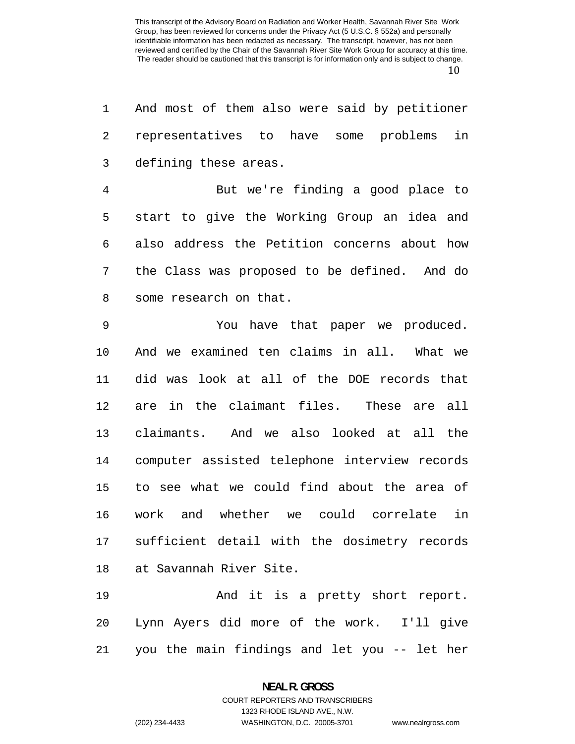And most of them also were said by petitioner representatives to have some problems in defining these areas. But we're finding a good place to start to give the Working Group an idea and also address the Petition concerns about how the Class was proposed to be defined. And do some research on that. You have that paper we produced. And we examined ten claims in all. What we did was look at all of the DOE records that are in the claimant files. These are all claimants. And we also looked at all the computer assisted telephone interview records to see what we could find about the area of work and whether we could correlate in sufficient detail with the dosimetry records at Savannah River Site. And it is a pretty short report. Lynn Ayers did more of the work. I'll give

you the main findings and let you -- let her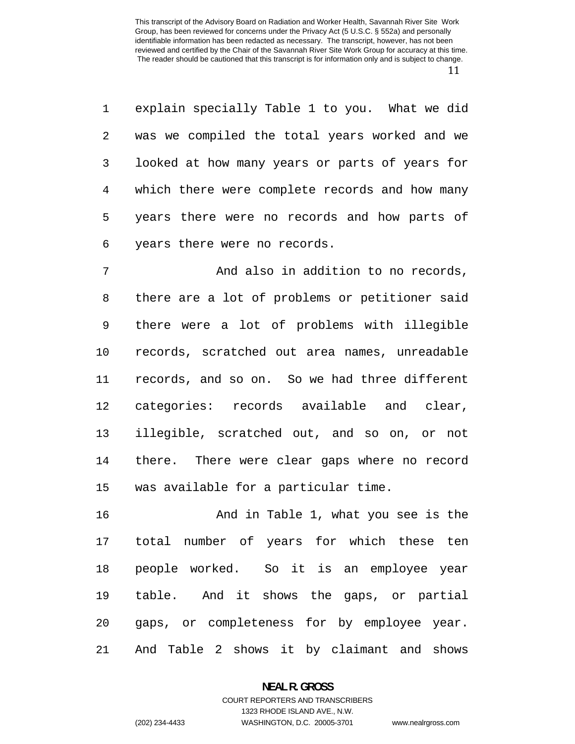explain specially Table 1 to you. What we did was we compiled the total years worked and we looked at how many years or parts of years for which there were complete records and how many years there were no records and how parts of years there were no records.

And also in addition to no records, there are a lot of problems or petitioner said there were a lot of problems with illegible records, scratched out area names, unreadable records, and so on. So we had three different categories: records available and clear, illegible, scratched out, and so on, or not there. There were clear gaps where no record was available for a particular time.

And in Table 1, what you see is the total number of years for which these ten people worked. So it is an employee year table. And it shows the gaps, or partial gaps, or completeness for by employee year. And Table 2 shows it by claimant and shows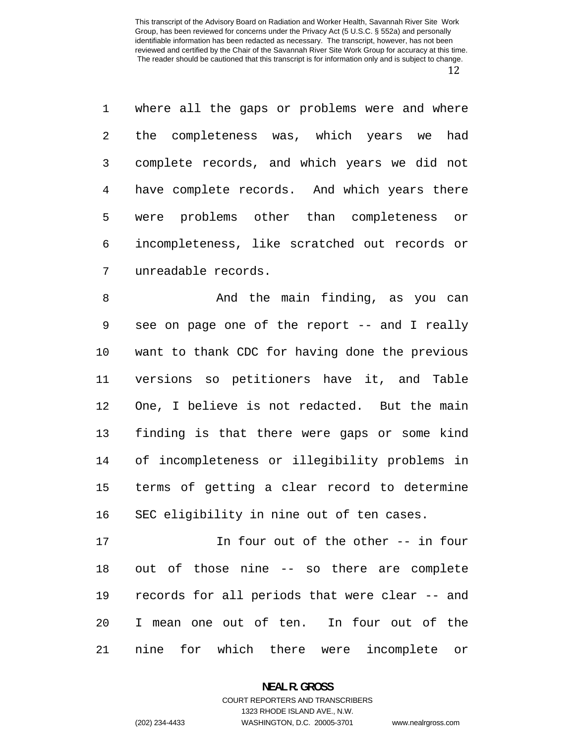where all the gaps or problems were and where the completeness was, which years we had complete records, and which years we did not have complete records. And which years there were problems other than completeness or incompleteness, like scratched out records or unreadable records.

And the main finding, as you can see on page one of the report -- and I really want to thank CDC for having done the previous versions so petitioners have it, and Table One, I believe is not redacted. But the main finding is that there were gaps or some kind of incompleteness or illegibility problems in terms of getting a clear record to determine SEC eligibility in nine out of ten cases.

In four out of the other -- in four out of those nine -- so there are complete records for all periods that were clear -- and I mean one out of ten. In four out of the nine for which there were incomplete or

> **NEAL R. GROSS**  COURT REPORTERS AND TRANSCRIBERS

1323 RHODE ISLAND AVE., N.W. (202) 234-4433 WASHINGTON, D.C. 20005-3701 www.nealrgross.com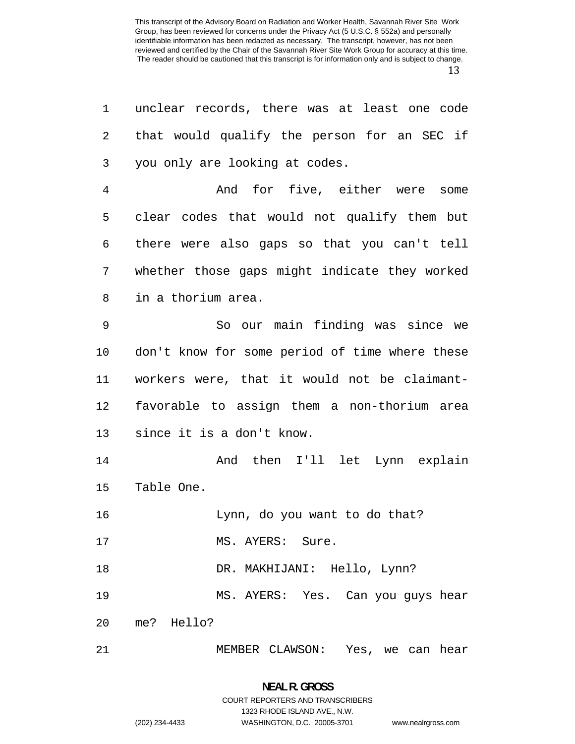| 1  | unclear records, there was at least one code   |
|----|------------------------------------------------|
| 2  | that would qualify the person for an SEC if    |
| 3  | you only are looking at codes.                 |
| 4  | And for five, either were some                 |
| 5  | clear codes that would not qualify them but    |
| 6  | there were also gaps so that you can't tell    |
| 7  | whether those gaps might indicate they worked  |
| 8  | in a thorium area.                             |
| 9  | So our main finding was since we               |
| 10 | don't know for some period of time where these |
| 11 | workers were, that it would not be claimant-   |
| 12 | favorable to assign them a non-thorium area    |
| 13 | since it is a don't know.                      |
| 14 | And then I'll let Lynn explain                 |
| 15 | Table One.                                     |
| 16 | Lynn, do you want to do that?                  |
| 17 | MS. AYERS: Sure.                               |
| 18 | DR. MAKHIJANI: Hello, Lynn?                    |
| 19 | MS. AYERS: Yes. Can you guys hear              |
| 20 | me? Hello?                                     |
| 21 | MEMBER CLAWSON: Yes, we can hear               |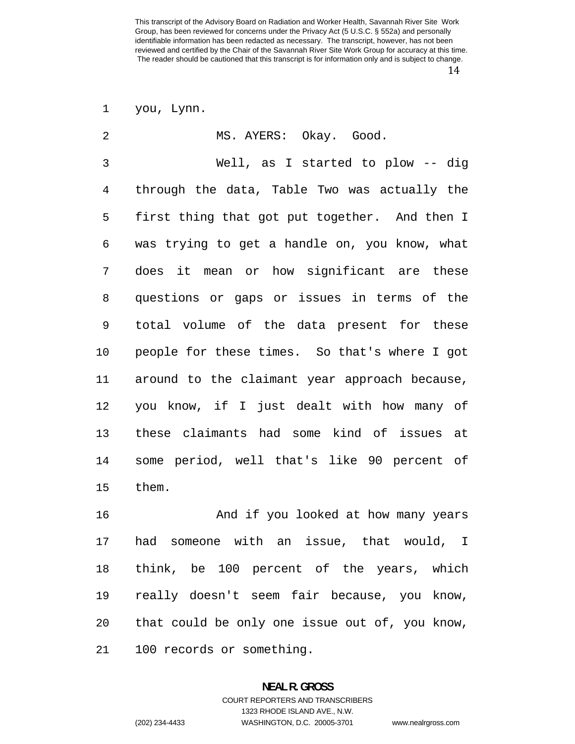you, Lynn.

| $\overline{2}$ | MS. AYERS: Okay. Good.                        |
|----------------|-----------------------------------------------|
| 3              | Well, as I started to plow -- dig             |
| $\overline{4}$ | through the data, Table Two was actually the  |
| 5              | first thing that got put together. And then I |
| 6              | was trying to get a handle on, you know, what |
| 7              | does it mean or how significant are these     |
| 8              | questions or gaps or issues in terms of the   |
| 9              | total volume of the data present for these    |
| 10             | people for these times. So that's where I got |
| 11             | around to the claimant year approach because, |
| 12             | you know, if I just dealt with how many of    |
| 13             | these claimants had some kind of issues at    |
| 14             | some period, well that's like 90 percent of   |
| 15             | them.                                         |
| 16             | And if you looked at how many years           |
|                |                                               |

think, be 100 percent of the years, which really doesn't seem fair because, you know, that could be only one issue out of, you know,

100 records or something.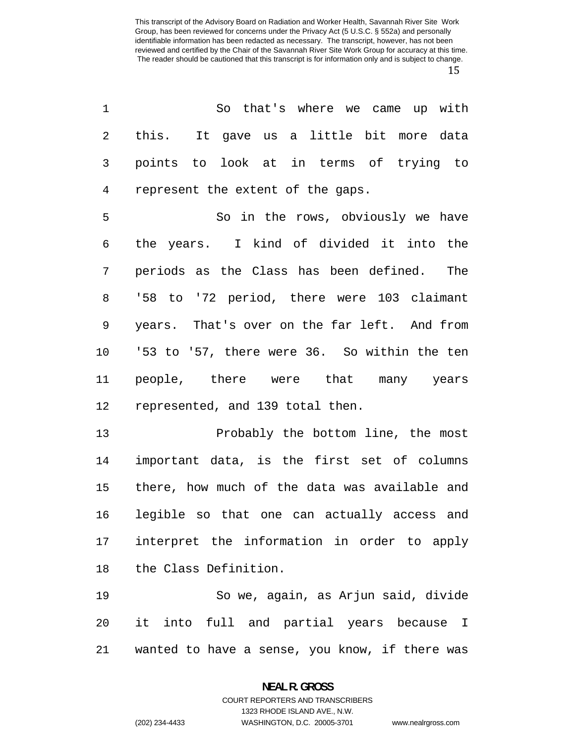So that's where we came up with this. It gave us a little bit more data points to look at in terms of trying to represent the extent of the gaps. So in the rows, obviously we have the years. I kind of divided it into the periods as the Class has been defined. The '58 to '72 period, there were 103 claimant years. That's over on the far left. And from '53 to '57, there were 36. So within the ten people, there were that many years represented, and 139 total then. Probably the bottom line, the most important data, is the first set of columns there, how much of the data was available and legible so that one can actually access and interpret the information in order to apply

the Class Definition.

So we, again, as Arjun said, divide it into full and partial years because I wanted to have a sense, you know, if there was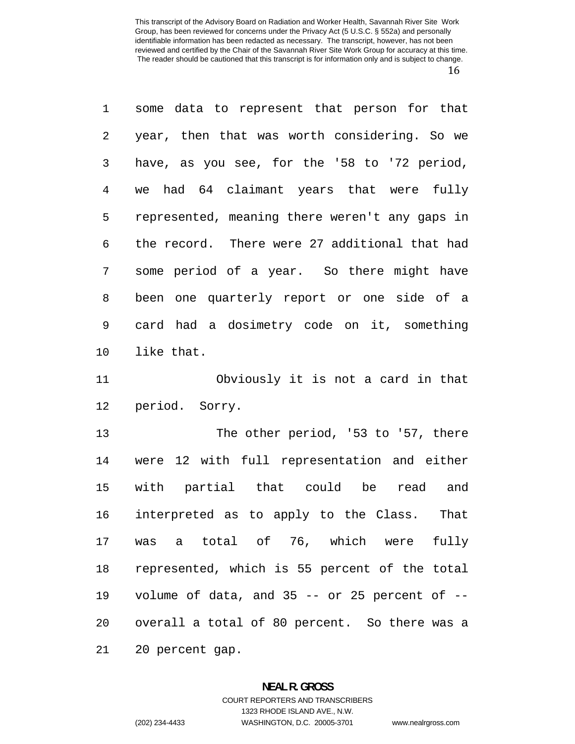some data to represent that person for that year, then that was worth considering. So we have, as you see, for the '58 to '72 period, we had 64 claimant years that were fully represented, meaning there weren't any gaps in the record. There were 27 additional that had some period of a year. So there might have been one quarterly report or one side of a card had a dosimetry code on it, something like that.

Obviously it is not a card in that period. Sorry.

The other period, '53 to '57, there were 12 with full representation and either with partial that could be read and interpreted as to apply to the Class. That was a total of 76, which were fully represented, which is 55 percent of the total volume of data, and 35 -- or 25 percent of -- overall a total of 80 percent. So there was a 20 percent gap.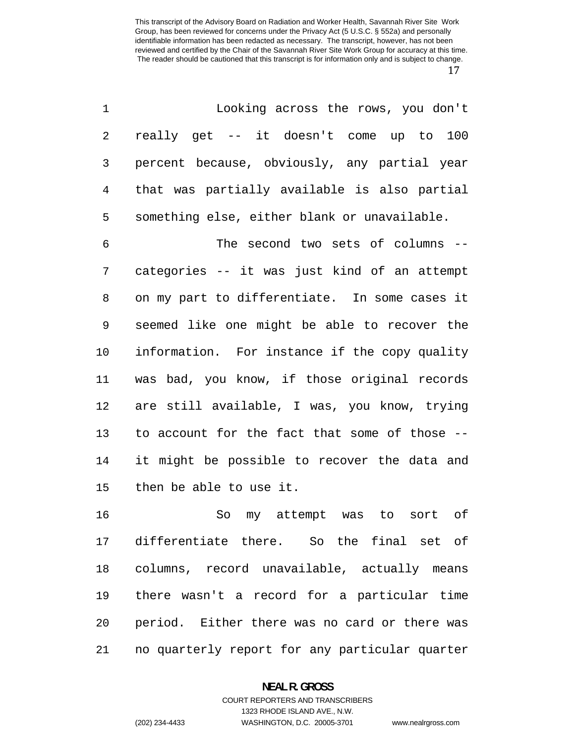| $\mathbf{1}$ | Looking across the rows, you don't           |
|--------------|----------------------------------------------|
| $2^{\circ}$  | really get -- it doesn't come up to 100      |
| $3 \sim$     | percent because, obviously, any partial year |
| 4            | that was partially available is also partial |
| 5            | something else, either blank or unavailable. |

The second two sets of columns -- categories -- it was just kind of an attempt on my part to differentiate. In some cases it seemed like one might be able to recover the information. For instance if the copy quality was bad, you know, if those original records are still available, I was, you know, trying to account for the fact that some of those -- it might be possible to recover the data and then be able to use it.

So my attempt was to sort of differentiate there. So the final set of columns, record unavailable, actually means there wasn't a record for a particular time period. Either there was no card or there was no quarterly report for any particular quarter

### **NEAL R. GROSS**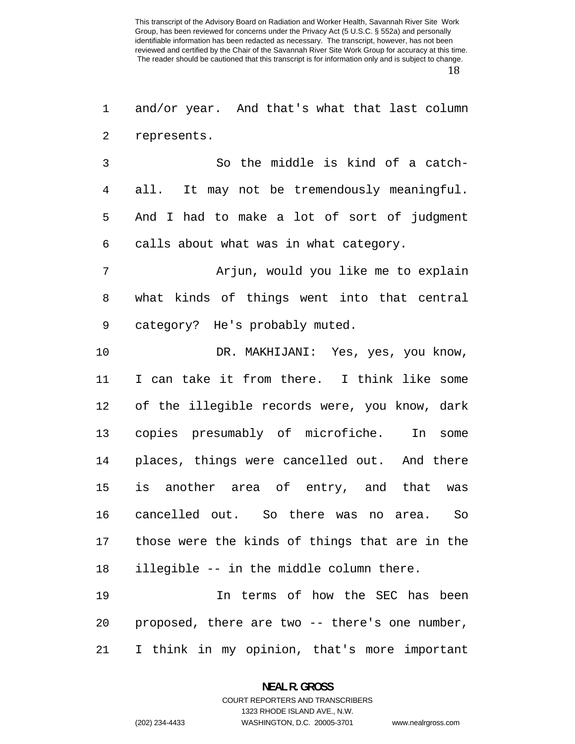and/or year. And that's what that last column represents.

So the middle is kind of a catch-all. It may not be tremendously meaningful. And I had to make a lot of sort of judgment calls about what was in what category.

Arjun, would you like me to explain what kinds of things went into that central category? He's probably muted.

DR. MAKHIJANI: Yes, yes, you know, I can take it from there. I think like some of the illegible records were, you know, dark copies presumably of microfiche. In some places, things were cancelled out. And there is another area of entry, and that was cancelled out. So there was no area. So those were the kinds of things that are in the illegible -- in the middle column there.

In terms of how the SEC has been proposed, there are two -- there's one number, I think in my opinion, that's more important

> **NEAL R. GROSS**  COURT REPORTERS AND TRANSCRIBERS

> > 1323 RHODE ISLAND AVE., N.W.

(202) 234-4433 WASHINGTON, D.C. 20005-3701 www.nealrgross.com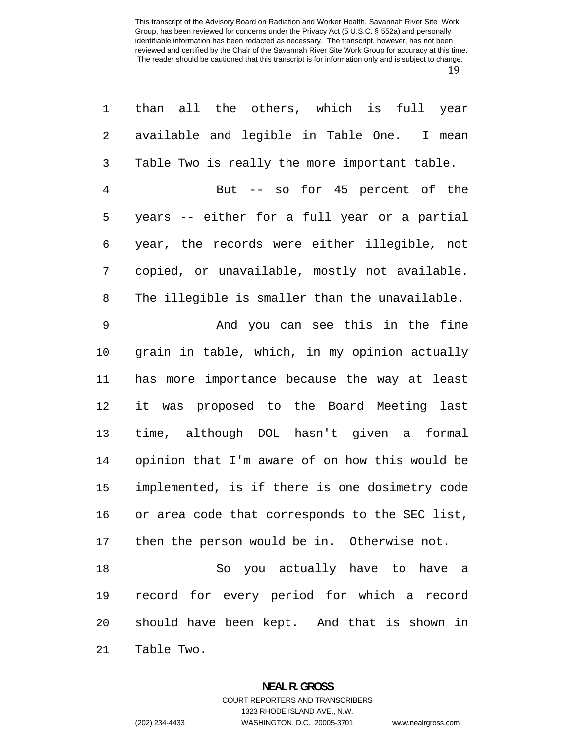| $\mathbf{1}$   | than all the others, which is full year        |
|----------------|------------------------------------------------|
| 2              | available and legible in Table One. I mean     |
| 3              | Table Two is really the more important table.  |
| $\overline{4}$ | But -- so for 45 percent of the                |
| 5              | years -- either for a full year or a partial   |
| 6              | year, the records were either illegible, not   |
| 7              | copied, or unavailable, mostly not available.  |
| 8              | The illegible is smaller than the unavailable. |
| 9              | And you can see this in the fine               |
| 10             | grain in table, which, in my opinion actually  |
| 11             | has more importance because the way at least   |
| 12             | it was proposed to the Board Meeting last      |
| 13             | time, although DOL hasn't given a formal       |
| 14             | opinion that I'm aware of on how this would be |
| 15             | implemented, is if there is one dosimetry code |
| 16             | or area code that corresponds to the SEC list, |
|                | 17 then the person would be in. Otherwise not. |
| 18             | So you actually have to have a                 |
| 19             | record for every period for which a record     |
| 20             | should have been kept. And that is shown in    |
| 21             | Table Two.                                     |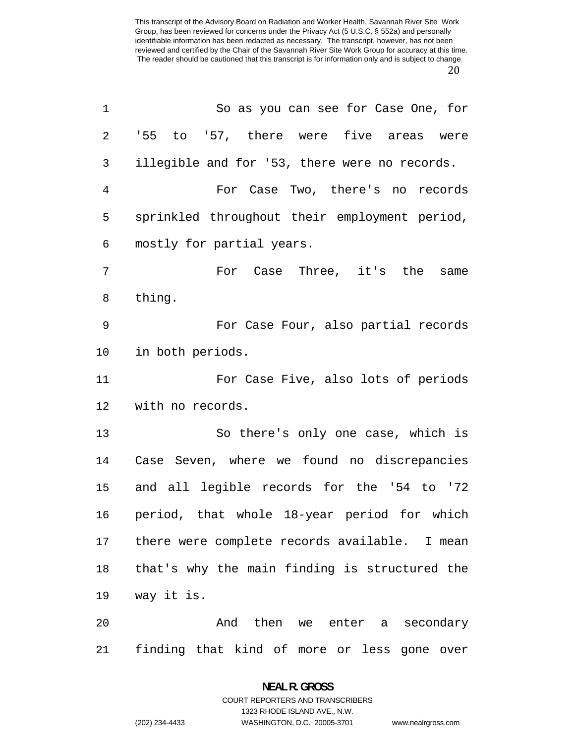| 1       | So as you can see for Case One, for            |
|---------|------------------------------------------------|
| 2       | '55 to '57, there were five areas were         |
| 3       | illegible and for '53, there were no records.  |
| 4       | For Case Two, there's no records               |
| 5       | sprinkled throughout their employment period,  |
| 6       | mostly for partial years.                      |
| 7       | For Case Three, it's the<br>same               |
| 8       | thing.                                         |
| 9       | For Case Four, also partial records            |
| $10 \,$ | in both periods.                               |
| 11      | For Case Five, also lots of periods            |
| 12      | with no records.                               |
| 13      | So there's only one case, which is             |
| 14      | Case Seven, where we found no discrepancies    |
| 15      | and all legible records for the '54 to '72     |
| 16      | period, that whole 18-year period for which    |
| 17      | there were complete records available. I mean  |
| 18      | that's why the main finding is structured the  |
| 19      | way it is.                                     |
| 20      | And then we enter a secondary                  |
| 21      | finding that kind of more or less<br>gone over |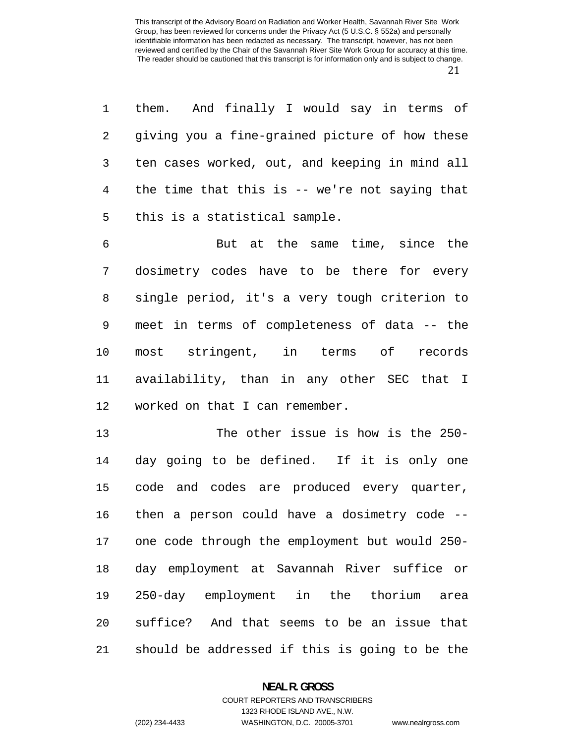them. And finally I would say in terms of giving you a fine-grained picture of how these ten cases worked, out, and keeping in mind all the time that this is -- we're not saying that this is a statistical sample.

But at the same time, since the dosimetry codes have to be there for every single period, it's a very tough criterion to meet in terms of completeness of data -- the most stringent, in terms of records availability, than in any other SEC that I worked on that I can remember.

The other issue is how is the 250- day going to be defined. If it is only one code and codes are produced every quarter, then a person could have a dosimetry code -- one code through the employment but would 250- day employment at Savannah River suffice or 250-day employment in the thorium area suffice? And that seems to be an issue that should be addressed if this is going to be the

# **NEAL R. GROSS**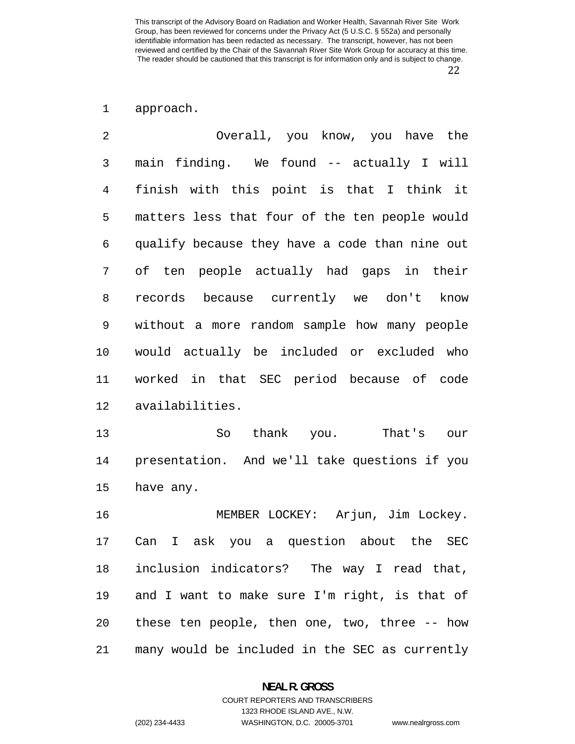approach.

| 2  | Overall, you know, you have the                  |
|----|--------------------------------------------------|
| 3  | main finding. We found -- actually I will        |
| 4  | finish with this point is that I think it        |
| 5  | matters less that four of the ten people would   |
| 6  | qualify because they have a code than nine out   |
| 7  | of ten people actually had gaps in their         |
| 8  | records because currently we don't know          |
| 9  | without a more random sample how many people     |
| 10 | would actually be included or excluded who       |
| 11 | worked in that SEC period because of code        |
| 12 | availabilities.                                  |
| 13 | thank you.<br>That's our<br>So                   |
| 14 | presentation. And we'll take questions if you    |
| 15 | have any.                                        |
| 16 | MEMBER LOCKEY: Arjun, Jim Lockey.                |
| 17 | a question about the SEC<br>Can<br>ask you<br>I. |
| 18 | inclusion indicators? The way I read that,       |
| 19 | and I want to make sure I'm right, is that of    |
| 20 | these ten people, then one, two, three -- how    |
| 21 | many would be included in the SEC as currently   |

**NEAL R. GROSS**  COURT REPORTERS AND TRANSCRIBERS

1323 RHODE ISLAND AVE., N.W.

(202) 234-4433 WASHINGTON, D.C. 20005-3701 www.nealrgross.com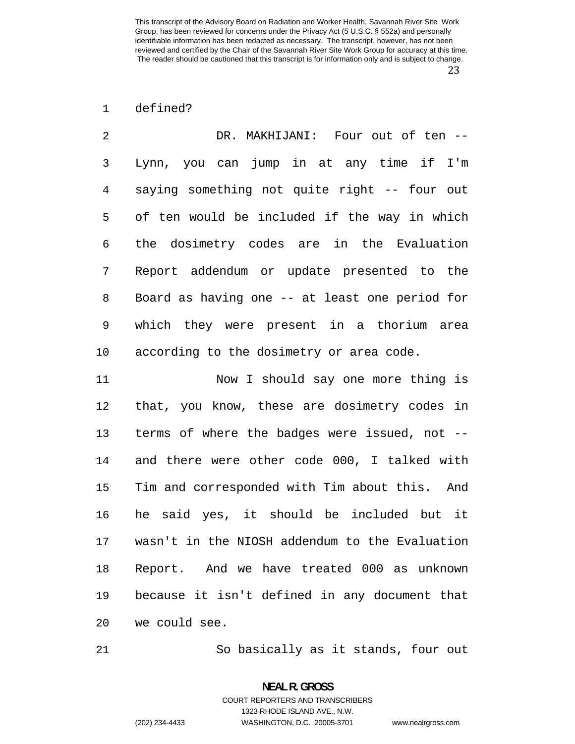# defined?

| 2              | DR. MAKHIJANI: Four out of ten --              |
|----------------|------------------------------------------------|
| 3              | Lynn, you can jump in at any time if I'm       |
| $\overline{4}$ | saying something not quite right -- four out   |
| 5              | of ten would be included if the way in which   |
| 6              | the dosimetry codes are in the Evaluation      |
| 7              | Report addendum or update presented to the     |
| 8              | Board as having one -- at least one period for |
| 9              | which they were present in a thorium area      |
| 10             | according to the dosimetry or area code.       |

Now I should say one more thing is that, you know, these are dosimetry codes in terms of where the badges were issued, not -- and there were other code 000, I talked with Tim and corresponded with Tim about this. And he said yes, it should be included but it wasn't in the NIOSH addendum to the Evaluation Report. And we have treated 000 as unknown because it isn't defined in any document that we could see.

So basically as it stands, four out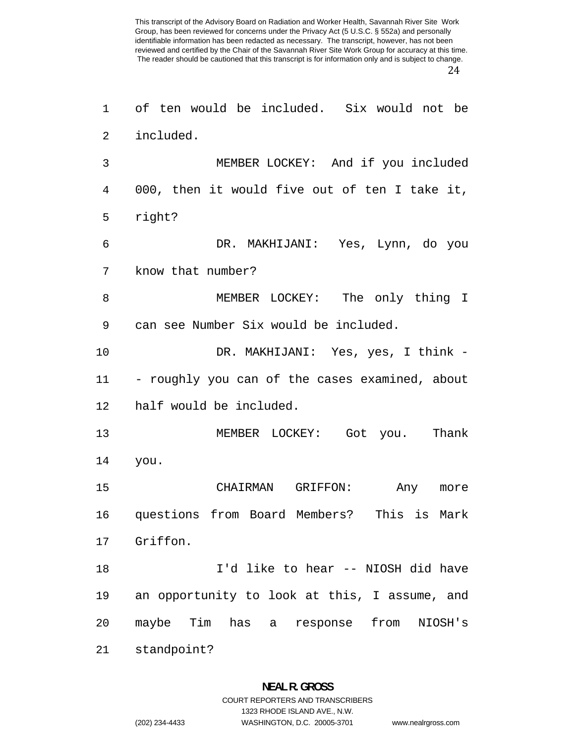of ten would be included. Six would not be

MEMBER LOCKEY: And if you included 000, then it would five out of ten I take it, DR. MAKHIJANI: Yes, Lynn, do you MEMBER LOCKEY: The only thing I can see Number Six would be included.

DR. MAKHIJANI: Yes, yes, I think - - roughly you can of the cases examined, about half would be included.

MEMBER LOCKEY: Got you. Thank you.

CHAIRMAN GRIFFON: Any more questions from Board Members? This is Mark Griffon. I'd like to hear -- NIOSH did have

an opportunity to look at this, I assume, and maybe Tim has a response from NIOSH's

standpoint?

included.

right?

know that number?

## **NEAL R. GROSS**  COURT REPORTERS AND TRANSCRIBERS

1323 RHODE ISLAND AVE., N.W.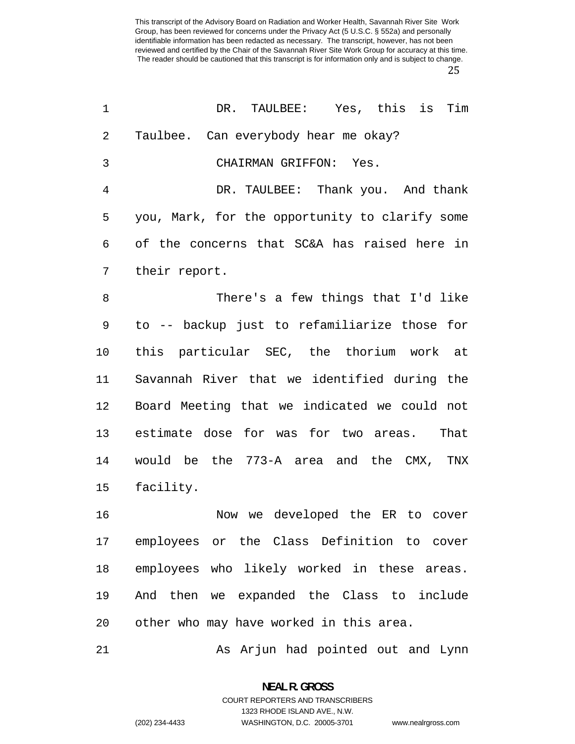| 1  | DR. TAULBEE: Yes, this is Tim                  |
|----|------------------------------------------------|
| 2  | Taulbee. Can everybody hear me okay?           |
| 3  | CHAIRMAN GRIFFON: Yes.                         |
| 4  | DR. TAULBEE: Thank you. And thank              |
| 5  | you, Mark, for the opportunity to clarify some |
| 6  | of the concerns that SC&A has raised here in   |
| 7  | their report.                                  |
| 8  | There's a few things that I'd like             |
| 9  | to -- backup just to refamiliarize those for   |
| 10 | this particular SEC, the thorium work at       |
| 11 | Savannah River that we identified during the   |
| 12 | Board Meeting that we indicated we could not   |
| 13 | estimate dose for was for two areas.<br>That   |
| 14 | would be the 773-A area and the CMX, TNX       |
| 15 | facility.                                      |
| 16 | Now we developed the ER to cover               |
| 17 | employees or the Class Definition to cover     |
| 18 | employees who likely worked in these areas.    |
| 19 | And then we expanded the Class to include      |
| 20 | other who may have worked in this area.        |
| 21 | As Arjun had pointed out and Lynn              |

**NEAL R. GROSS**  COURT REPORTERS AND TRANSCRIBERS

1323 RHODE ISLAND AVE., N.W.

(202) 234-4433 WASHINGTON, D.C. 20005-3701 www.nealrgross.com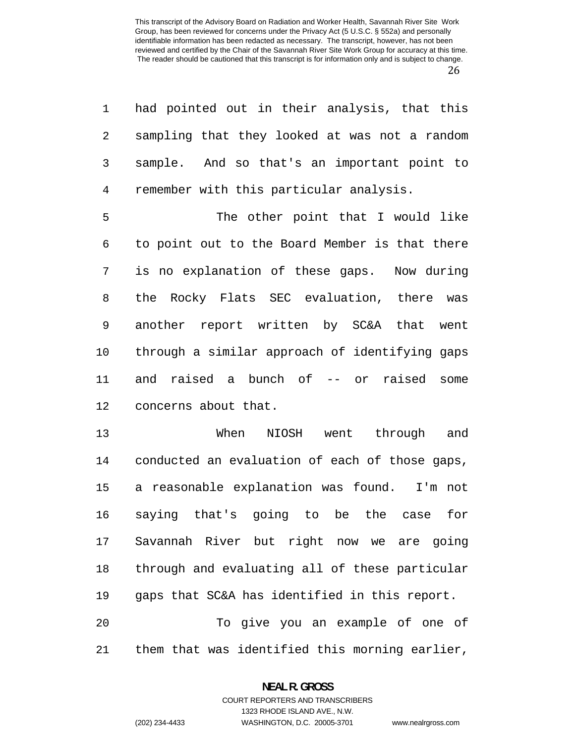had pointed out in their analysis, that this sampling that they looked at was not a random sample. And so that's an important point to remember with this particular analysis.

The other point that I would like to point out to the Board Member is that there is no explanation of these gaps. Now during the Rocky Flats SEC evaluation, there was another report written by SC&A that went through a similar approach of identifying gaps and raised a bunch of -- or raised some concerns about that.

When NIOSH went through and conducted an evaluation of each of those gaps, a reasonable explanation was found. I'm not saying that's going to be the case for Savannah River but right now we are going through and evaluating all of these particular gaps that SC&A has identified in this report. To give you an example of one of them that was identified this morning earlier,

1323 RHODE ISLAND AVE., N.W.

(202) 234-4433 WASHINGTON, D.C. 20005-3701 www.nealrgross.com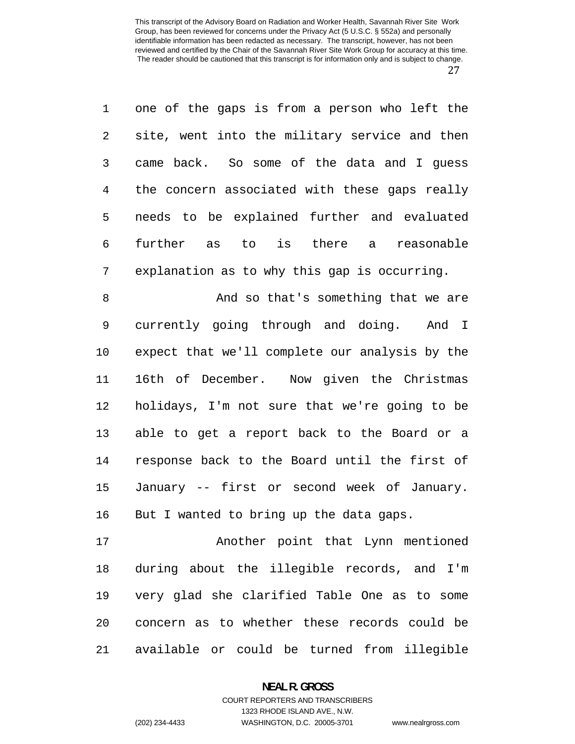one of the gaps is from a person who left the site, went into the military service and then came back. So some of the data and I guess the concern associated with these gaps really needs to be explained further and evaluated further as to is there a reasonable explanation as to why this gap is occurring.

8 And so that's something that we are currently going through and doing. And I expect that we'll complete our analysis by the 16th of December. Now given the Christmas holidays, I'm not sure that we're going to be able to get a report back to the Board or a response back to the Board until the first of January -- first or second week of January. 16 But I wanted to bring up the data gaps.

Another point that Lynn mentioned during about the illegible records, and I'm very glad she clarified Table One as to some concern as to whether these records could be available or could be turned from illegible

### **NEAL R. GROSS**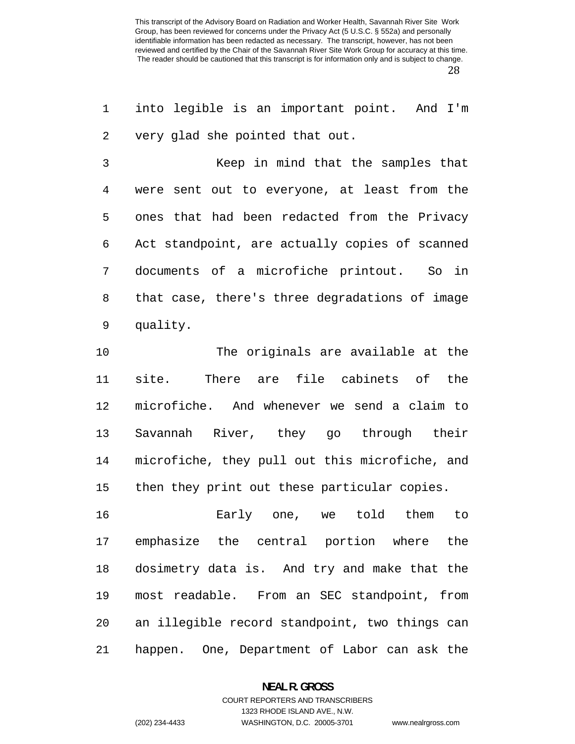into legible is an important point. And I'm very glad she pointed that out.

Keep in mind that the samples that were sent out to everyone, at least from the ones that had been redacted from the Privacy Act standpoint, are actually copies of scanned documents of a microfiche printout. So in that case, there's three degradations of image quality.

The originals are available at the site. There are file cabinets of the microfiche. And whenever we send a claim to Savannah River, they go through their microfiche, they pull out this microfiche, and then they print out these particular copies.

Early one, we told them to emphasize the central portion where the dosimetry data is. And try and make that the most readable. From an SEC standpoint, from an illegible record standpoint, two things can happen. One, Department of Labor can ask the

### **NEAL R. GROSS**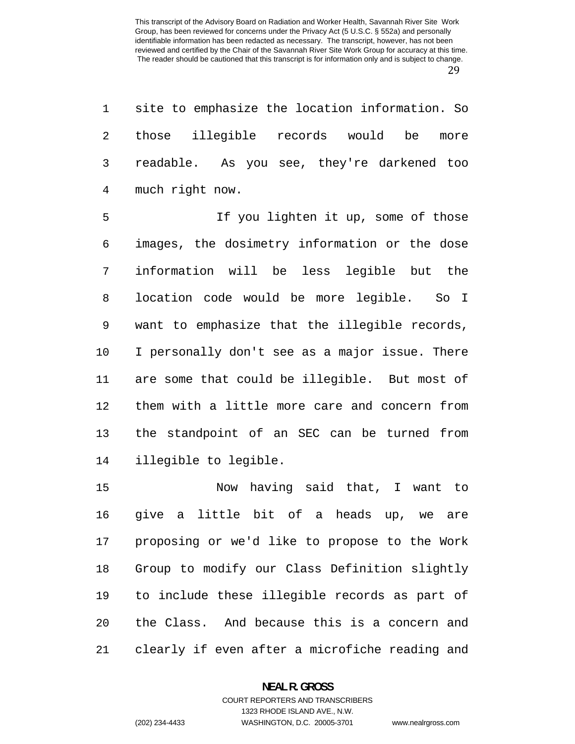site to emphasize the location information. So those illegible records would be more readable. As you see, they're darkened too much right now.

If you lighten it up, some of those images, the dosimetry information or the dose information will be less legible but the location code would be more legible. So I want to emphasize that the illegible records, I personally don't see as a major issue. There are some that could be illegible. But most of them with a little more care and concern from the standpoint of an SEC can be turned from illegible to legible.

Now having said that, I want to give a little bit of a heads up, we are proposing or we'd like to propose to the Work Group to modify our Class Definition slightly to include these illegible records as part of the Class. And because this is a concern and clearly if even after a microfiche reading and

### **NEAL R. GROSS**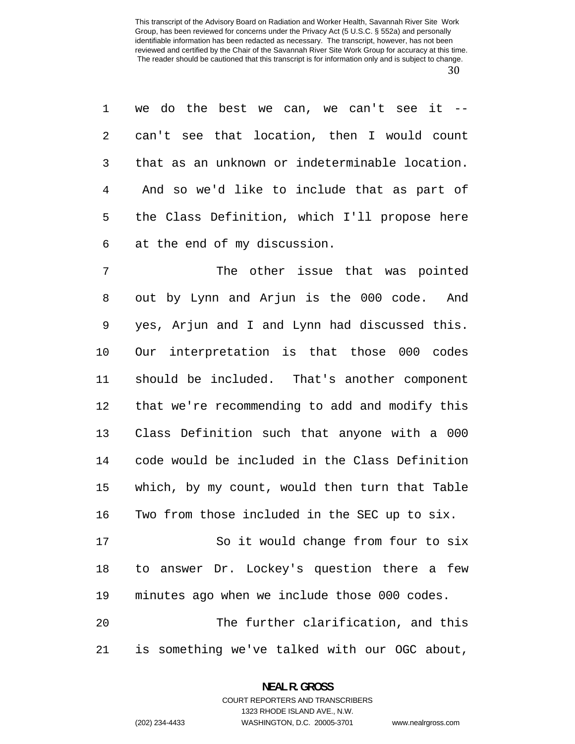we do the best we can, we can't see it -- can't see that location, then I would count that as an unknown or indeterminable location. And so we'd like to include that as part of the Class Definition, which I'll propose here at the end of my discussion.

The other issue that was pointed out by Lynn and Arjun is the 000 code. And yes, Arjun and I and Lynn had discussed this. Our interpretation is that those 000 codes should be included. That's another component that we're recommending to add and modify this Class Definition such that anyone with a 000 code would be included in the Class Definition which, by my count, would then turn that Table Two from those included in the SEC up to six. So it would change from four to six to answer Dr. Lockey's question there a few

minutes ago when we include those 000 codes.

The further clarification, and this is something we've talked with our OGC about,

## **NEAL R. GROSS**  COURT REPORTERS AND TRANSCRIBERS

1323 RHODE ISLAND AVE., N.W.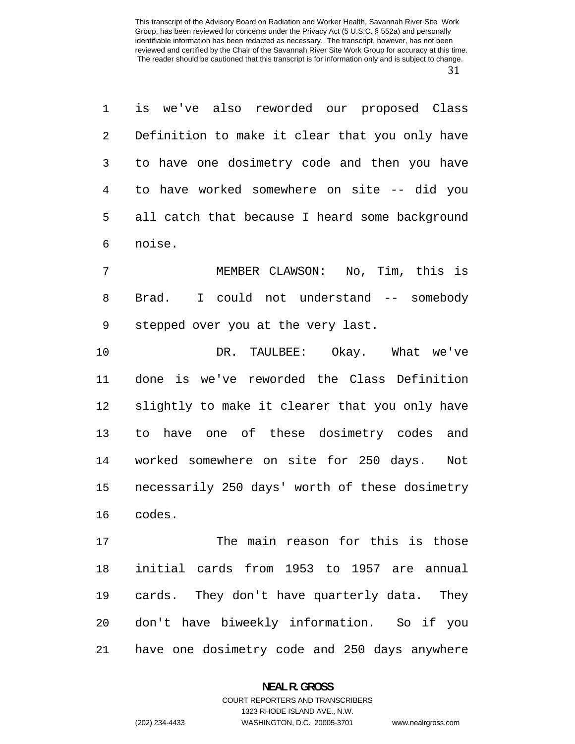is we've also reworded our proposed Class Definition to make it clear that you only have to have one dosimetry code and then you have to have worked somewhere on site -- did you all catch that because I heard some background noise.

MEMBER CLAWSON: No, Tim, this is Brad. I could not understand -- somebody stepped over you at the very last.

DR. TAULBEE: Okay. What we've done is we've reworded the Class Definition slightly to make it clearer that you only have to have one of these dosimetry codes and worked somewhere on site for 250 days. Not necessarily 250 days' worth of these dosimetry codes.

The main reason for this is those initial cards from 1953 to 1957 are annual cards. They don't have quarterly data. They don't have biweekly information. So if you have one dosimetry code and 250 days anywhere

## **NEAL R. GROSS**  COURT REPORTERS AND TRANSCRIBERS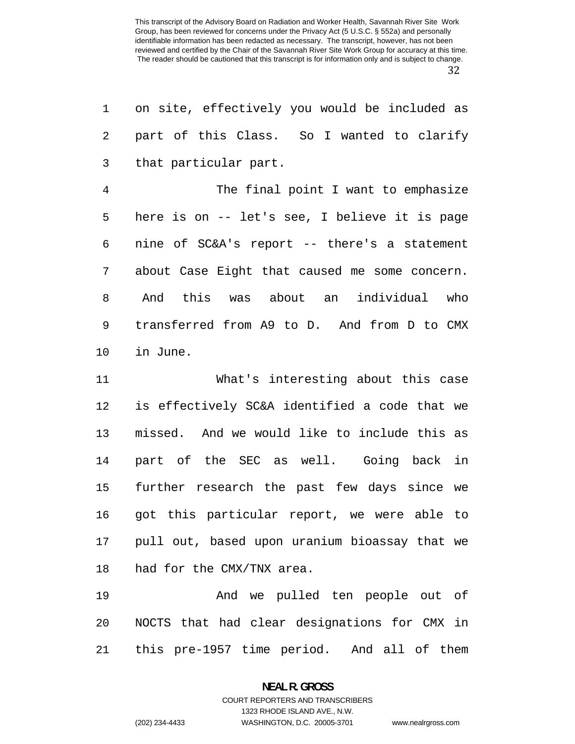| 1              | on site, effectively you would be included as  |
|----------------|------------------------------------------------|
| $\sqrt{2}$     | part of this Class. So I wanted to clarify     |
| 3              | that particular part.                          |
| $\overline{4}$ | The final point I want to emphasize            |
| 5              | here is on -- let's see, I believe it is page  |
| 6              | nine of SC&A's report -- there's a statement   |
| 7              | about Case Eight that caused me some concern.  |
| 8              | And this was about an individual who           |
| 9              | transferred from A9 to D. And from D to CMX    |
| 10             | in June.                                       |
| 11             | What's interesting about this case             |
| 12             | is effectively SC&A identified a code that we  |
| 13             | missed. And we would like to include this as   |
| 14             | part of the SEC as well. Going back<br>in      |
| 15             | further research the past few days since<br>we |
| 16             | got this particular report, we were able to    |
| 17             | pull out, based upon uranium bioassay that we  |
| 18             | had for the CMX/TNX area.                      |
|                |                                                |

And we pulled ten people out of NOCTS that had clear designations for CMX in this pre-1957 time period. And all of them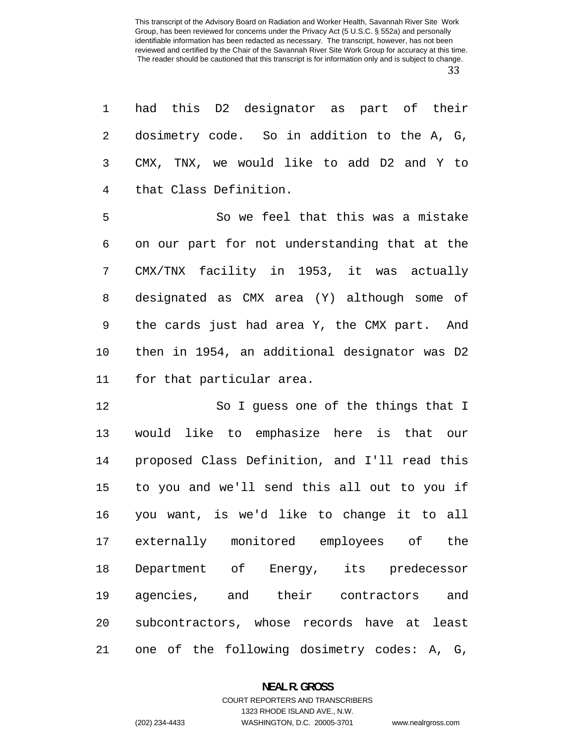had this D2 designator as part of their dosimetry code. So in addition to the A, G, CMX, TNX, we would like to add D2 and Y to that Class Definition.

So we feel that this was a mistake on our part for not understanding that at the CMX/TNX facility in 1953, it was actually designated as CMX area (Y) although some of the cards just had area Y, the CMX part. And then in 1954, an additional designator was D2 for that particular area.

So I guess one of the things that I would like to emphasize here is that our proposed Class Definition, and I'll read this to you and we'll send this all out to you if you want, is we'd like to change it to all externally monitored employees of the Department of Energy, its predecessor agencies, and their contractors and subcontractors, whose records have at least one of the following dosimetry codes: A, G,

### **NEAL R. GROSS**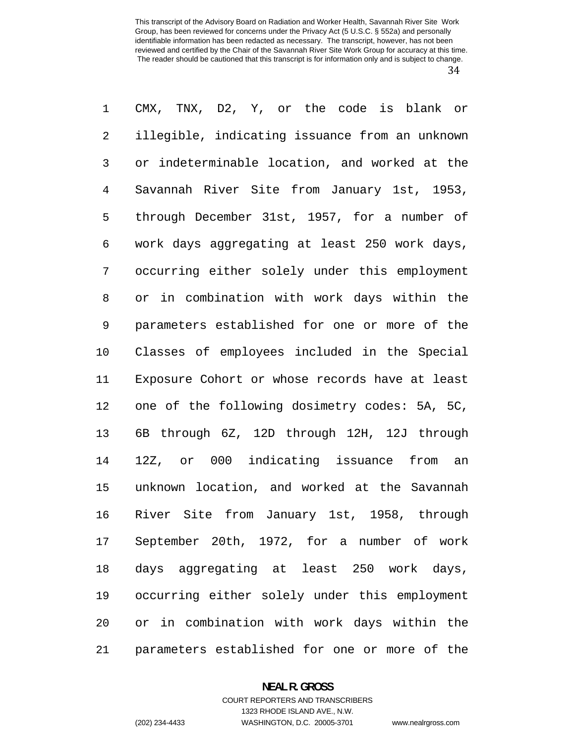CMX, TNX, D2, Y, or the code is blank or illegible, indicating issuance from an unknown or indeterminable location, and worked at the Savannah River Site from January 1st, 1953, through December 31st, 1957, for a number of work days aggregating at least 250 work days, occurring either solely under this employment or in combination with work days within the parameters established for one or more of the Classes of employees included in the Special Exposure Cohort or whose records have at least one of the following dosimetry codes: 5A, 5C, 6B through 6Z, 12D through 12H, 12J through 12Z, or 000 indicating issuance from an unknown location, and worked at the Savannah River Site from January 1st, 1958, through September 20th, 1972, for a number of work days aggregating at least 250 work days, occurring either solely under this employment or in combination with work days within the parameters established for one or more of the

## **NEAL R. GROSS**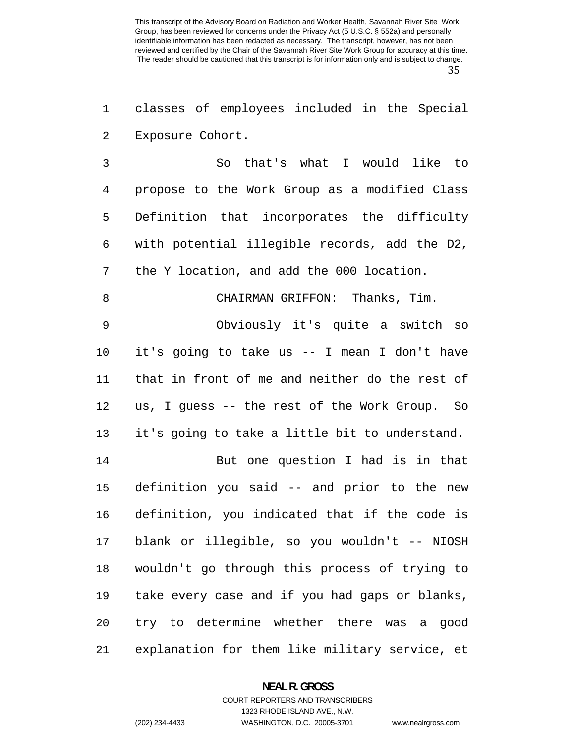classes of employees included in the Special Exposure Cohort.

So that's what I would like to propose to the Work Group as a modified Class Definition that incorporates the difficulty with potential illegible records, add the D2, the Y location, and add the 000 location.

## CHAIRMAN GRIFFON: Thanks, Tim.

Obviously it's quite a switch so it's going to take us -- I mean I don't have that in front of me and neither do the rest of us, I guess -- the rest of the Work Group. So it's going to take a little bit to understand.

But one question I had is in that definition you said -- and prior to the new definition, you indicated that if the code is blank or illegible, so you wouldn't -- NIOSH wouldn't go through this process of trying to take every case and if you had gaps or blanks, try to determine whether there was a good explanation for them like military service, et

## **NEAL R. GROSS**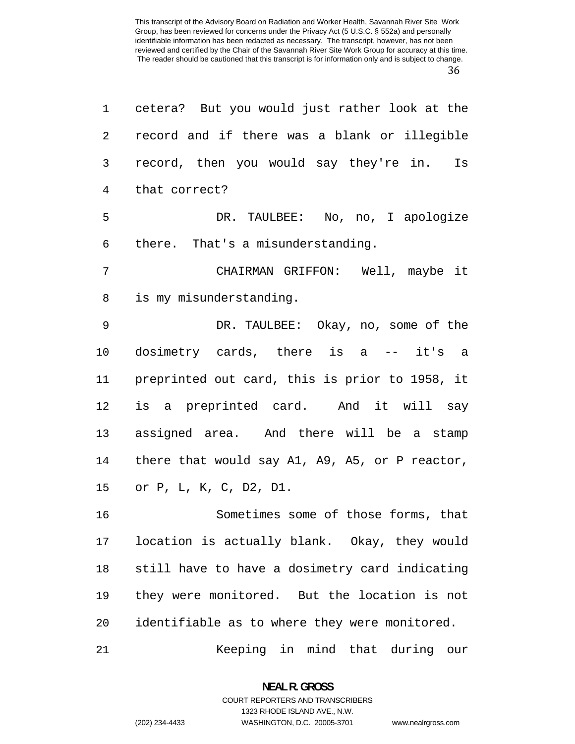| $\mathbf{1}$   | cetera? But you would just rather look at the  |
|----------------|------------------------------------------------|
| 2              | record and if there was a blank or illegible   |
| 3              | record, then you would say they're in. Is      |
| $\overline{4}$ | that correct?                                  |
| 5              | DR. TAULBEE: No, no, I apologize               |
| 6              | there. That's a misunderstanding.              |
| 7              | CHAIRMAN GRIFFON: Well, maybe it               |
| $\,8\,$        | is my misunderstanding.                        |
| 9              | DR. TAULBEE: Okay, no, some of the             |
| 10             | dosimetry cards, there is a -- it's a          |
| 11             | preprinted out card, this is prior to 1958, it |
| 12             | is a preprinted card. And it will say          |
| 13             | assigned area. And there will be a stamp       |
| 14             | there that would say A1, A9, A5, or P reactor, |
| 15             | or P, L, K, C, D2, D1.                         |
| 16             | Sometimes some of those forms, that            |
| 17             | location is actually blank. Okay, they would   |
| 18             | still have to have a dosimetry card indicating |
| 19             | they were monitored. But the location is not   |
| 20             | identifiable as to where they were monitored.  |
| 21             | Keeping in mind that during<br>our             |

**NEAL R. GROSS**  COURT REPORTERS AND TRANSCRIBERS

1323 RHODE ISLAND AVE., N.W.

(202) 234-4433 WASHINGTON, D.C. 20005-3701 www.nealrgross.com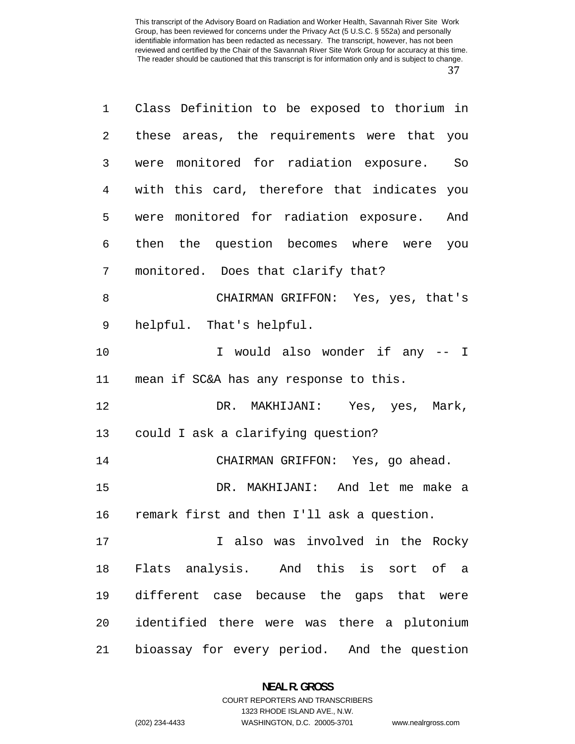| $\mathbf 1$    | Class Definition to be exposed to thorium in |
|----------------|----------------------------------------------|
| 2              | these areas, the requirements were that you  |
| 3              | were monitored for radiation exposure. So    |
| $\overline{4}$ | with this card, therefore that indicates you |
| 5              | were monitored for radiation exposure. And   |
| 6              | then the question becomes where were you     |
| 7              | monitored. Does that clarify that?           |
| 8              | CHAIRMAN GRIFFON: Yes, yes, that's           |
| 9              | helpful. That's helpful.                     |
| 10             | I would also wonder if any -- I              |
| 11             | mean if SC&A has any response to this.       |
| 12             | DR. MAKHIJANI: Yes, yes, Mark,               |
| 13             | could I ask a clarifying question?           |
| 14             | CHAIRMAN GRIFFON: Yes, go ahead.             |
| 15             | DR. MAKHIJANI: And let me make a             |
| 16             | remark first and then I'll ask a question.   |
| 17             | I also was involved in the Rocky             |
| 18             | Flats analysis. And this is sort of a        |
| 19             | different case because the gaps that were    |
| 20             | identified there were was there a plutonium  |
| 21             | bioassay for every period. And the question  |

**NEAL R. GROSS**  COURT REPORTERS AND TRANSCRIBERS

1323 RHODE ISLAND AVE., N.W.

(202) 234-4433 WASHINGTON, D.C. 20005-3701 www.nealrgross.com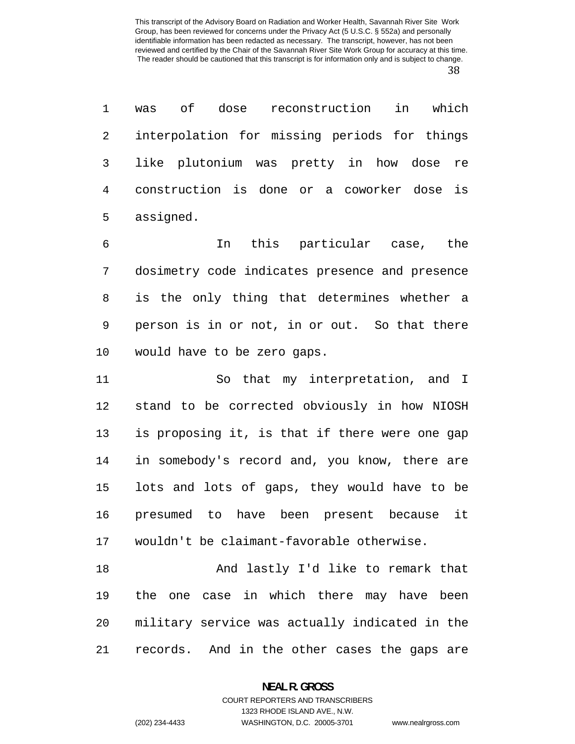was of dose reconstruction in which interpolation for missing periods for things like plutonium was pretty in how dose re construction is done or a coworker dose is assigned.

In this particular case, the dosimetry code indicates presence and presence is the only thing that determines whether a person is in or not, in or out. So that there would have to be zero gaps.

So that my interpretation, and I stand to be corrected obviously in how NIOSH is proposing it, is that if there were one gap in somebody's record and, you know, there are lots and lots of gaps, they would have to be presumed to have been present because it wouldn't be claimant-favorable otherwise.

And lastly I'd like to remark that the one case in which there may have been military service was actually indicated in the records. And in the other cases the gaps are

#### **NEAL R. GROSS**  COURT REPORTERS AND TRANSCRIBERS

1323 RHODE ISLAND AVE., N.W.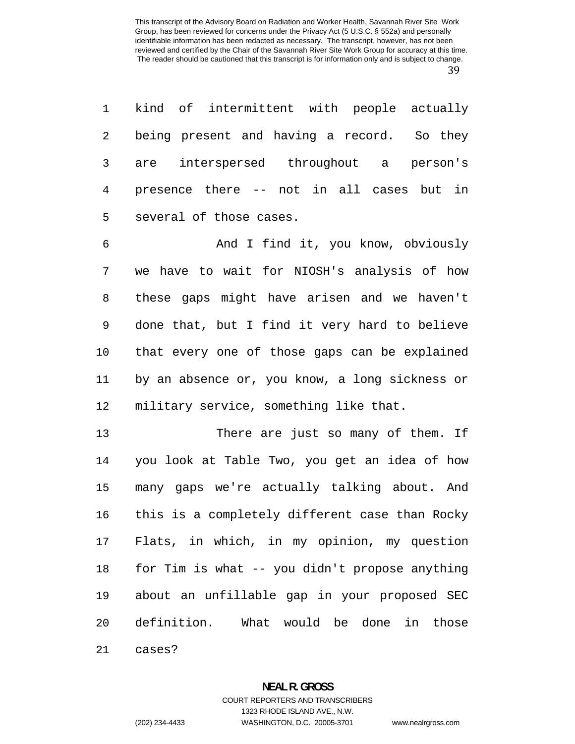kind of intermittent with people actually being present and having a record. So they are interspersed throughout a person's presence there -- not in all cases but in several of those cases.

And I find it, you know, obviously we have to wait for NIOSH's analysis of how these gaps might have arisen and we haven't done that, but I find it very hard to believe that every one of those gaps can be explained by an absence or, you know, a long sickness or military service, something like that.

There are just so many of them. If you look at Table Two, you get an idea of how many gaps we're actually talking about. And this is a completely different case than Rocky Flats, in which, in my opinion, my question for Tim is what -- you didn't propose anything about an unfillable gap in your proposed SEC definition. What would be done in those cases?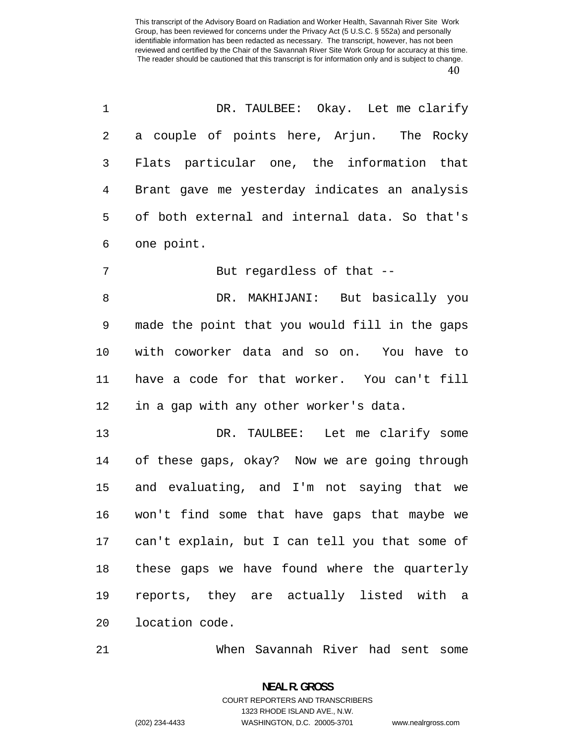| 1              | DR. TAULBEE: Okay. Let me clarify                 |
|----------------|---------------------------------------------------|
| 2              | a couple of points here, Arjun. The Rocky         |
| 3              | Flats particular one, the information that        |
| $\overline{4}$ | Brant gave me yesterday indicates an analysis     |
| 5              | of both external and internal data. So that's     |
| 6              | one point.                                        |
| 7              | But regardless of that --                         |
| 8              | DR. MAKHIJANI: But basically you                  |
| $\mathsf 9$    | made the point that you would fill in the gaps    |
| 10             | with coworker data and so on. You have to         |
| 11             | have a code for that worker. You can't fill       |
| 12             | in a gap with any other worker's data.            |
| 13             | DR. TAULBEE: Let me clarify some                  |
| 14             | of these gaps, okay? Now we are going through     |
| 15             | and evaluating, and I'm not saying that we        |
| 16             | won't find some that have gaps that maybe we      |
|                | 17 can't explain, but I can tell you that some of |
| 18             | these gaps we have found where the quarterly      |
| 19             | reports, they are actually listed with a          |
| $20 \,$        | location code.                                    |
|                |                                                   |

When Savannah River had sent some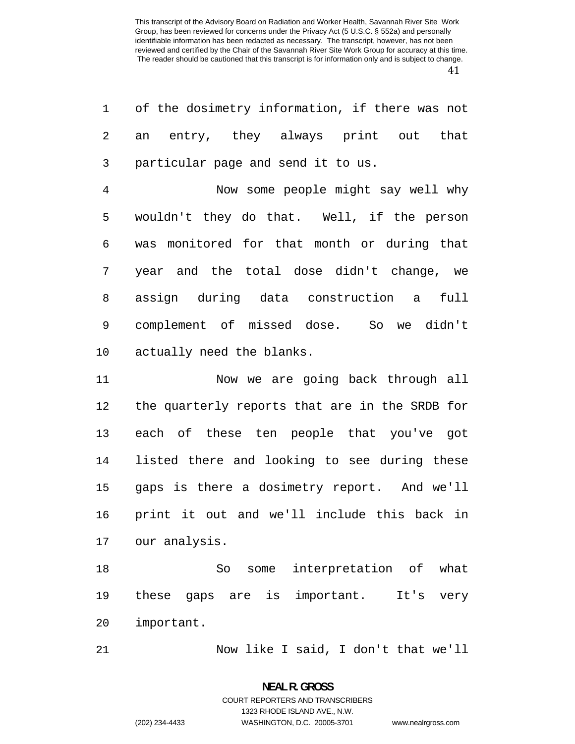| $\mathbf 1$    | of the dosimetry information, if there was not        |
|----------------|-------------------------------------------------------|
| 2              | entry, they always print out that<br>an               |
| 3              | particular page and send it to us.                    |
| $\overline{4}$ | Now some people might say well why                    |
| 5              | wouldn't they do that. Well, if the person            |
| 6              | was monitored for that month or during that           |
| 7              | year and the total dose didn't change, we             |
| 8              | assign during data construction a full                |
| 9              | complement of missed dose. So we didn't               |
| 10             | actually need the blanks.                             |
| 11             | Now we are going back through all                     |
| 12             | the quarterly reports that are in the SRDB for        |
| 13             | each of these ten people that you've got              |
| 14             | listed there and looking to see during these          |
| 15             | gaps is there a dosimetry report. And we'll           |
| 16             | print it out and we'll include this back in           |
| 17             | our analysis.                                         |
| 18             | interpretation of<br>what<br>So<br>some               |
| 19             | important.<br>these<br>gaps are<br>It's<br>is<br>very |
|                |                                                       |

important.

Now like I said, I don't that we'll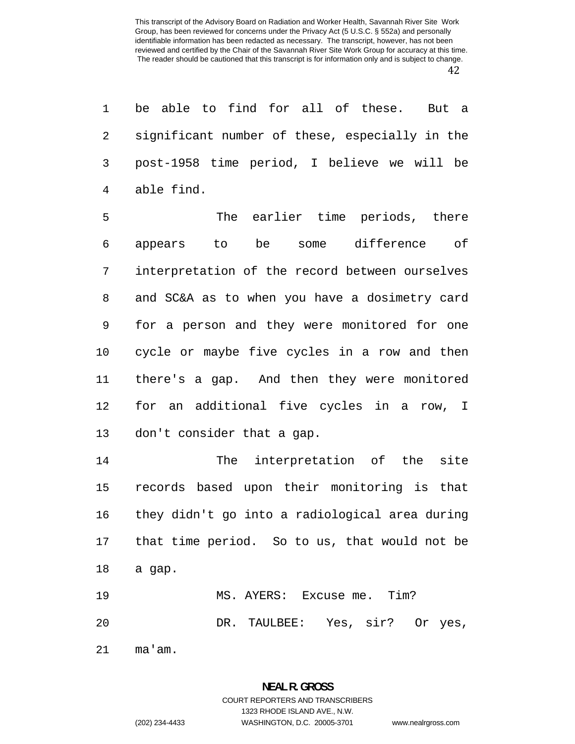be able to find for all of these. But a significant number of these, especially in the post-1958 time period, I believe we will be able find.

The earlier time periods, there appears to be some difference of interpretation of the record between ourselves and SC&A as to when you have a dosimetry card for a person and they were monitored for one cycle or maybe five cycles in a row and then there's a gap. And then they were monitored for an additional five cycles in a row, I don't consider that a gap.

The interpretation of the site records based upon their monitoring is that they didn't go into a radiological area during that time period. So to us, that would not be a gap.

MS. AYERS: Excuse me. Tim? DR. TAULBEE: Yes, sir? Or yes,

ma'am.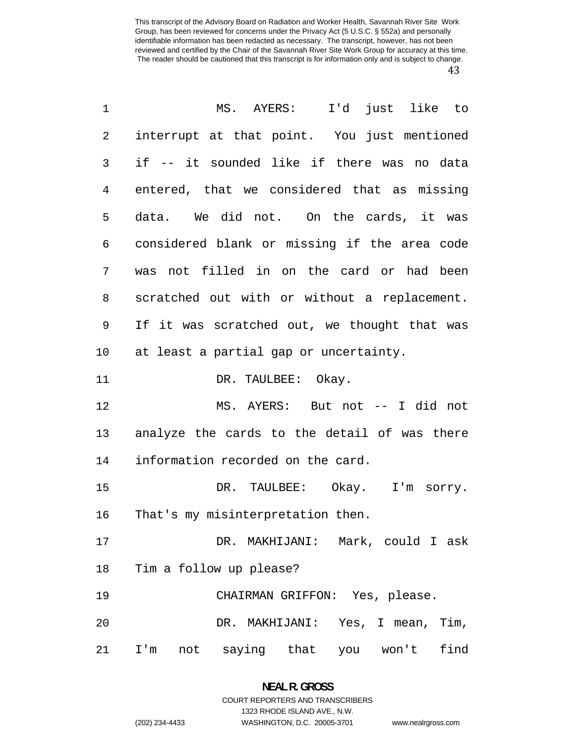| 1          | I'd just like to<br>MS. AYERS:               |
|------------|----------------------------------------------|
| $\sqrt{2}$ | interrupt at that point. You just mentioned  |
| 3          | if -- it sounded like if there was no data   |
| 4          | entered, that we considered that as missing  |
| 5          | data. We did not. On the cards, it was       |
| 6          | considered blank or missing if the area code |
| 7          | was not filled in on the card or had been    |
| 8          | scratched out with or without a replacement. |
| 9          | If it was scratched out, we thought that was |
| 10         | at least a partial gap or uncertainty.       |
| 11         | DR. TAULBEE: Okay.                           |
| 12         | MS. AYERS: But not -- I did not              |
| 13         | analyze the cards to the detail of was there |
| 14         | information recorded on the card.            |
| 15         | DR. TAULBEE: Okay. I'm sorry.                |
| 16         | That's my misinterpretation then.            |
| 17         | DR. MAKHIJANI: Mark, could I ask             |
| 18         | Tim a follow up please?                      |
| 19         | CHAIRMAN GRIFFON: Yes, please.               |
| 20         | DR. MAKHIJANI: Yes, I mean, Tim,             |
| 21         | I'm not saying that you won't find           |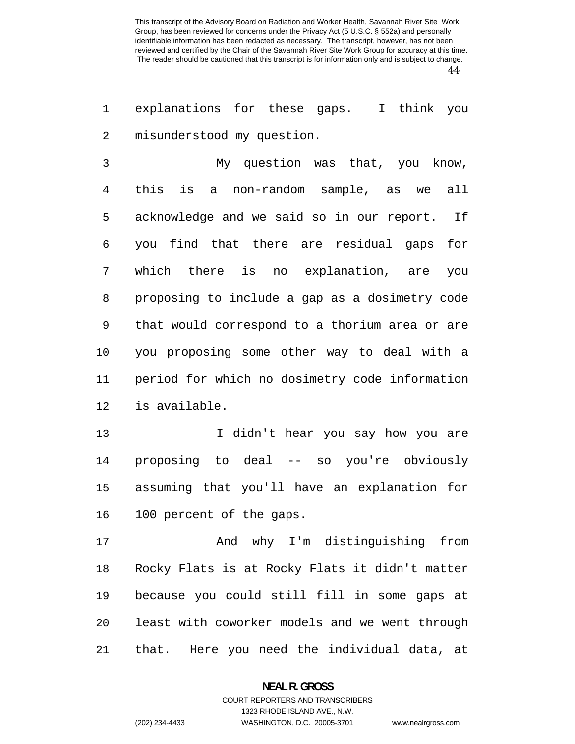explanations for these gaps. I think you misunderstood my question.

My question was that, you know, this is a non-random sample, as we all acknowledge and we said so in our report. If you find that there are residual gaps for which there is no explanation, are you proposing to include a gap as a dosimetry code that would correspond to a thorium area or are you proposing some other way to deal with a period for which no dosimetry code information is available.

I didn't hear you say how you are proposing to deal -- so you're obviously assuming that you'll have an explanation for 100 percent of the gaps.

And why I'm distinguishing from Rocky Flats is at Rocky Flats it didn't matter because you could still fill in some gaps at least with coworker models and we went through that. Here you need the individual data, at

#### **NEAL R. GROSS**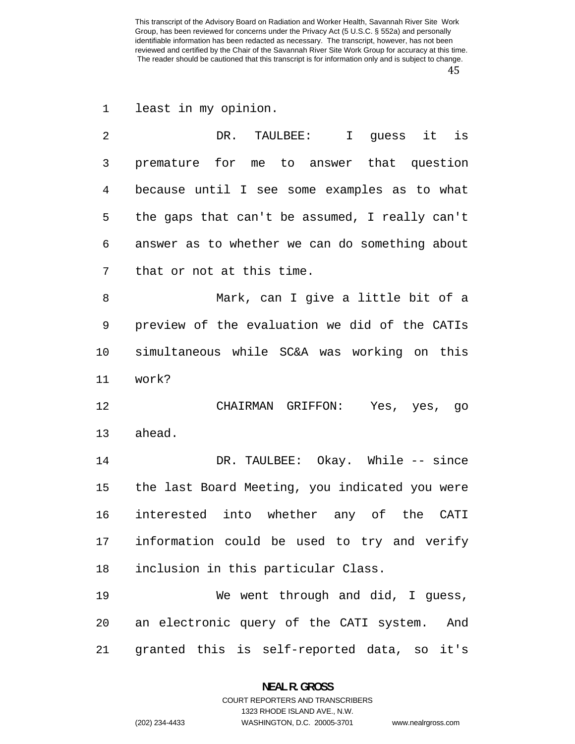least in my opinion.

| 2              | DR. TAULBEE: I quess it<br>is                  |
|----------------|------------------------------------------------|
| $\mathfrak{Z}$ | premature for me to answer that question       |
| 4              | because until I see some examples as to what   |
| 5              | the gaps that can't be assumed, I really can't |
| 6              | answer as to whether we can do something about |
| 7              | that or not at this time.                      |
| 8              | Mark, can I give a little bit of a             |
| 9              | preview of the evaluation we did of the CATIs  |
| 10             | simultaneous while SC&A was working on this    |
| 11             | work?                                          |
| 12             | CHAIRMAN GRIFFON: Yes, yes, go                 |
| 13             | ahead.                                         |
| 14             | DR. TAULBEE: Okay. While -- since              |
| 15             | the last Board Meeting, you indicated you were |
| 16             | interested into whether any of the CATI        |
| 17             | information could be used to try and verify    |
| 18             | inclusion in this particular Class.            |
| 19             | We went through and did, I guess,              |
| 20             | an electronic query of the CATI system.<br>And |
| 21             | granted this is self-reported data, so it's    |

**NEAL R. GROSS**  COURT REPORTERS AND TRANSCRIBERS

1323 RHODE ISLAND AVE., N.W.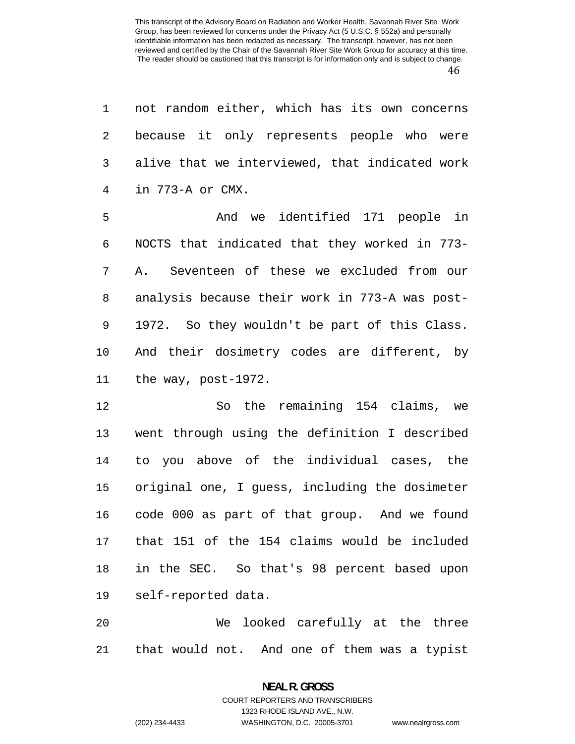not random either, which has its own concerns because it only represents people who were alive that we interviewed, that indicated work in 773-A or CMX.

And we identified 171 people in NOCTS that indicated that they worked in 773- A. Seventeen of these we excluded from our analysis because their work in 773-A was post-1972. So they wouldn't be part of this Class. And their dosimetry codes are different, by the way, post-1972.

So the remaining 154 claims, we went through using the definition I described to you above of the individual cases, the original one, I guess, including the dosimeter code 000 as part of that group. And we found that 151 of the 154 claims would be included in the SEC. So that's 98 percent based upon self-reported data.

We looked carefully at the three that would not. And one of them was a typist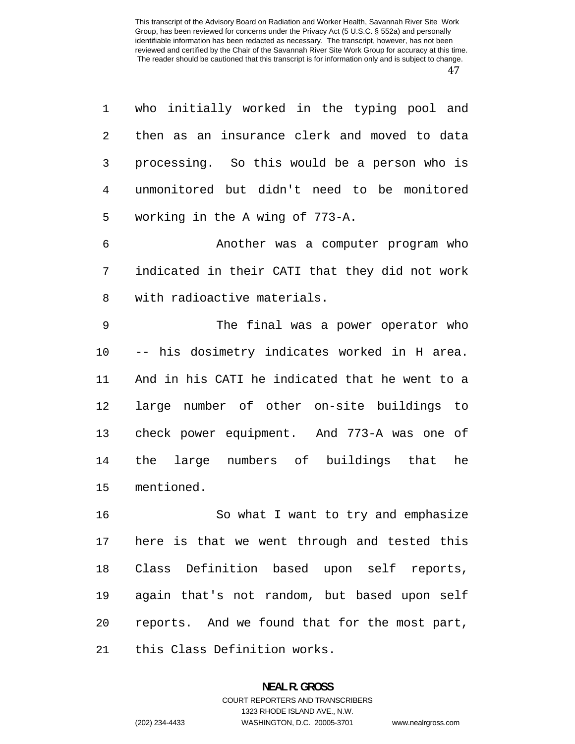| 1  | who initially worked in the typing pool and    |
|----|------------------------------------------------|
| 2  | then as an insurance clerk and moved to data   |
| 3  | processing. So this would be a person who is   |
| 4  | unmonitored but didn't need to be monitored    |
| 5  | working in the A wing of 773-A.                |
| 6  | Another was a computer program who             |
| 7  | indicated in their CATI that they did not work |
| 8  | with radioactive materials.                    |
| 9  | The final was a power operator who             |
| 10 | -- his dosimetry indicates worked in H area.   |
| 11 | And in his CATI he indicated that he went to a |
| 12 | large number of other on-site buildings to     |
| 13 | check power equipment. And 773-A was one of    |
| 14 | the large numbers of buildings that<br>he      |
| 15 | mentioned.                                     |
| 16 | So what I want to try and emphasize            |
| 17 | here is that we went through and tested this   |
| 18 | Class Definition based upon self reports,      |
| 19 | again that's not random, but based upon self   |
| 20 | reports. And we found that for the most part,  |

this Class Definition works.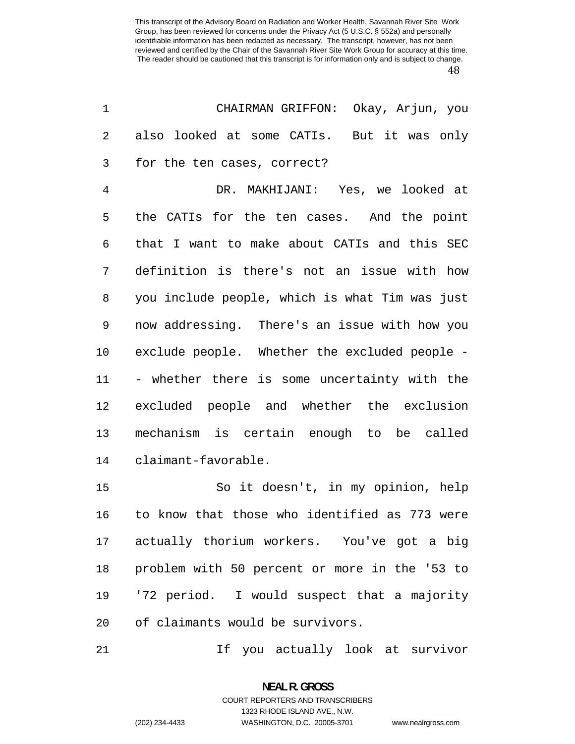| 1  | CHAIRMAN GRIFFON: Okay, Arjun, you             |
|----|------------------------------------------------|
| 2  | also looked at some CATIs. But it was only     |
| 3  | for the ten cases, correct?                    |
| 4  | DR. MAKHIJANI: Yes, we looked at               |
| 5  | the CATIs for the ten cases. And the point     |
| 6  | that I want to make about CATIs and this SEC   |
| 7  | definition is there's not an issue with how    |
| 8  | you include people, which is what Tim was just |
| 9  | now addressing. There's an issue with how you  |
| 10 | exclude people. Whether the excluded people -  |
| 11 | - whether there is some uncertainty with the   |
| 12 | excluded people and whether the exclusion      |
| 13 | mechanism is certain enough to be called       |
| 14 | claimant-favorable.                            |
| 15 | So it doesn't, in my opinion, help             |
| 16 | to know that those who identified as 773 were  |
|    | 17 actually thorium workers. You've got a big  |
| 18 | problem with 50 percent or more in the '53 to  |
| 19 | '72 period. I would suspect that a majority    |
| 20 | of claimants would be survivors.               |

If you actually look at survivor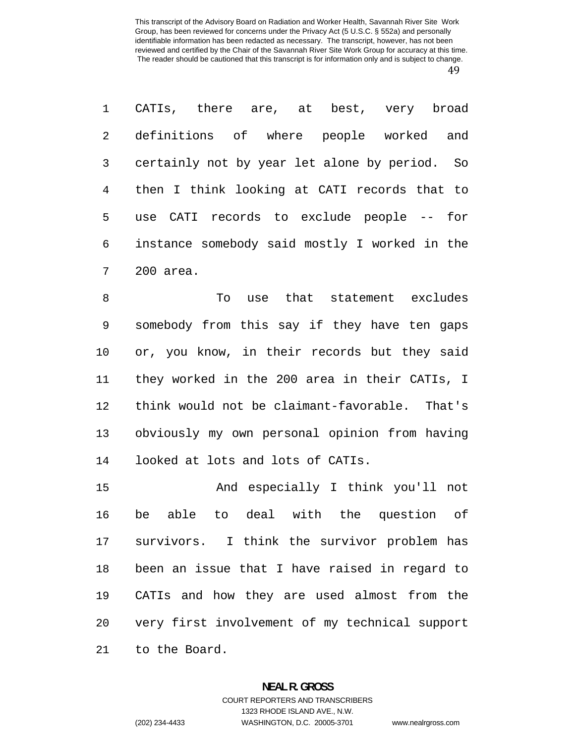CATIs, there are, at best, very broad definitions of where people worked and certainly not by year let alone by period. So then I think looking at CATI records that to use CATI records to exclude people -- for instance somebody said mostly I worked in the 200 area.

To use that statement excludes somebody from this say if they have ten gaps or, you know, in their records but they said they worked in the 200 area in their CATIs, I think would not be claimant-favorable. That's obviously my own personal opinion from having looked at lots and lots of CATIs.

And especially I think you'll not be able to deal with the question of survivors. I think the survivor problem has been an issue that I have raised in regard to CATIs and how they are used almost from the very first involvement of my technical support to the Board.

### **NEAL R. GROSS**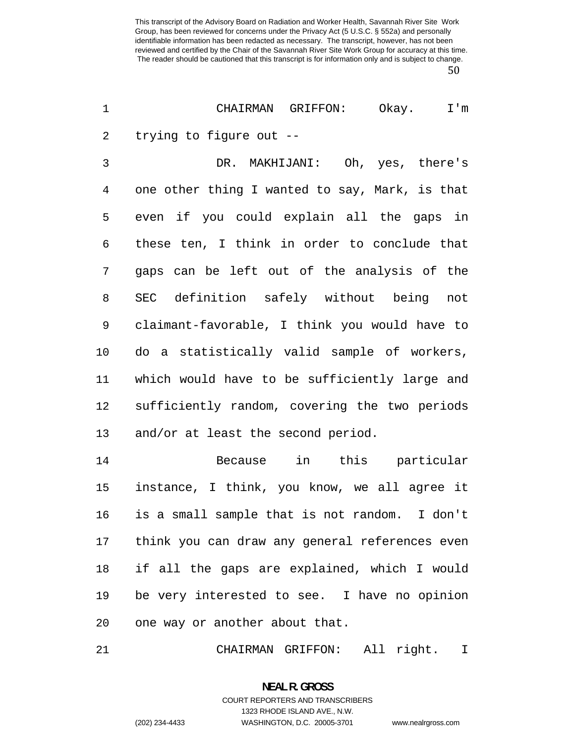CHAIRMAN GRIFFON: Okay. I'm trying to figure out --

DR. MAKHIJANI: Oh, yes, there's one other thing I wanted to say, Mark, is that even if you could explain all the gaps in these ten, I think in order to conclude that gaps can be left out of the analysis of the SEC definition safely without being not claimant-favorable, I think you would have to do a statistically valid sample of workers, which would have to be sufficiently large and sufficiently random, covering the two periods and/or at least the second period.

Because in this particular instance, I think, you know, we all agree it is a small sample that is not random. I don't think you can draw any general references even if all the gaps are explained, which I would be very interested to see. I have no opinion one way or another about that.

CHAIRMAN GRIFFON: All right. I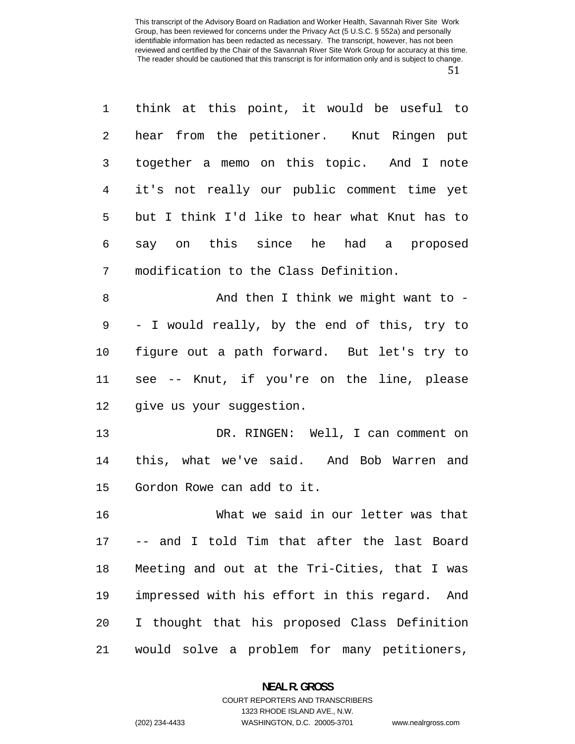| $\mathbf 1$ | think at this point, it would be useful to       |
|-------------|--------------------------------------------------|
| 2           | hear from the petitioner. Knut Ringen put        |
| 3           | together a memo on this topic. And I note        |
| 4           | it's not really our public comment time yet      |
| 5           | but I think I'd like to hear what Knut has to    |
| 6           | say on this since he had a proposed              |
| 7           | modification to the Class Definition.            |
| $\,8\,$     | And then I think we might want to -              |
| 9           | - I would really, by the end of this, try to     |
| 10          | figure out a path forward. But let's try to      |
| 11          | see -- Knut, if you're on the line, please       |
| 12          | give us your suggestion.                         |
| 13          | DR. RINGEN: Well, I can comment on               |
| 14          | this, what we've said. And Bob Warren and        |
| 15          | Gordon Rowe can add to it.                       |
| 16          | What we said in our letter was that              |
| 17          | -- and I told Tim that after the last Board      |
| 18          | Meeting and out at the Tri-Cities, that I was    |
| 19          | impressed with his effort in this regard.<br>And |
| 20          | I thought that his proposed Class Definition     |

would solve a problem for many petitioners,

## **NEAL R. GROSS**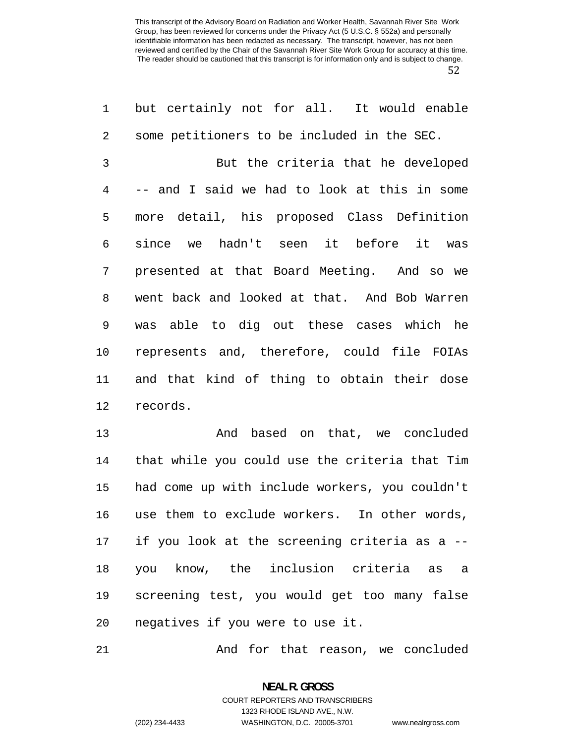| 1  | but certainly not for all. It would enable     |
|----|------------------------------------------------|
| 2  | some petitioners to be included in the SEC.    |
| 3  | But the criteria that he developed             |
| 4  | -- and I said we had to look at this in some   |
| 5  | more detail, his proposed Class Definition     |
| 6  | since we hadn't seen it before it was          |
| 7  | presented at that Board Meeting. And so we     |
| 8  | went back and looked at that. And Bob Warren   |
| 9  | was able to dig out these cases which he       |
| 10 | represents and, therefore, could file FOIAs    |
| 11 | and that kind of thing to obtain their dose    |
| 12 | records.                                       |
| 13 | And based on that, we concluded                |
| 14 | that while you could use the criteria that Tim |
| 15 | had come up with include workers, you couldn't |
| 16 | use them to exclude workers. In other words,   |
| 17 | if you look at the screening criteria as a --  |
| 18 | you know, the inclusion criteria as a          |
| 19 | screening test, you would get too many false   |
| 20 | negatives if you were to use it.               |

And for that reason, we concluded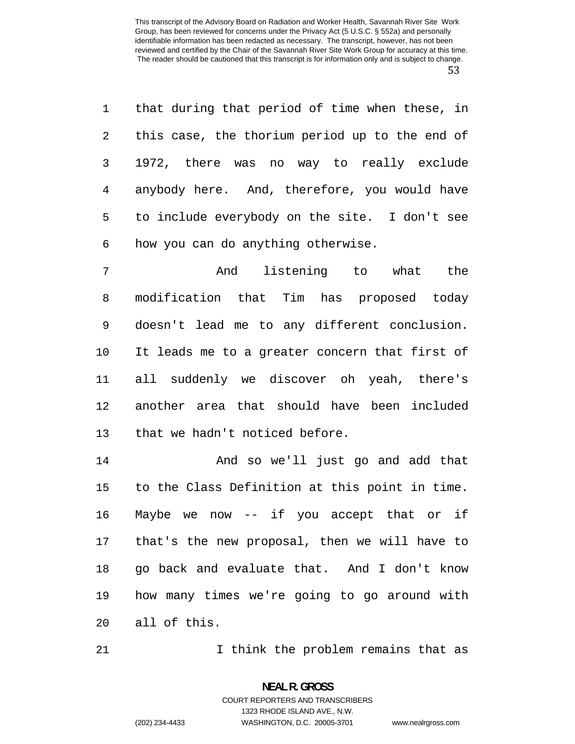that during that period of time when these, in this case, the thorium period up to the end of 1972, there was no way to really exclude anybody here. And, therefore, you would have to include everybody on the site. I don't see how you can do anything otherwise.

And listening to what the modification that Tim has proposed today doesn't lead me to any different conclusion. It leads me to a greater concern that first of all suddenly we discover oh yeah, there's another area that should have been included that we hadn't noticed before.

And so we'll just go and add that to the Class Definition at this point in time. Maybe we now -- if you accept that or if that's the new proposal, then we will have to go back and evaluate that. And I don't know how many times we're going to go around with all of this.

21 1 I think the problem remains that as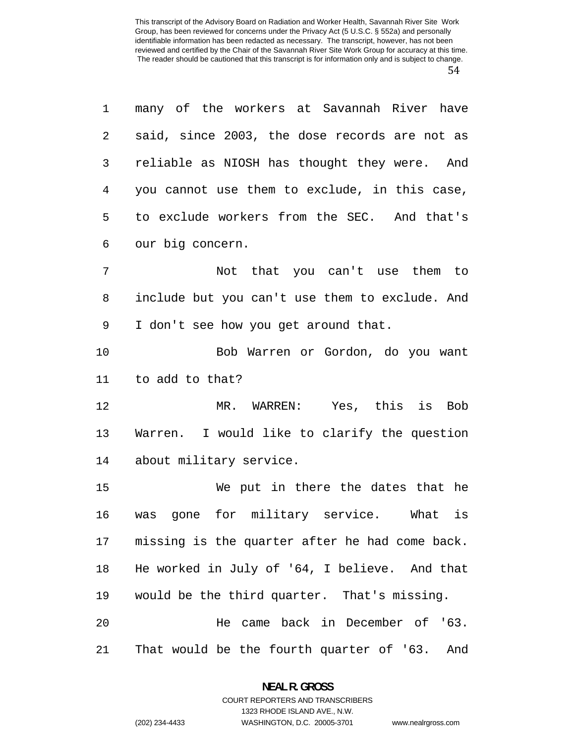| $\mathbf 1$    | many of the workers at Savannah River have     |
|----------------|------------------------------------------------|
| 2              | said, since 2003, the dose records are not as  |
| 3              | reliable as NIOSH has thought they were. And   |
| $\overline{4}$ | you cannot use them to exclude, in this case,  |
| 5              | to exclude workers from the SEC. And that's    |
| 6              | our big concern.                               |
| 7              | Not that you can't use them to                 |
| 8              | include but you can't use them to exclude. And |
| 9              | I don't see how you get around that.           |
| 10             | Bob Warren or Gordon, do you want              |
| 11             | to add to that?                                |
| 12             | MR. WARREN: Yes, this is Bob                   |
| 13             | Warren. I would like to clarify the question   |
| 14             | about military service.                        |
| 15             | We put in there the dates that he              |
| 16             | was gone for military service. What is         |
| 17             | missing is the quarter after he had come back. |
| 18             | He worked in July of '64, I believe. And that  |
| 19             | would be the third quarter. That's missing.    |
| 20             | He came back in December of '63.               |
| 21             | That would be the fourth quarter of '63. And   |

**NEAL R. GROSS**  COURT REPORTERS AND TRANSCRIBERS

1323 RHODE ISLAND AVE., N.W.

(202) 234-4433 WASHINGTON, D.C. 20005-3701 www.nealrgross.com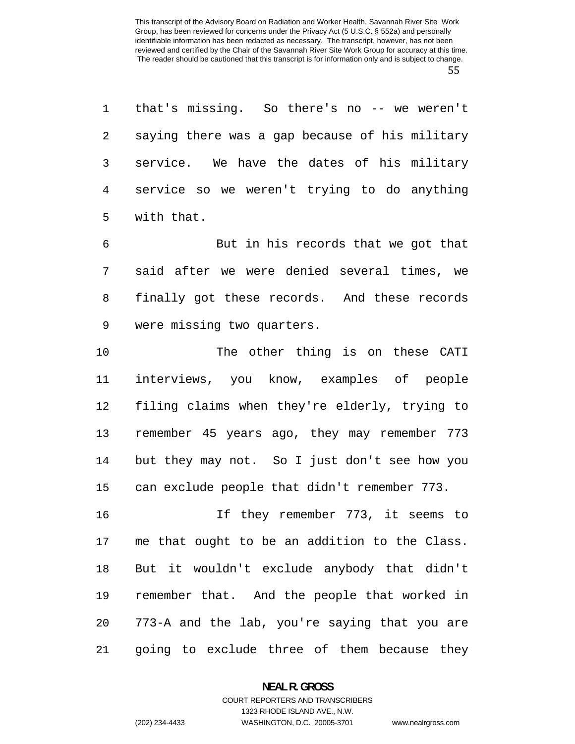that's missing. So there's no -- we weren't saying there was a gap because of his military service. We have the dates of his military service so we weren't trying to do anything with that.

But in his records that we got that said after we were denied several times, we finally got these records. And these records were missing two quarters.

The other thing is on these CATI interviews, you know, examples of people filing claims when they're elderly, trying to remember 45 years ago, they may remember 773 but they may not. So I just don't see how you can exclude people that didn't remember 773.

If they remember 773, it seems to me that ought to be an addition to the Class. But it wouldn't exclude anybody that didn't remember that. And the people that worked in 773-A and the lab, you're saying that you are going to exclude three of them because they

> **NEAL R. GROSS**  COURT REPORTERS AND TRANSCRIBERS

1323 RHODE ISLAND AVE., N.W. (202) 234-4433 WASHINGTON, D.C. 20005-3701 www.nealrgross.com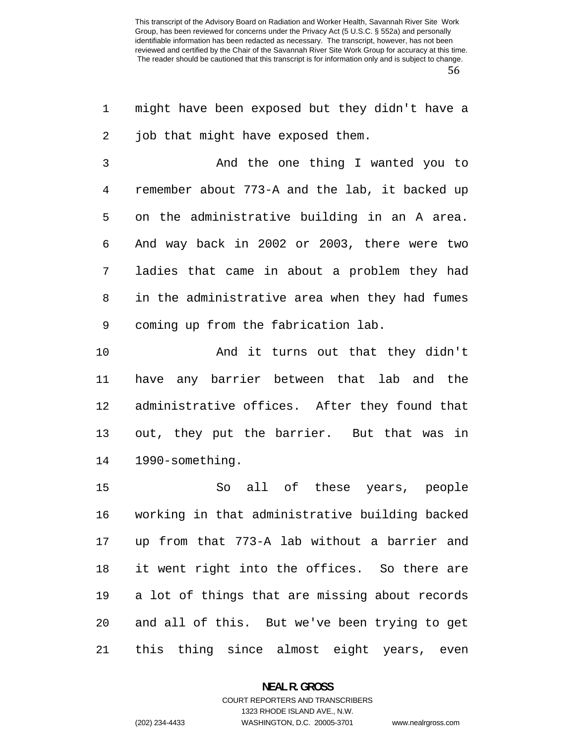might have been exposed but they didn't have a 2 job that might have exposed them.

And the one thing I wanted you to remember about 773-A and the lab, it backed up on the administrative building in an A area. And way back in 2002 or 2003, there were two ladies that came in about a problem they had in the administrative area when they had fumes coming up from the fabrication lab.

And it turns out that they didn't have any barrier between that lab and the administrative offices. After they found that out, they put the barrier. But that was in 1990-something.

So all of these years, people working in that administrative building backed up from that 773-A lab without a barrier and it went right into the offices. So there are a lot of things that are missing about records and all of this. But we've been trying to get this thing since almost eight years, even

#### **NEAL R. GROSS**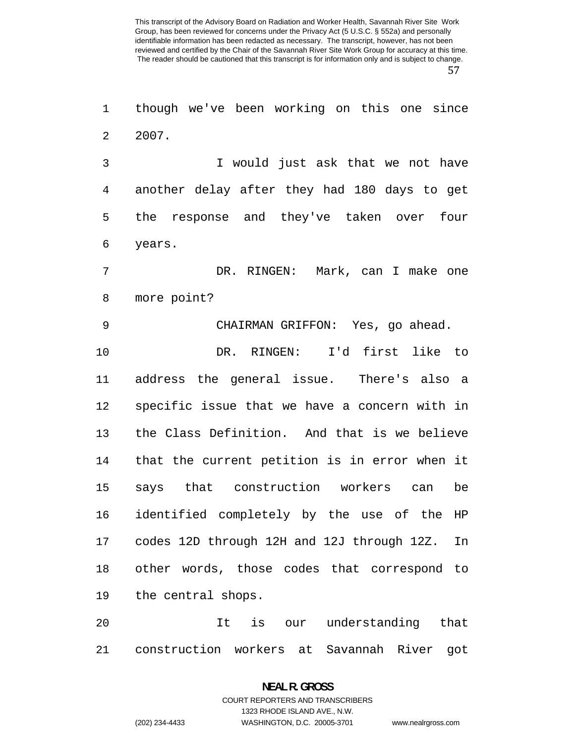though we've been working on this one since 2007.

I would just ask that we not have another delay after they had 180 days to get the response and they've taken over four years.

DR. RINGEN: Mark, can I make one more point?

CHAIRMAN GRIFFON: Yes, go ahead.

DR. RINGEN: I'd first like to address the general issue. There's also a specific issue that we have a concern with in the Class Definition. And that is we believe that the current petition is in error when it says that construction workers can be identified completely by the use of the HP codes 12D through 12H and 12J through 12Z. In other words, those codes that correspond to the central shops.

It is our understanding that construction workers at Savannah River got

# **NEAL R. GROSS**  COURT REPORTERS AND TRANSCRIBERS 1323 RHODE ISLAND AVE., N.W.

(202) 234-4433 WASHINGTON, D.C. 20005-3701 www.nealrgross.com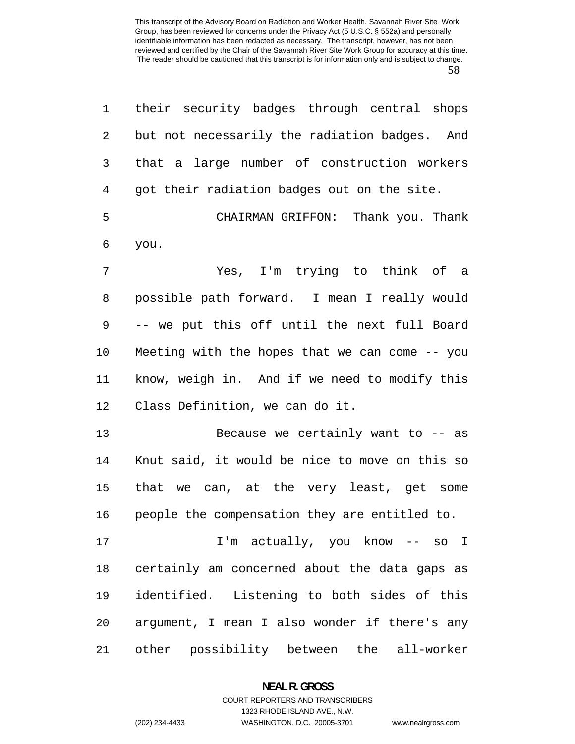| $\mathbf 1$ | their security badges through central shops    |
|-------------|------------------------------------------------|
| 2           | but not necessarily the radiation badges. And  |
| 3           | that a large number of construction workers    |
| 4           | got their radiation badges out on the site.    |
| 5           | CHAIRMAN GRIFFON: Thank you. Thank             |
| 6           | you.                                           |
| 7           | Yes, I'm trying to think of a                  |
| 8           | possible path forward. I mean I really would   |
| 9           | -- we put this off until the next full Board   |
| 10          | Meeting with the hopes that we can come -- you |
| 11          | know, weigh in. And if we need to modify this  |
| 12          | Class Definition, we can do it.                |
| 13          | Because we certainly want to $-$ as            |
| 14          | Knut said, it would be nice to move on this so |
| 15          | that we can, at the very least, get some       |
| 16          | people the compensation they are entitled to.  |
| 17          | I'm actually, you know -- so I                 |
| 18          | certainly am concerned about the data gaps as  |
| 19          | identified. Listening to both sides of this    |
| 20          | argument, I mean I also wonder if there's any  |
| 21          | other possibility between the all-worker       |

**NEAL R. GROSS**  COURT REPORTERS AND TRANSCRIBERS

1323 RHODE ISLAND AVE., N.W.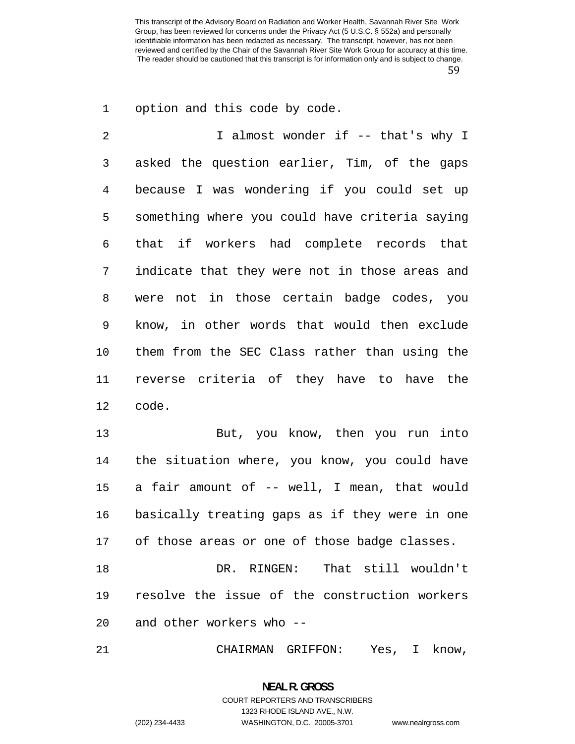option and this code by code.

2 I almost wonder if -- that's why I asked the question earlier, Tim, of the gaps because I was wondering if you could set up something where you could have criteria saying that if workers had complete records that indicate that they were not in those areas and were not in those certain badge codes, you know, in other words that would then exclude them from the SEC Class rather than using the reverse criteria of they have to have the code.

But, you know, then you run into the situation where, you know, you could have a fair amount of -- well, I mean, that would basically treating gaps as if they were in one 17 of those areas or one of those badge classes.

DR. RINGEN: That still wouldn't resolve the issue of the construction workers and other workers who --

CHAIRMAN GRIFFON: Yes, I know,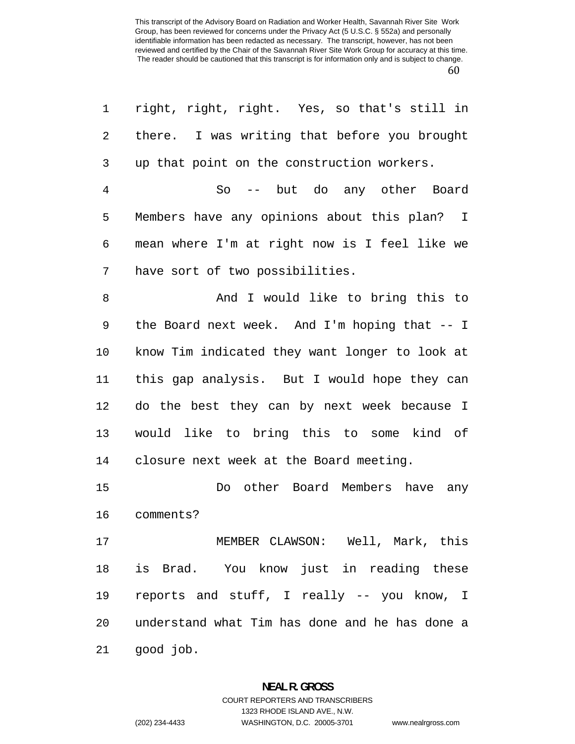| $\mathbf 1$    | right, right, right. Yes, so that's still in   |
|----------------|------------------------------------------------|
| 2              | there. I was writing that before you brought   |
| 3              | up that point on the construction workers.     |
| $\overline{4}$ | -- but do any other Board<br>So                |
| 5              | Members have any opinions about this plan? I   |
| 6              | mean where I'm at right now is I feel like we  |
| 7              | have sort of two possibilities.                |
| $\, 8$         | And I would like to bring this to              |
| 9              | the Board next week. And I'm hoping that -- I  |
| 10             | know Tim indicated they want longer to look at |
| 11             | this gap analysis. But I would hope they can   |
| 12             | do the best they can by next week because I    |
| 13             | would like to bring this to some kind of       |
| 14             | closure next week at the Board meeting.        |
| 15             | Do other Board Members have any                |
| 16             | comments?                                      |
| 17             | MEMBER CLAWSON: Well, Mark, this               |
| 18             | is Brad. You know just in reading these        |
| 19             | reports and stuff, I really -- you know, I     |
| 20             | understand what Tim has done and he has done a |
| 21             | good job.                                      |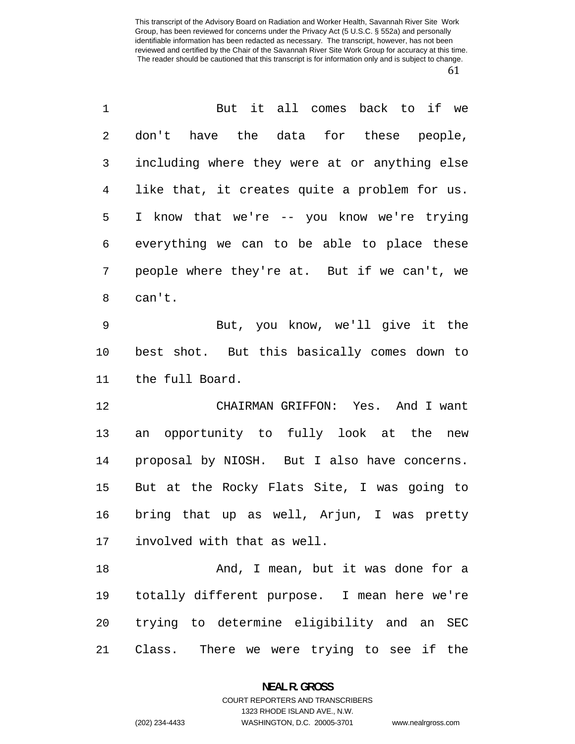| $\mathbf 1$ | But it all comes back to if we                |
|-------------|-----------------------------------------------|
| 2           | don't have the data for these people,         |
| 3           | including where they were at or anything else |
| 4           | like that, it creates quite a problem for us. |
| 5           | I know that we're -- you know we're trying    |
| 6           | everything we can to be able to place these   |
| 7           | people where they're at. But if we can't, we  |
| 8           | can't.                                        |
| 9           | But, you know, we'll give it the              |
| 10          | best shot. But this basically comes down to   |
| 11          | the full Board.                               |
| 12          | CHAIRMAN GRIFFON: Yes. And I want             |
| 13          | an opportunity to fully look at the new       |
| 14          | proposal by NIOSH. But I also have concerns.  |
| 15          | But at the Rocky Flats Site, I was going to   |
| 16          | bring that up as well, Arjun, I was pretty    |
| 17          | involved with that as well.                   |
| 18          | And, I mean, but it was done for a            |
| 19          | totally different purpose. I mean here we're  |
| 20          | trying to determine eligibility and an SEC    |
| 21          | Class. There we were trying to see if the     |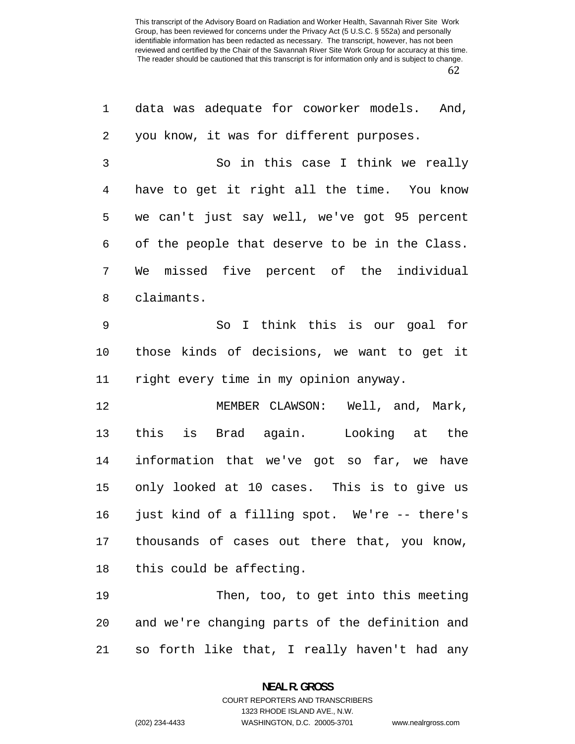| $\mathbf 1$    | data was adequate for coworker models. And,    |
|----------------|------------------------------------------------|
| 2              | you know, it was for different purposes.       |
| 3              | So in this case I think we really              |
| $\overline{4}$ | have to get it right all the time. You know    |
| 5              | we can't just say well, we've got 95 percent   |
| 6              | of the people that deserve to be in the Class. |
| 7              | We missed five percent of the individual       |
| 8              | claimants.                                     |
| $\mathsf 9$    | So I think this is our goal for                |
| 10             | those kinds of decisions, we want to get it    |
| 11             | right every time in my opinion anyway.         |
| 12             | MEMBER CLAWSON: Well, and, Mark,               |
| 13             | this is Brad again. Looking at the             |
| 14             | information that we've got so far, we have     |
| 15             | only looked at 10 cases. This is to give us    |
| 16             | just kind of a filling spot. We're -- there's  |
| 17             | thousands of cases out there that, you know,   |
| 18             | this could be affecting.                       |
| 19             | Then, too, to get into this meeting            |

so forth like that, I really haven't had any

and we're changing parts of the definition and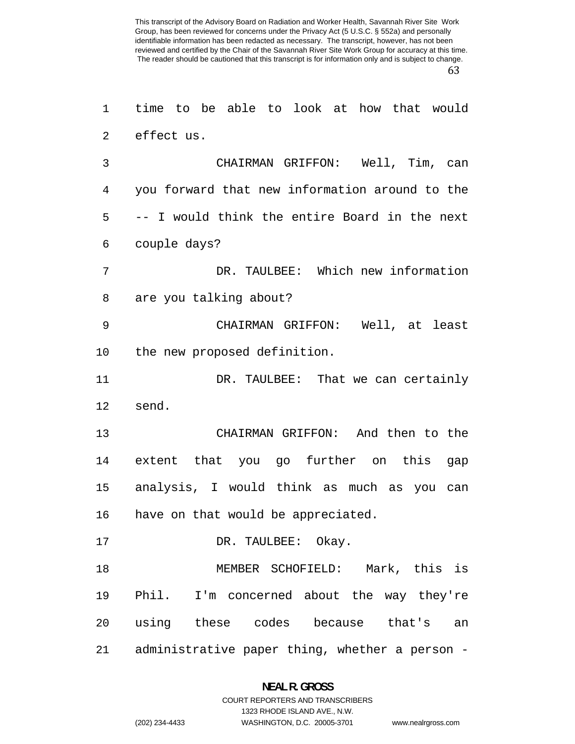time to be able to look at how that would

|    | 2 effect us.                                                    |
|----|-----------------------------------------------------------------|
| 3  | CHAIRMAN GRIFFON: Well, Tim, can                                |
| 4  | you forward that new information around to the                  |
| 5  | -- I would think the entire Board in the next                   |
| 6  | couple days?                                                    |
| 7  | DR. TAULBEE: Which new information                              |
| 8  | are you talking about?                                          |
| 9  | CHAIRMAN GRIFFON: Well, at least                                |
| 10 | the new proposed definition.                                    |
| 11 | DR. TAULBEE: That we can certainly                              |
| 12 | send.                                                           |
| 13 | CHAIRMAN GRIFFON: And then to the                               |
| 14 | extent that you go further on this gap                          |
| 15 | analysis, I would think as much as you can                      |
| 16 | have on that would be appreciated.                              |
| 17 | DR. TAULBEE: Okay.                                              |
| 18 | MEMBER SCHOFIELD: Mark, this is                                 |
| 19 | Phil. I'm concerned about the way they're                       |
| 20 | using these codes because that's<br>an                          |
| 21 | administrative paper thing, whether a person -                  |
|    | <b>NEAL R. GROSS</b><br><b>COURT REPORTERS AND TRANSCRIBERS</b> |

1323 RHODE ISLAND AVE., N.W.

(202) 234-4433 WASHINGTON, D.C. 20005-3701 www.nealrgross.com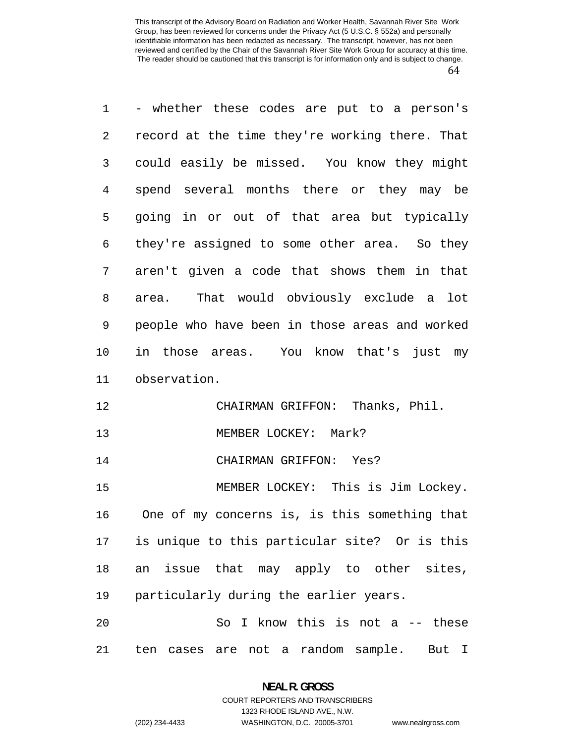- whether these codes are put to a person's record at the time they're working there. That could easily be missed. You know they might spend several months there or they may be going in or out of that area but typically they're assigned to some other area. So they aren't given a code that shows them in that area. That would obviously exclude a lot people who have been in those areas and worked in those areas. You know that's just my observation. CHAIRMAN GRIFFON: Thanks, Phil. MEMBER LOCKEY: Mark? CHAIRMAN GRIFFON: Yes? MEMBER LOCKEY: This is Jim Lockey. One of my concerns is, is this something that is unique to this particular site? Or is this an issue that may apply to other sites,

particularly during the earlier years.

So I know this is not a -- these ten cases are not a random sample. But I

## **NEAL R. GROSS**  COURT REPORTERS AND TRANSCRIBERS

1323 RHODE ISLAND AVE., N.W. (202) 234-4433 WASHINGTON, D.C. 20005-3701 www.nealrgross.com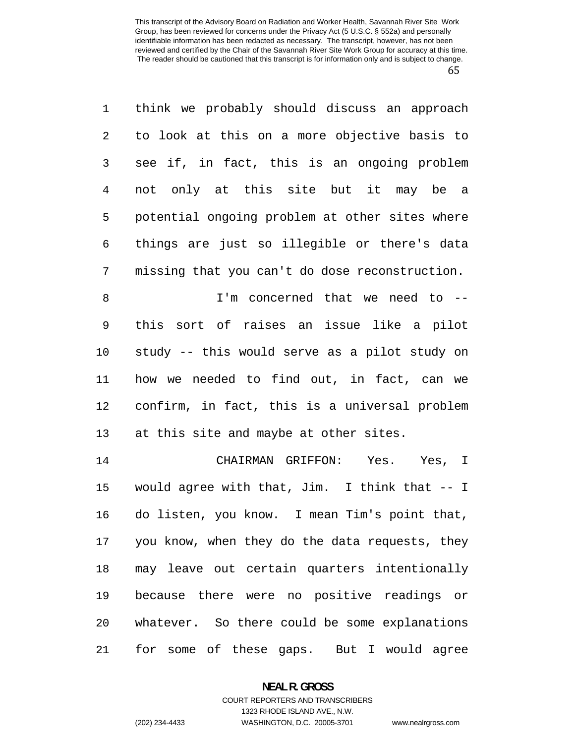think we probably should discuss an approach to look at this on a more objective basis to see if, in fact, this is an ongoing problem not only at this site but it may be a potential ongoing problem at other sites where things are just so illegible or there's data missing that you can't do dose reconstruction.

I'm concerned that we need to -- this sort of raises an issue like a pilot study -- this would serve as a pilot study on how we needed to find out, in fact, can we confirm, in fact, this is a universal problem at this site and maybe at other sites.

CHAIRMAN GRIFFON: Yes. Yes, I would agree with that, Jim. I think that -- I do listen, you know. I mean Tim's point that, you know, when they do the data requests, they may leave out certain quarters intentionally because there were no positive readings or whatever. So there could be some explanations for some of these gaps. But I would agree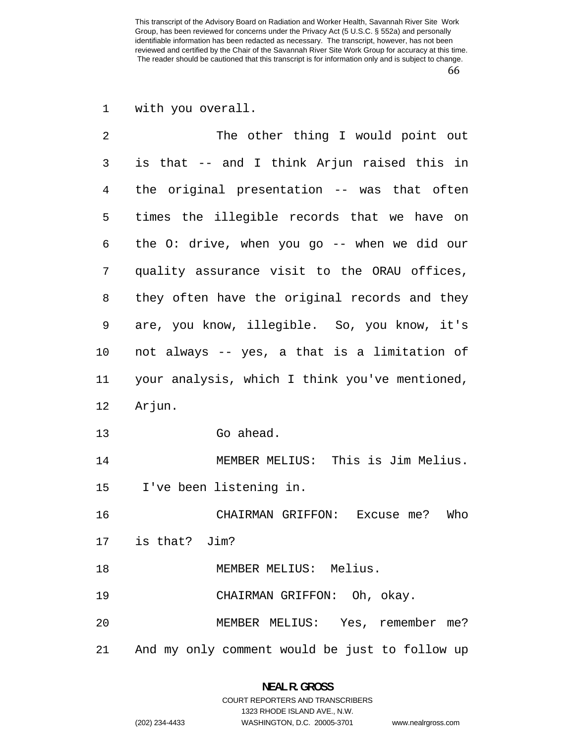with you overall.

| $\overline{2}$ | The other thing I would point out              |
|----------------|------------------------------------------------|
| 3              | is that -- and I think Arjun raised this in    |
| 4              | the original presentation -- was that often    |
| 5              | times the illegible records that we have on    |
| 6              | the O: drive, when you go -- when we did our   |
| 7              | quality assurance visit to the ORAU offices,   |
| 8              | they often have the original records and they  |
| 9              | are, you know, illegible. So, you know, it's   |
| 10             | not always -- yes, a that is a limitation of   |
| 11             | your analysis, which I think you've mentioned, |
| 12             | Arjun.                                         |
| 13             | Go ahead.                                      |
| 14             | MEMBER MELIUS: This is Jim Melius.             |
| 15             | I've been listening in.                        |
| 16             | CHAIRMAN GRIFFON: Excuse me?<br>Who            |
| 17             | is that? Jim?                                  |
| 18             | MEMBER MELIUS: Melius.                         |
| 19             | CHAIRMAN GRIFFON: Oh, okay.                    |
| 20             |                                                |
|                | MEMBER MELIUS: Yes, remember me?               |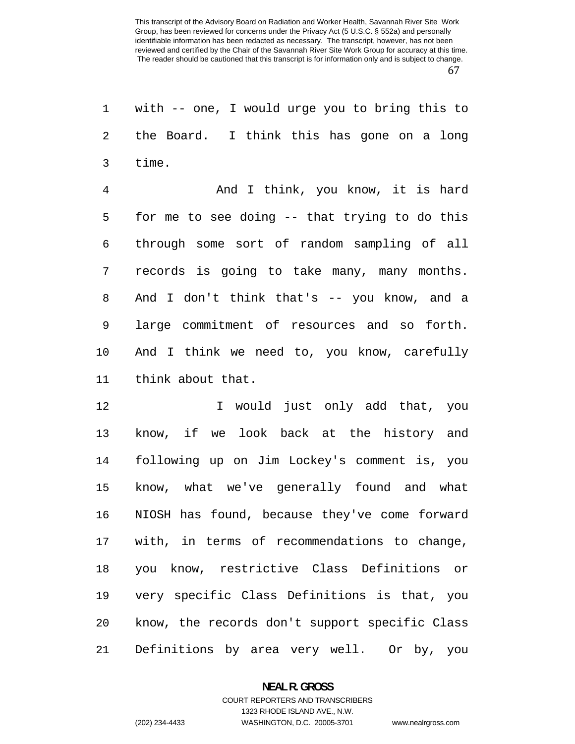with -- one, I would urge you to bring this to the Board. I think this has gone on a long time.

And I think, you know, it is hard for me to see doing -- that trying to do this through some sort of random sampling of all records is going to take many, many months. And I don't think that's -- you know, and a large commitment of resources and so forth. And I think we need to, you know, carefully think about that.

I would just only add that, you know, if we look back at the history and following up on Jim Lockey's comment is, you know, what we've generally found and what NIOSH has found, because they've come forward with, in terms of recommendations to change, you know, restrictive Class Definitions or very specific Class Definitions is that, you know, the records don't support specific Class Definitions by area very well. Or by, you

#### **NEAL R. GROSS**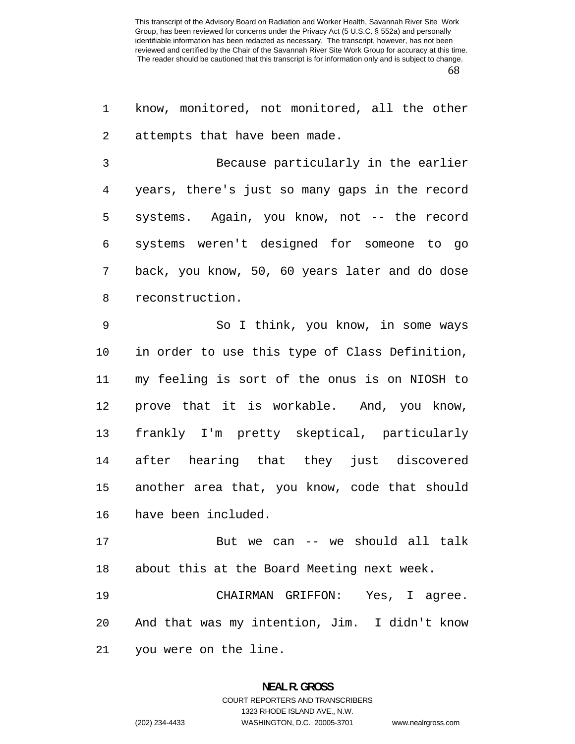know, monitored, not monitored, all the other attempts that have been made.

Because particularly in the earlier years, there's just so many gaps in the record systems. Again, you know, not -- the record systems weren't designed for someone to go back, you know, 50, 60 years later and do dose reconstruction.

So I think, you know, in some ways in order to use this type of Class Definition, my feeling is sort of the onus is on NIOSH to prove that it is workable. And, you know, frankly I'm pretty skeptical, particularly after hearing that they just discovered another area that, you know, code that should have been included.

But we can -- we should all talk about this at the Board Meeting next week.

CHAIRMAN GRIFFON: Yes, I agree. And that was my intention, Jim. I didn't know you were on the line.

## **NEAL R. GROSS**  COURT REPORTERS AND TRANSCRIBERS 1323 RHODE ISLAND AVE., N.W.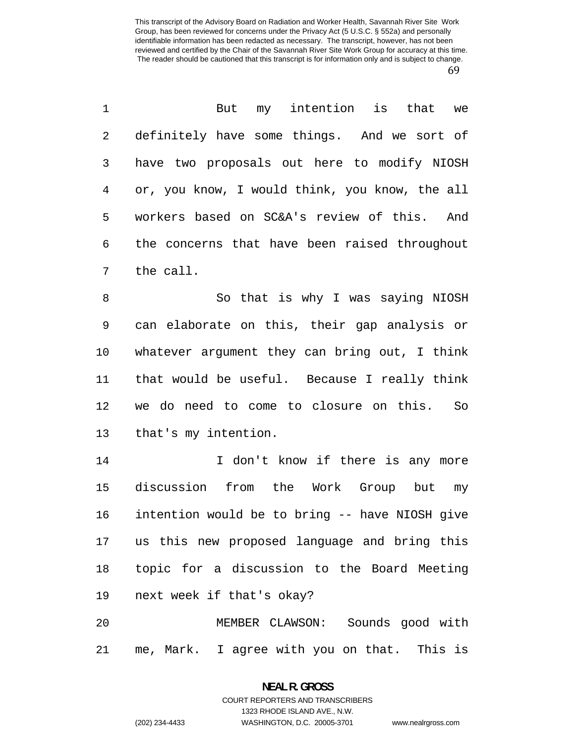But my intention is that we definitely have some things. And we sort of have two proposals out here to modify NIOSH or, you know, I would think, you know, the all workers based on SC&A's review of this. And the concerns that have been raised throughout the call.

So that is why I was saying NIOSH can elaborate on this, their gap analysis or whatever argument they can bring out, I think that would be useful. Because I really think we do need to come to closure on this. So that's my intention.

14 I don't know if there is any more discussion from the Work Group but my intention would be to bring -- have NIOSH give us this new proposed language and bring this topic for a discussion to the Board Meeting next week if that's okay?

MEMBER CLAWSON: Sounds good with me, Mark. I agree with you on that. This is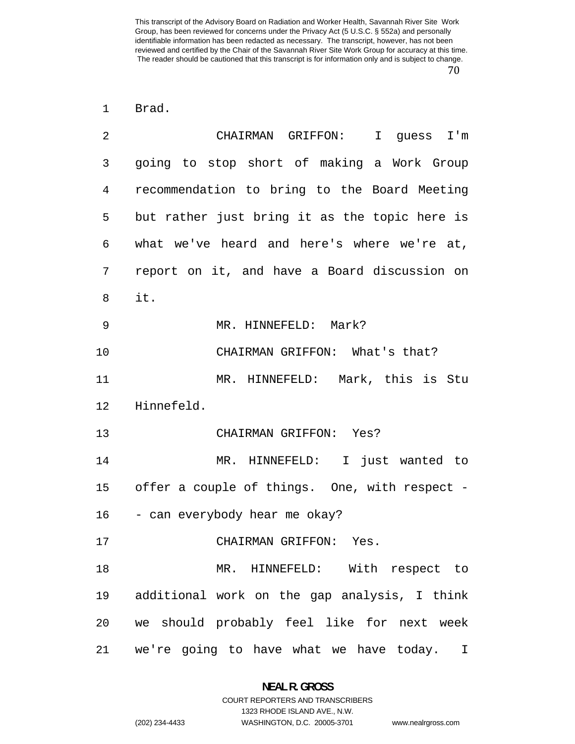Brad.

| 2  | CHAIRMAN GRIFFON: I guess I'm                 |
|----|-----------------------------------------------|
| 3  | going to stop short of making a Work Group    |
| 4  | recommendation to bring to the Board Meeting  |
| 5  | but rather just bring it as the topic here is |
| 6  | what we've heard and here's where we're at,   |
| 7  | report on it, and have a Board discussion on  |
| 8  | it.                                           |
| 9  | MR. HINNEFELD: Mark?                          |
| 10 | CHAIRMAN GRIFFON: What's that?                |
| 11 | MR. HINNEFELD: Mark, this is Stu              |
| 12 | Hinnefeld.                                    |
| 13 | CHAIRMAN GRIFFON: Yes?                        |
| 14 | MR. HINNEFELD: I just wanted to               |
| 15 | offer a couple of things. One, with respect - |
| 16 | - can everybody hear me okay?                 |
| 17 | CHAIRMAN GRIFFON: Yes.                        |
| 18 | MR. HINNEFELD: With respect to                |
| 19 | additional work on the gap analysis, I think  |
| 20 | we should probably feel like for next week    |
| 21 | we're going to have what we have today. I     |

1323 RHODE ISLAND AVE., N.W.

(202) 234-4433 WASHINGTON, D.C. 20005-3701 www.nealrgross.com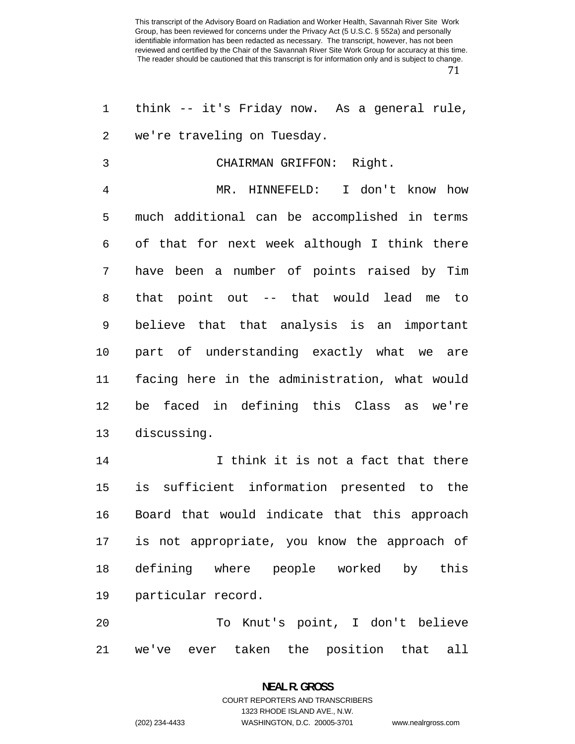think -- it's Friday now. As a general rule, we're traveling on Tuesday.

CHAIRMAN GRIFFON: Right.

MR. HINNEFELD: I don't know how much additional can be accomplished in terms of that for next week although I think there have been a number of points raised by Tim that point out -- that would lead me to believe that that analysis is an important part of understanding exactly what we are facing here in the administration, what would be faced in defining this Class as we're discussing.

I think it is not a fact that there is sufficient information presented to the Board that would indicate that this approach is not appropriate, you know the approach of defining where people worked by this particular record.

To Knut's point, I don't believe we've ever taken the position that all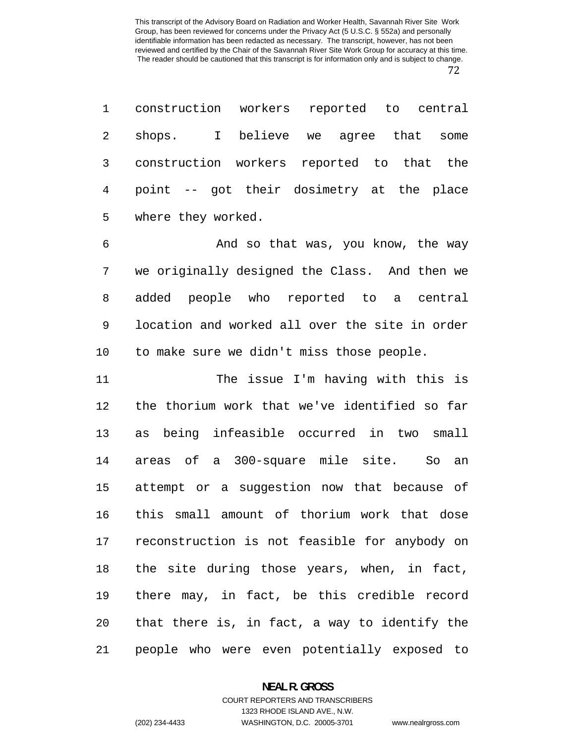construction workers reported to central shops. I believe we agree that some construction workers reported to that the point -- got their dosimetry at the place where they worked.

And so that was, you know, the way we originally designed the Class. And then we added people who reported to a central location and worked all over the site in order to make sure we didn't miss those people.

The issue I'm having with this is the thorium work that we've identified so far as being infeasible occurred in two small areas of a 300-square mile site. So an attempt or a suggestion now that because of this small amount of thorium work that dose reconstruction is not feasible for anybody on the site during those years, when, in fact, there may, in fact, be this credible record that there is, in fact, a way to identify the people who were even potentially exposed to

## **NEAL R. GROSS**  COURT REPORTERS AND TRANSCRIBERS

1323 RHODE ISLAND AVE., N.W.

(202) 234-4433 WASHINGTON, D.C. 20005-3701 www.nealrgross.com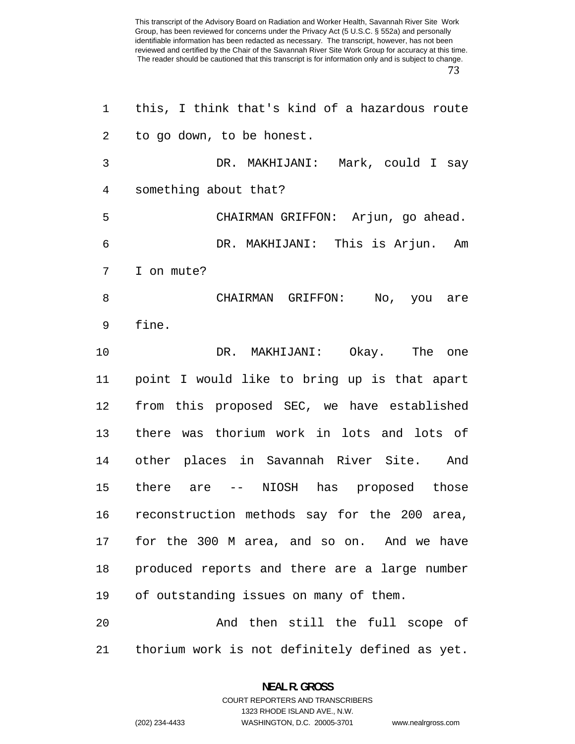| 1              | this, I think that's kind of a hazardous route |
|----------------|------------------------------------------------|
| $\overline{2}$ | to go down, to be honest.                      |
| 3              | DR. MAKHIJANI: Mark, could I say               |
| 4              | something about that?                          |
| 5              | CHAIRMAN GRIFFON: Arjun, go ahead.             |
| 6              | DR. MAKHIJANI: This is Arjun. Am               |
| 7              | I on mute?                                     |
| 8              | CHAIRMAN GRIFFON: No, you are                  |
| 9              | fine.                                          |
| 10             | DR. MAKHIJANI: Okay. The one                   |
| 11             | point I would like to bring up is that apart   |
| 12             | from this proposed SEC, we have established    |
| 13             | there was thorium work in lots and lots of     |
| 14             | other places in Savannah River Site. And       |
| 15             | there are -- NIOSH has proposed those          |
| 16             | reconstruction methods say for the 200 area,   |
| 17             | for the 300 M area, and so on. And we have     |
| 18             | produced reports and there are a large number  |
| 19             | of outstanding issues on many of them.         |
| 20             | And then still the full scope of               |
| 21             | thorium work is not definitely defined as yet. |

# **NEAL R. GROSS**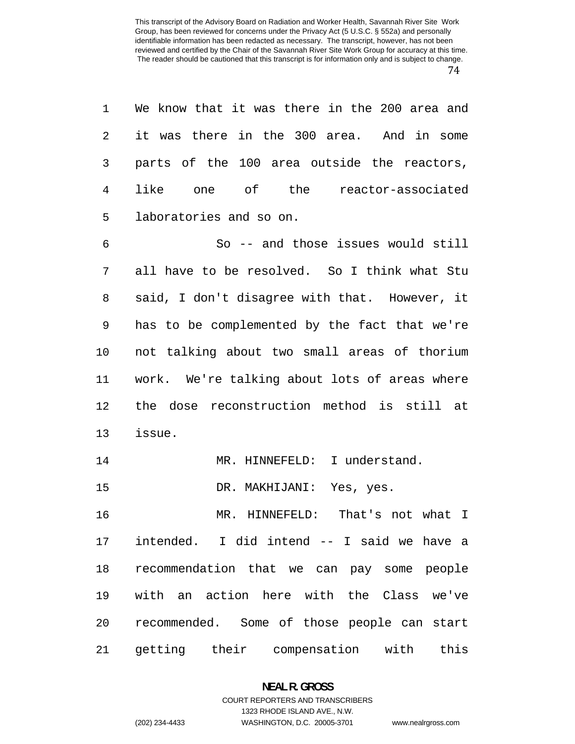| 1              | We know that it was there in the 200 area and |
|----------------|-----------------------------------------------|
| 2              | it was there in the 300 area. And in some     |
| 3              | parts of the 100 area outside the reactors,   |
| $\overline{4}$ | like one of the reactor-associated            |
| 5              | laboratories and so on.                       |
| 6              | So -- and those issues would still            |
| 7              | all have to be resolved. So I think what Stu  |
| 8              | said, I don't disagree with that. However, it |
| 9              | has to be complemented by the fact that we're |
| 10             | not talking about two small areas of thorium  |
| 11             | work. We're talking about lots of areas where |
| 12             | the dose reconstruction method is still at    |
| 13             | issue.                                        |
| 14             | MR. HINNEFELD: I understand.                  |
| 15             | DR. MAKHIJANI: Yes, yes.                      |
| 16             | MR. HINNEFELD:<br>That's not what I           |
| 17             | intended. I did intend -- I said we have a    |
| 18             | recommendation that we can pay some people    |
| 19             | with an action here with the Class we've      |
| 20             | recommended. Some of those people can start   |
| 21             | getting their compensation with this          |

#### **NEAL R. GROSS**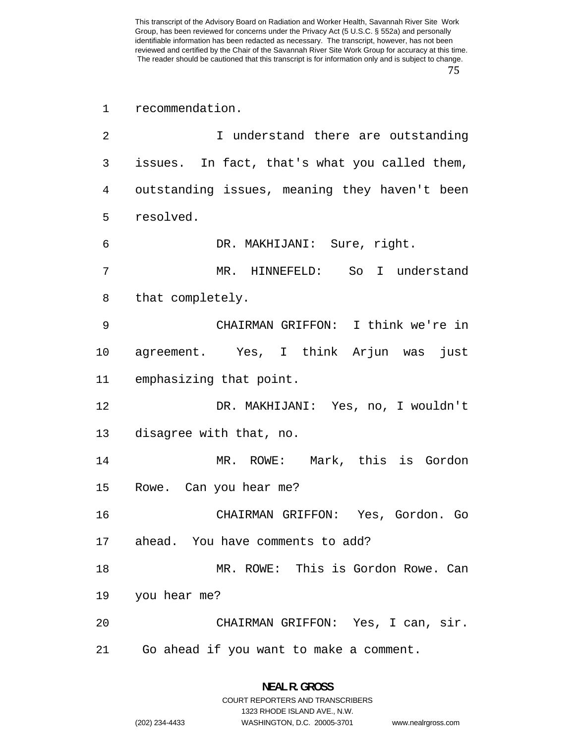recommendation.

| 2  | I understand there are outstanding            |
|----|-----------------------------------------------|
| 3  | issues. In fact, that's what you called them, |
| 4  | outstanding issues, meaning they haven't been |
| 5  | resolved.                                     |
| 6  | DR. MAKHIJANI: Sure, right.                   |
| 7  | MR. HINNEFELD: So I understand                |
| 8  | that completely.                              |
| 9  | CHAIRMAN GRIFFON: I think we're in            |
| 10 | agreement. Yes, I think Arjun was<br>just     |
| 11 | emphasizing that point.                       |
| 12 | DR. MAKHIJANI: Yes, no, I wouldn't            |
| 13 | disagree with that, no.                       |
| 14 | MR. ROWE: Mark, this is Gordon                |
| 15 | Rowe. Can you hear me?                        |
| 16 | CHAIRMAN GRIFFON: Yes, Gordon. Go             |
| 17 | ahead. You have comments to add?              |
| 18 | MR. ROWE: This is Gordon Rowe. Can            |
| 19 | you hear me?                                  |
| 20 | CHAIRMAN GRIFFON: Yes, I can, sir.            |
| 21 | Go ahead if you want to make a comment.       |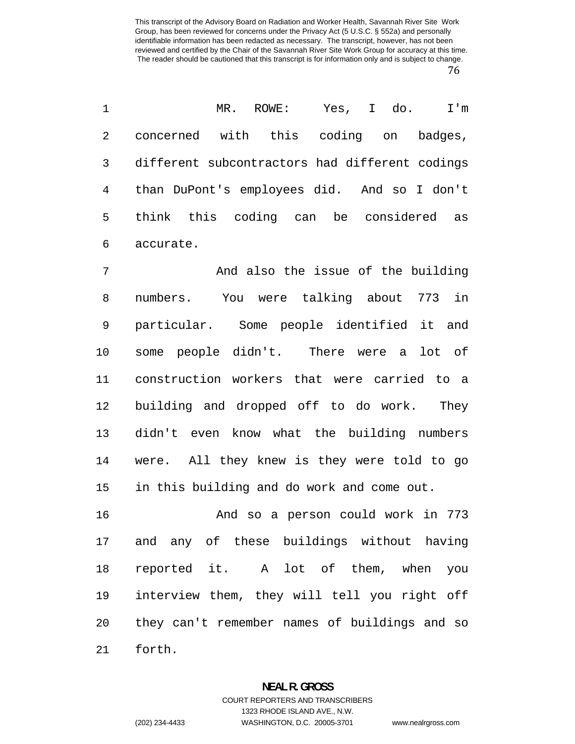MR. ROWE: Yes, I do. I'm concerned with this coding on badges, different subcontractors had different codings than DuPont's employees did. And so I don't think this coding can be considered as accurate.

And also the issue of the building numbers. You were talking about 773 in particular. Some people identified it and some people didn't. There were a lot of construction workers that were carried to a building and dropped off to do work. They didn't even know what the building numbers were. All they knew is they were told to go in this building and do work and come out.

And so a person could work in 773 and any of these buildings without having reported it. A lot of them, when you interview them, they will tell you right off they can't remember names of buildings and so forth.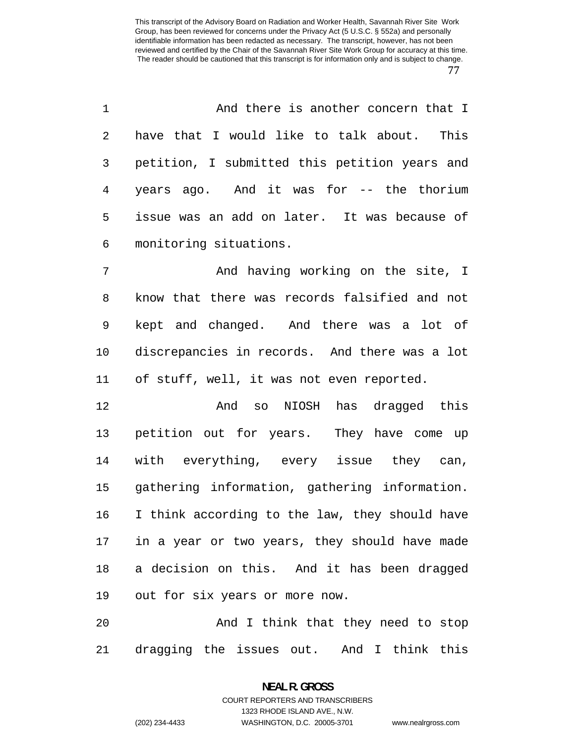| 1  | And there is another concern that I            |
|----|------------------------------------------------|
| 2  | have that I would like to talk about. This     |
| 3  | petition, I submitted this petition years and  |
| 4  | years ago. And it was for -- the thorium       |
| 5  | issue was an add on later. It was because of   |
| 6  | monitoring situations.                         |
| 7  | And having working on the site, I              |
| 8  | know that there was records falsified and not  |
| 9  | kept and changed. And there was a lot of       |
| 10 | discrepancies in records. And there was a lot  |
| 11 | of stuff, well, it was not even reported.      |
| 12 | And so NIOSH has dragged this                  |
| 13 | petition out for years. They have come up      |
| 14 | with everything, every issue they can,         |
| 15 | gathering information, gathering information.  |
| 16 | I think according to the law, they should have |
| 17 | in a year or two years, they should have made  |
| 18 | a decision on this. And it has been dragged    |
| 19 | out for six years or more now.                 |
| 20 | And I think that they need to stop             |
| 21 | dragging the issues out. And I think this      |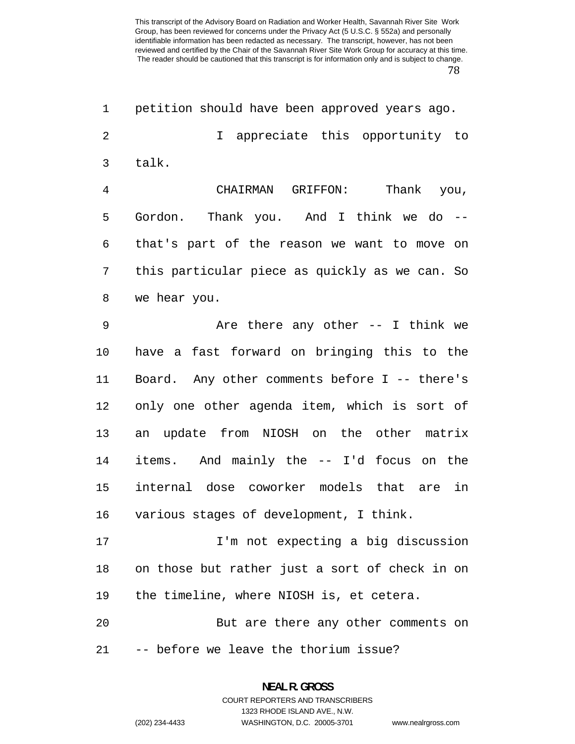| $\mathbf 1$    | petition should have been approved years ago.  |
|----------------|------------------------------------------------|
| $\overline{2}$ | appreciate this opportunity to<br>$\mathbf{I}$ |
| 3              | talk.                                          |
| 4              | CHAIRMAN GRIFFON:<br>Thank you,                |
| 5              | Gordon. Thank you. And I think we do --        |
| 6              | that's part of the reason we want to move on   |
| 7              | this particular piece as quickly as we can. So |
| 8              | we hear you.                                   |
| 9              | Are there any other $-$ I think we             |
| 10             | have a fast forward on bringing this to the    |
| 11             | Board. Any other comments before I -- there's  |
| 12             | only one other agenda item, which is sort of   |
| 13             | an update from NIOSH on the other matrix       |
| 14             | items. And mainly the -- I'd focus on the      |
| 15             | internal dose coworker models that are<br>in   |
| 16             | various stages of development, I think.        |
| 17             | I'm not expecting a big discussion             |
| 18             | on those but rather just a sort of check in on |
| 19             | the timeline, where NIOSH is, et cetera.       |
| 20             | But are there any other comments on            |
| 21             | -- before we leave the thorium issue?          |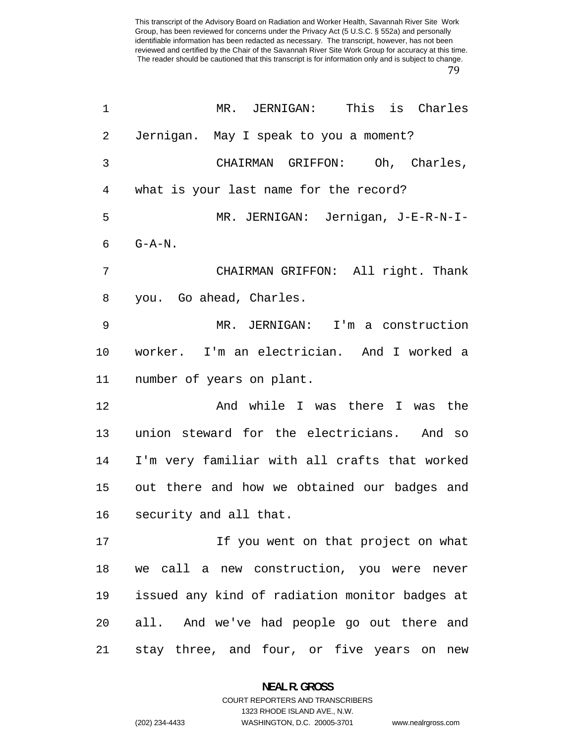| 1  | MR. JERNIGAN: This is Charles                  |
|----|------------------------------------------------|
| 2  | Jernigan. May I speak to you a moment?         |
| 3  | CHAIRMAN GRIFFON: Oh, Charles,                 |
| 4  | what is your last name for the record?         |
| 5  | MR. JERNIGAN: Jernigan, J-E-R-N-I-             |
| 6  | $G - A - N$ .                                  |
| 7  | CHAIRMAN GRIFFON: All right. Thank             |
| 8  | you. Go ahead, Charles.                        |
| 9  | MR. JERNIGAN: I'm a construction               |
| 10 | worker. I'm an electrician. And I worked a     |
| 11 | number of years on plant.                      |
| 12 | And while I was there I was the                |
| 13 | union steward for the electricians. And so     |
| 14 | I'm very familiar with all crafts that worked  |
| 15 | out there and how we obtained our badges and   |
| 16 | security and all that.                         |
| 17 | If you went on that project on what            |
| 18 | we call a new construction, you were never     |
| 19 | issued any kind of radiation monitor badges at |
| 20 | all. And we've had people go out there and     |
| 21 | stay three, and four, or five years on new     |

**NEAL R. GROSS**  COURT REPORTERS AND TRANSCRIBERS

1323 RHODE ISLAND AVE., N.W.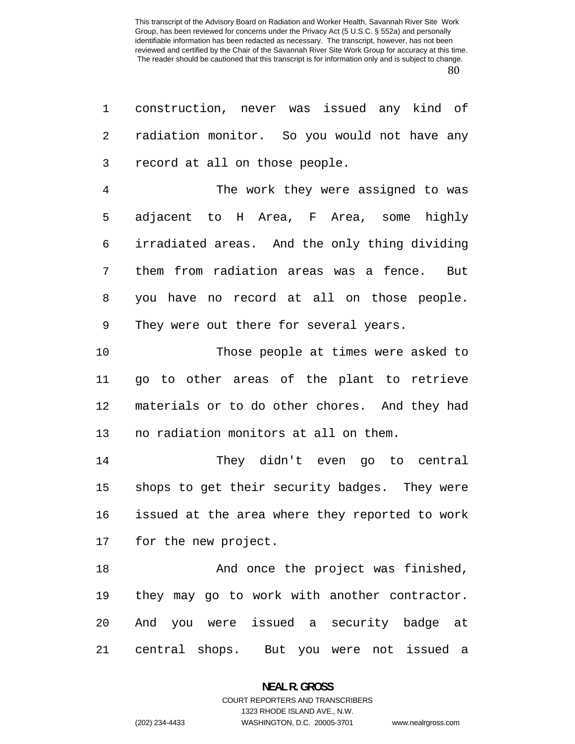construction, never was issued any kind of radiation monitor. So you would not have any record at all on those people.

The work they were assigned to was adjacent to H Area, F Area, some highly irradiated areas. And the only thing dividing them from radiation areas was a fence. But you have no record at all on those people. They were out there for several years.

Those people at times were asked to go to other areas of the plant to retrieve materials or to do other chores. And they had no radiation monitors at all on them.

They didn't even go to central shops to get their security badges. They were issued at the area where they reported to work for the new project.

And once the project was finished, they may go to work with another contractor. And you were issued a security badge at central shops. But you were not issued a

#### **NEAL R. GROSS**  COURT REPORTERS AND TRANSCRIBERS

1323 RHODE ISLAND AVE., N.W. (202) 234-4433 WASHINGTON, D.C. 20005-3701 www.nealrgross.com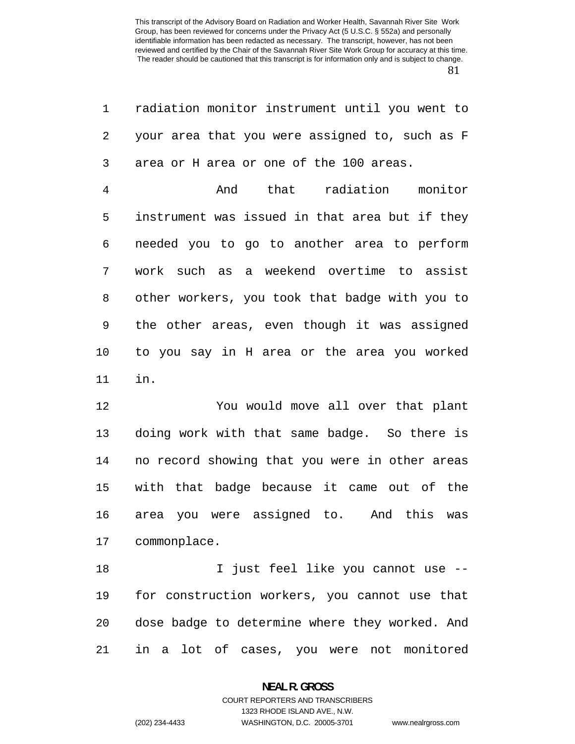| 1              | radiation monitor instrument until you went to |
|----------------|------------------------------------------------|
| 2              | your area that you were assigned to, such as F |
| 3              | area or H area or one of the 100 areas.        |
| $\overline{4}$ | And that radiation monitor                     |
| 5              | instrument was issued in that area but if they |
| 6              | needed you to go to another area to perform    |
| 7              | work such as a weekend overtime to assist      |
| 8              | other workers, you took that badge with you to |
| 9              | the other areas, even though it was assigned   |
| 10             | to you say in H area or the area you worked    |
| 11             | in.                                            |
| 12             | You would move all over that plant             |
| 13             | doing work with that same badge. So there is   |
| 14             | no record showing that you were in other areas |
| 15             | with that badge because it came out of the     |
| 16             | area you were assigned to. And this was        |
| 17             | commonplace.                                   |
| 18             | I just feel like you cannot use --             |
| 19             | for construction workers, you cannot use that  |
| 20             | dose badge to determine where they worked. And |
|                |                                                |

in a lot of cases, you were not monitored

### **NEAL R. GROSS**  COURT REPORTERS AND TRANSCRIBERS

1323 RHODE ISLAND AVE., N.W. (202) 234-4433 WASHINGTON, D.C. 20005-3701 www.nealrgross.com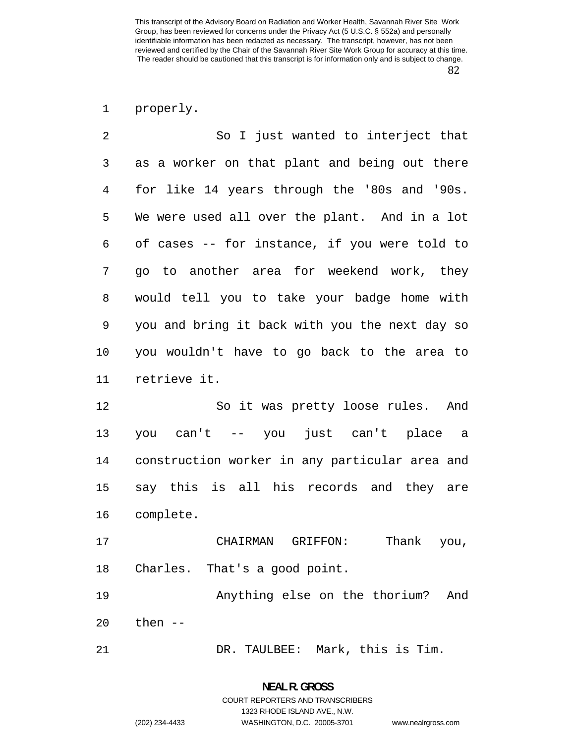properly.

| $\overline{2}$ | So I just wanted to interject that             |
|----------------|------------------------------------------------|
| 3              | as a worker on that plant and being out there  |
| 4              | for like 14 years through the '80s and '90s.   |
| 5              | We were used all over the plant. And in a lot  |
| 6              | of cases -- for instance, if you were told to  |
| 7              | go to another area for weekend work, they      |
| 8              | would tell you to take your badge home with    |
| 9              | you and bring it back with you the next day so |
| 10             | you wouldn't have to go back to the area to    |
| 11             | retrieve it.                                   |
| 12             | So it was pretty loose rules. And              |
| 13             | you can't -- you just can't place a            |
| 14             | construction worker in any particular area and |
| 15             | say this is all his records and they are       |
| 16             | complete.                                      |
| 17             | CHAIRMAN GRIFFON:<br>Thank you,                |
| 18             | Charles. That's a good point.                  |
| 19             | Anything else on the thorium?<br>And           |
| 20             | then $--$                                      |

DR. TAULBEE: Mark, this is Tim.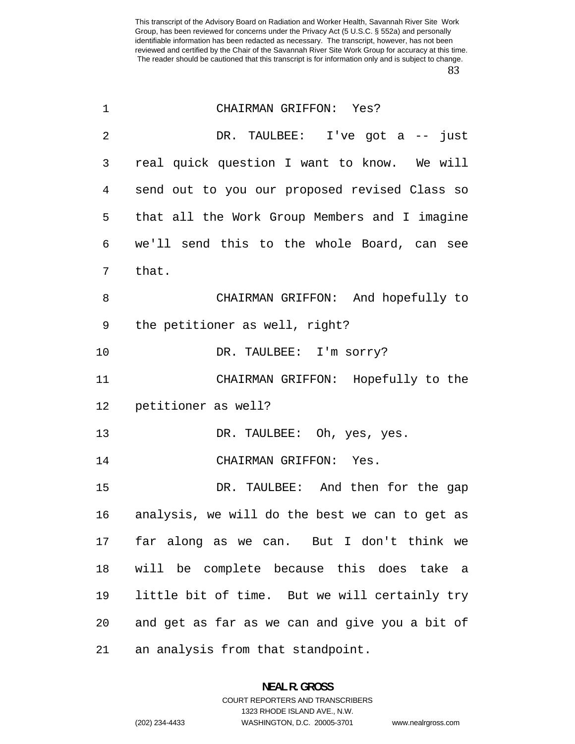| $\mathbf 1$    | CHAIRMAN GRIFFON: Yes?                         |
|----------------|------------------------------------------------|
| $\overline{2}$ | DR. TAULBEE: I've got a -- just                |
| 3              | real quick question I want to know. We will    |
| 4              | send out to you our proposed revised Class so  |
| 5              | that all the Work Group Members and I imagine  |
| 6              | we'll send this to the whole Board, can see    |
| 7              | that.                                          |
| 8              | CHAIRMAN GRIFFON: And hopefully to             |
| 9              | the petitioner as well, right?                 |
| 10             | DR. TAULBEE: I'm sorry?                        |
| 11             | CHAIRMAN GRIFFON: Hopefully to the             |
| 12             | petitioner as well?                            |
| 13             | DR. TAULBEE: Oh, yes, yes.                     |
| 14             | CHAIRMAN GRIFFON: Yes.                         |
| 15             | DR. TAULBEE: And then for the gap              |
| 16             | analysis, we will do the best we can to get as |
| 17             | far along as we can. But I don't think we      |
| 18             | will be complete because this does take a      |
| 19             | little bit of time. But we will certainly try  |
| 20             | and get as far as we can and give you a bit of |
| 21             | an analysis from that standpoint.              |

### **NEAL R. GROSS**  COURT REPORTERS AND TRANSCRIBERS

1323 RHODE ISLAND AVE., N.W.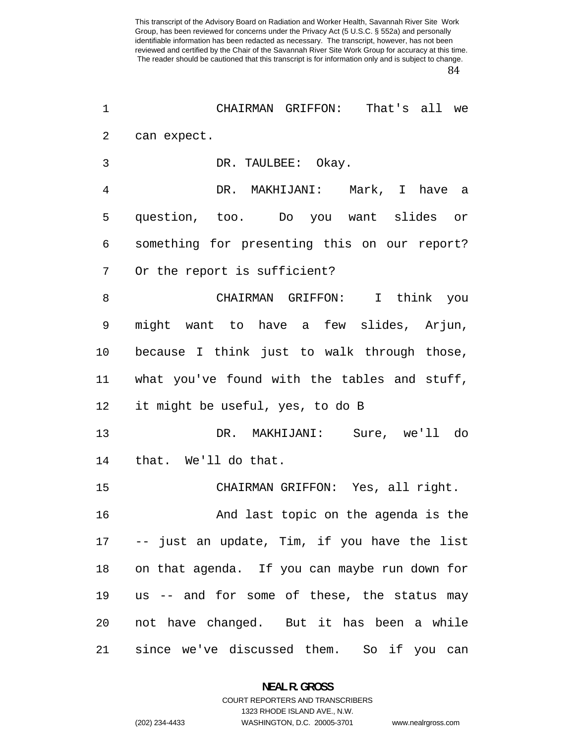| 1  | CHAIRMAN GRIFFON: That's all we                 |
|----|-------------------------------------------------|
| 2  | can expect.                                     |
| 3  | DR. TAULBEE: Okay.                              |
| 4  | DR. MAKHIJANI: Mark, I have a                   |
| 5  | question, too. Do you want slides or            |
| 6  | something for presenting this on our report?    |
| 7  | Or the report is sufficient?                    |
| 8  | CHAIRMAN GRIFFON: I think you                   |
| 9  | might want to have a few slides, Arjun,         |
| 10 | because I think just to walk through those,     |
| 11 | what you've found with the tables and stuff,    |
| 12 | it might be useful, yes, to do B                |
| 13 | DR. MAKHIJANI: Sure, we'll do                   |
| 14 | that. We'll do that.                            |
| 15 | CHAIRMAN GRIFFON: Yes, all right.               |
| 16 | And last topic on the agenda is the             |
|    | 17 -- just an update, Tim, if you have the list |
| 18 | on that agenda. If you can maybe run down for   |
| 19 | us -- and for some of these, the status may     |
| 20 | not have changed. But it has been a while       |
| 21 | since we've discussed them. So if you can       |

**NEAL R. GROSS**  COURT REPORTERS AND TRANSCRIBERS

1323 RHODE ISLAND AVE., N.W.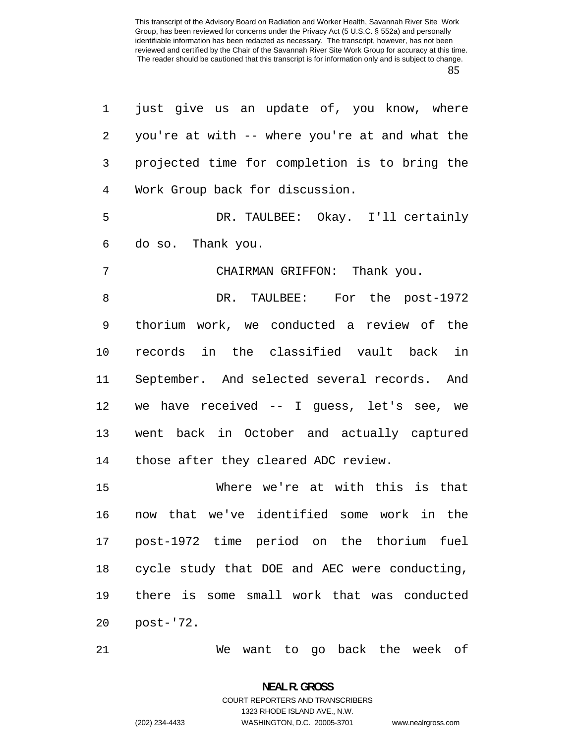| $\mathbf 1$    | just give us an update of, you know, where     |
|----------------|------------------------------------------------|
| 2              | you're at with -- where you're at and what the |
| 3              | projected time for completion is to bring the  |
| $\overline{4}$ | Work Group back for discussion.                |
| 5              | DR. TAULBEE: Okay. I'll certainly              |
| 6              | do so. Thank you.                              |
| 7              | CHAIRMAN GRIFFON: Thank you.                   |
| 8              | DR. TAULBEE: For the post-1972                 |
| 9              | thorium work, we conducted a review of the     |
| 10             | records in the classified vault back in        |
| 11             | September. And selected several records. And   |
| 12             | we have received $-$ I guess, let's see, we    |
| 13             | went back in October and actually captured     |
| 14             | those after they cleared ADC review.           |
| 15             | Where we're at with this is that               |
| 16             | that we've identified some work in the<br>now  |
|                | 17 post-1972 time period on the thorium fuel   |
| 18             | cycle study that DOE and AEC were conducting,  |
| 19             | there is some small work that was conducted    |
| 20             | post-'72.                                      |

We want to go back the week of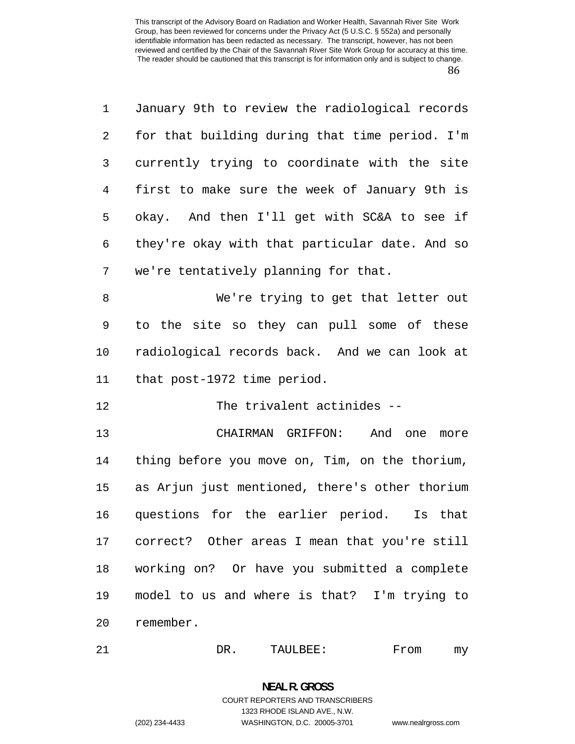| 1              | January 9th to review the radiological records |
|----------------|------------------------------------------------|
| $\overline{2}$ | for that building during that time period. I'm |
| 3              | currently trying to coordinate with the site   |
| 4              | first to make sure the week of January 9th is  |
| 5              | okay. And then I'll get with SC&A to see if    |
| 6              | they're okay with that particular date. And so |
| 7              | we're tentatively planning for that.           |
| 8              | We're trying to get that letter out            |
| 9              | to the site so they can pull some of these     |
| 10             | radiological records back. And we can look at  |
| 11             | that post-1972 time period.                    |
| 12             | The trivalent actinides --                     |
| 13             | CHAIRMAN GRIFFON:<br>And one<br>more           |
| 14             | thing before you move on, Tim, on the thorium, |
| 15             | as Arjun just mentioned, there's other thorium |
| 16             | questions for the earlier period.<br>Is that   |

21 DR. TAULBEE: From my

correct? Other areas I mean that you're still

working on? Or have you submitted a complete

model to us and where is that? I'm trying to

## **NEAL R. GROSS**  COURT REPORTERS AND TRANSCRIBERS 1323 RHODE ISLAND AVE., N.W. (202) 234-4433 WASHINGTON, D.C. 20005-3701 www.nealrgross.com

remember.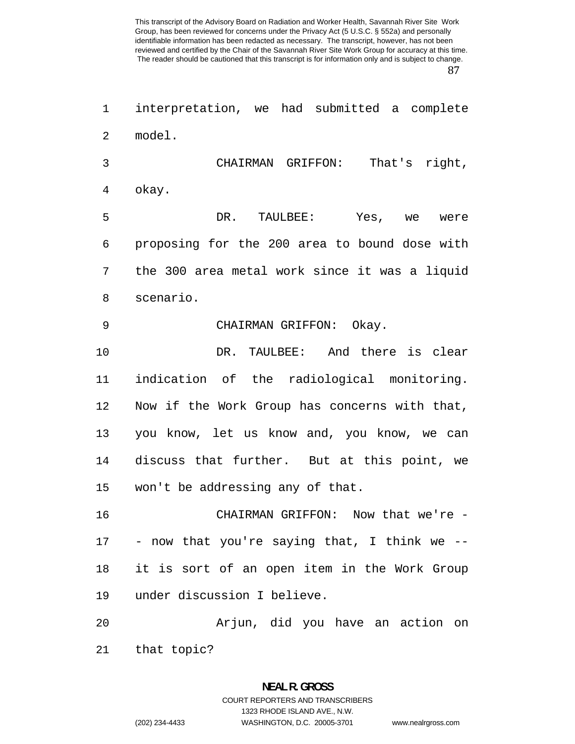interpretation, we had submitted a complete model. CHAIRMAN GRIFFON: That's right, okay. DR. TAULBEE: Yes, we were proposing for the 200 area to bound dose with the 300 area metal work since it was a liquid scenario. 9 CHAIRMAN GRIFFON: Okay. DR. TAULBEE: And there is clear indication of the radiological monitoring. Now if the Work Group has concerns with that, you know, let us know and, you know, we can discuss that further. But at this point, we won't be addressing any of that. CHAIRMAN GRIFFON: Now that we're - - now that you're saying that, I think we -- it is sort of an open item in the Work Group under discussion I believe. Arjun, did you have an action on that topic?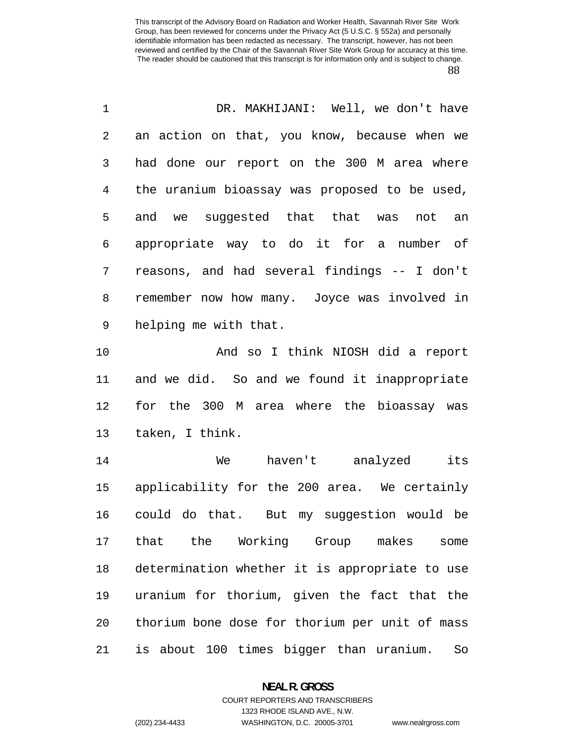| 1              | DR. MAKHIJANI: Well, we don't have             |
|----------------|------------------------------------------------|
| 2              | an action on that, you know, because when we   |
| 3              | had done our report on the 300 M area where    |
| $\overline{4}$ | the uranium bioassay was proposed to be used,  |
| 5              | and we suggested that that was not an          |
| 6              | appropriate way to do it for a number of       |
| 7              | reasons, and had several findings -- I don't   |
| $\,8\,$        | remember now how many. Joyce was involved in   |
| 9              | helping me with that.                          |
| 10             | And so I think NIOSH did a report              |
| 11             | and we did. So and we found it inappropriate   |
| 12             | for the 300 M area where the bioassay was      |
| 13             | taken, I think.                                |
| 14             | haven't analyzed<br>its<br>We                  |
| 15             | applicability for the 200 area. We certainly   |
|                | 16 could do that. But my suggestion would be   |
| 17             | that the Working Group makes<br>some           |
| 18             | determination whether it is appropriate to use |
| 19             | uranium for thorium, given the fact that the   |
| 20             | thorium bone dose for thorium per unit of mass |
| 21             | is about 100 times bigger than uranium.<br>So  |

**NEAL R. GROSS**  COURT REPORTERS AND TRANSCRIBERS

1323 RHODE ISLAND AVE., N.W.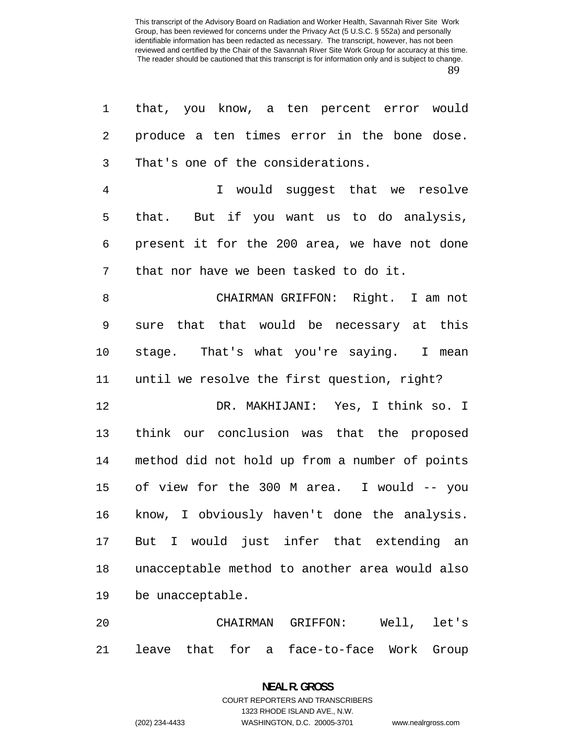| 1              | that, you know, a ten percent error would      |
|----------------|------------------------------------------------|
| $\sqrt{2}$     | produce a ten times error in the bone dose.    |
| 3              | That's one of the considerations.              |
| $\overline{4}$ | I would suggest that we resolve                |
| 5              | that. But if you want us to do analysis,       |
| 6              | present it for the 200 area, we have not done  |
| 7              | that nor have we been tasked to do it.         |
| 8              | CHAIRMAN GRIFFON: Right. I am not              |
| $\mathsf 9$    | sure that that would be necessary at this      |
| 10             | stage. That's what you're saying. I mean       |
| 11             | until we resolve the first question, right?    |
| 12             | DR. MAKHIJANI: Yes, I think so. I              |
| 13             | think our conclusion was that the proposed     |
| 14             | method did not hold up from a number of points |
| 15             | of view for the 300 M area. I would -- you     |
| 16             | know, I obviously haven't done the analysis.   |
| 17             | But I would just infer that extending an       |
| 18             | unacceptable method to another area would also |
| 19             | be unacceptable.                               |
| 20             | GRIFFON:<br>Well, let's<br>CHAIRMAN            |

leave that for a face-to-face Work Group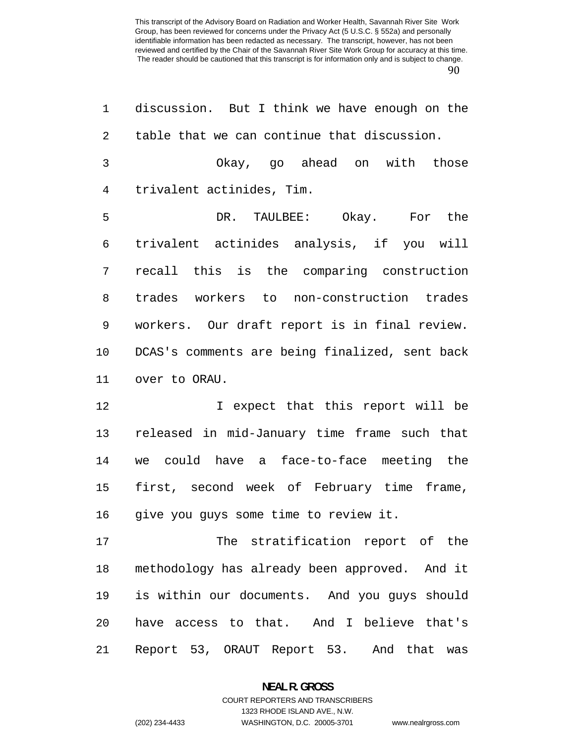| 1              | discussion. But I think we have enough on the  |
|----------------|------------------------------------------------|
| 2              | table that we can continue that discussion.    |
| $\mathfrak{Z}$ | Okay, go ahead on with those                   |
| 4              | trivalent actinides, Tim.                      |
| 5              | DR. TAULBEE: Okay. For the                     |
| 6              | trivalent actinides analysis, if you will      |
| 7              | recall this is the comparing construction      |
| 8              | trades workers to non-construction trades      |
| 9              | workers. Our draft report is in final review.  |
| 10             | DCAS's comments are being finalized, sent back |
| 11             | over to ORAU.                                  |
| 12             | I expect that this report will be              |
| 13             | released in mid-January time frame such that   |
| 14             | we could have a face-to-face meeting the       |
| 15             | first, second week of February time frame,     |
| 16             | give you guys some time to review it.          |
| 17             | The stratification report of the               |
| 18             | methodology has already been approved. And it  |
| 19             | is within our documents. And you guys should   |
| 20             | have access to that. And I believe that's      |
| 21             | Report 53, ORAUT Report 53. And that<br>was    |

**NEAL R. GROSS**  COURT REPORTERS AND TRANSCRIBERS

1323 RHODE ISLAND AVE., N.W. (202) 234-4433 WASHINGTON, D.C. 20005-3701 www.nealrgross.com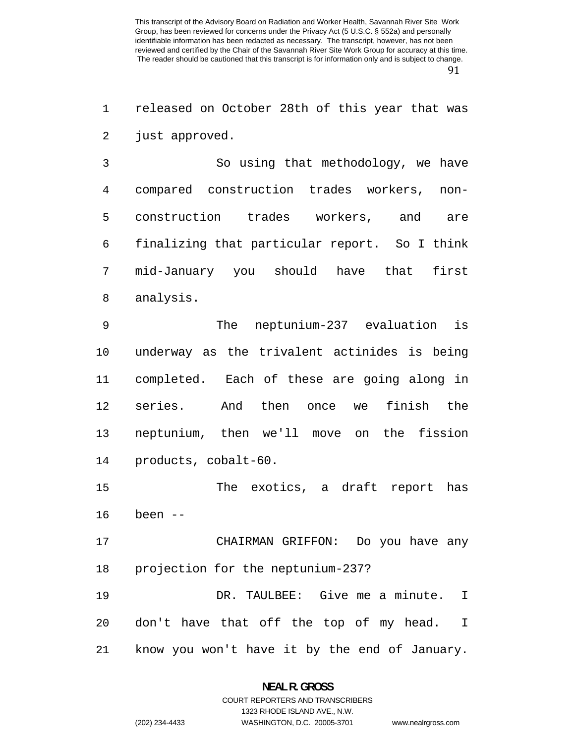released on October 28th of this year that was just approved.

So using that methodology, we have compared construction trades workers, non-construction trades workers, and are finalizing that particular report. So I think mid-January you should have that first analysis.

The neptunium-237 evaluation is underway as the trivalent actinides is being completed. Each of these are going along in series. And then once we finish the neptunium, then we'll move on the fission products, cobalt-60.

The exotics, a draft report has been --

CHAIRMAN GRIFFON: Do you have any projection for the neptunium-237?

DR. TAULBEE: Give me a minute. I don't have that off the top of my head. I know you won't have it by the end of January.

### **NEAL R. GROSS**  COURT REPORTERS AND TRANSCRIBERS

1323 RHODE ISLAND AVE., N.W.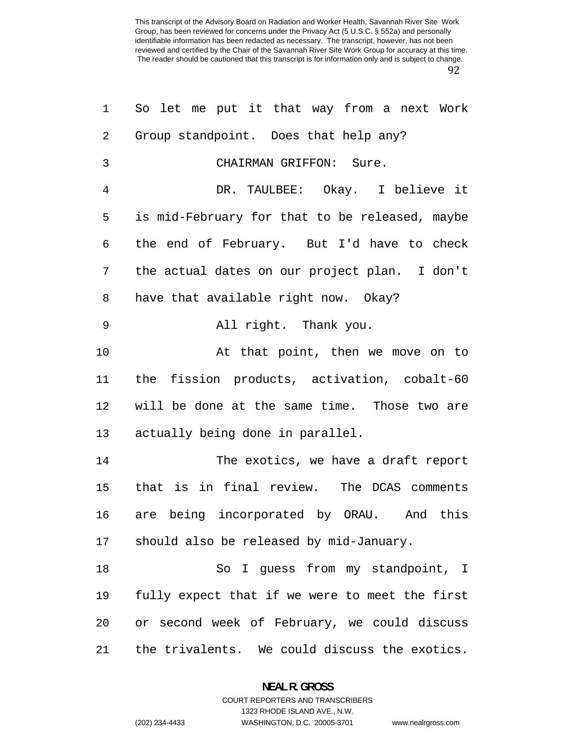| 1              | So let me put it that way from a next Work     |
|----------------|------------------------------------------------|
| $\overline{2}$ | Group standpoint. Does that help any?          |
| 3              | CHAIRMAN GRIFFON: Sure.                        |
| 4              | DR. TAULBEE: Okay. I believe it                |
| 5              | is mid-February for that to be released, maybe |
| 6              | the end of February. But I'd have to check     |
| 7              | the actual dates on our project plan. I don't  |
| 8              | have that available right now. Okay?           |
| 9              | All right. Thank you.                          |
| 10             | At that point, then we move on to              |
| 11             | the fission products, activation, cobalt-60    |
| 12             | will be done at the same time. Those two are   |
| 13             | actually being done in parallel.               |
| 14             | The exotics, we have a draft report            |
| 15             | that is in final review. The DCAS comments     |
| 16             | are being incorporated by ORAU. And this       |
| 17             | should also be released by mid-January.        |
| 18             | So I guess from my standpoint, I               |
| 19             | fully expect that if we were to meet the first |
| 20             | or second week of February, we could discuss   |
| 21             | the trivalents. We could discuss the exotics.  |

**NEAL R. GROSS**  COURT REPORTERS AND TRANSCRIBERS

1323 RHODE ISLAND AVE., N.W.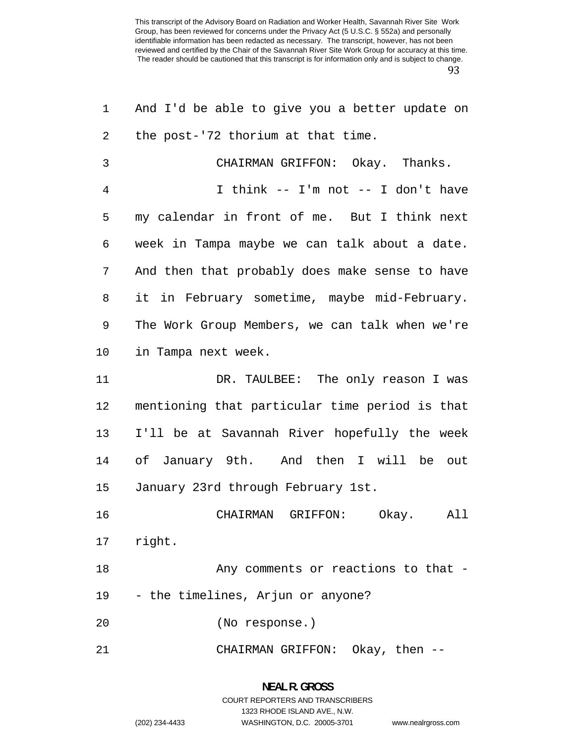| $\mathbf{1}$ | And I'd be able to give you a better update on |
|--------------|------------------------------------------------|
| 2            | the post-'72 thorium at that time.             |
| 3            | CHAIRMAN GRIFFON: Okay. Thanks.                |
| 4            | I think -- I'm not -- I don't have             |
| 5            | my calendar in front of me. But I think next   |
| 6            | week in Tampa maybe we can talk about a date.  |
| 7            | And then that probably does make sense to have |
| 8            | it in February sometime, maybe mid-February.   |
| 9            | The Work Group Members, we can talk when we're |
| 10           | in Tampa next week.                            |
| 11           | DR. TAULBEE: The only reason I was             |
| 12           | mentioning that particular time period is that |
| 13           | I'll be at Savannah River hopefully the week   |
| 14           | of January 9th. And then I will be out         |
| 15           | January 23rd through February 1st.             |
| 16           | CHAIRMAN GRIFFON:<br>Okay.<br>All              |
| 17           | right.                                         |
| 18           | Any comments or reactions to that -            |
| 19           | - the timelines, Arjun or anyone?              |
| 20           | (No response.)                                 |
| 21           | CHAIRMAN GRIFFON: Okay, then --                |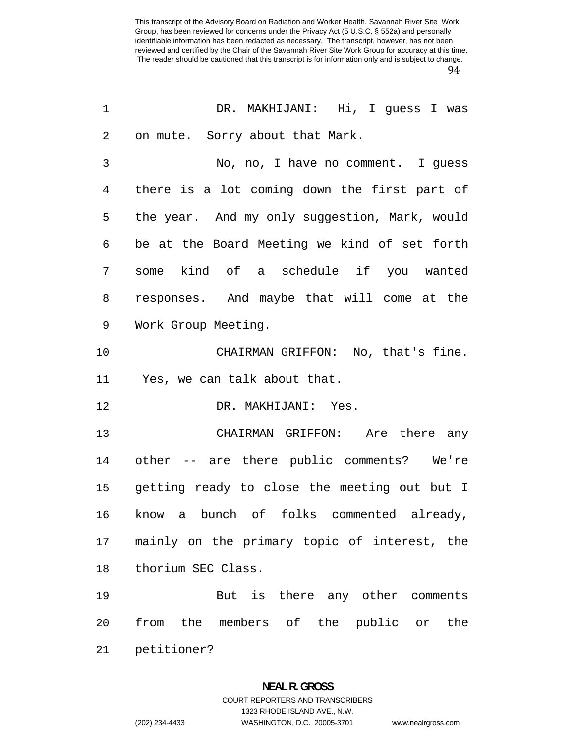| $\mathbf 1$ | DR. MAKHIJANI: Hi, I quess I was              |
|-------------|-----------------------------------------------|
| 2           | on mute. Sorry about that Mark.               |
| 3           | No, no, I have no comment. I guess            |
| 4           | there is a lot coming down the first part of  |
| 5           | the year. And my only suggestion, Mark, would |
| 6           | be at the Board Meeting we kind of set forth  |
| 7           | some kind of a schedule if you wanted         |
| 8           | responses. And maybe that will come at the    |
| 9           | Work Group Meeting.                           |
| 10          | CHAIRMAN GRIFFON: No, that's fine.            |
| 11          | Yes, we can talk about that.                  |
| 12          | DR. MAKHIJANI: Yes.                           |
| 13          | CHAIRMAN GRIFFON: Are there any               |
| 14          | other -- are there public comments? We're     |
| 15          | getting ready to close the meeting out but I  |
| 16          | know a bunch of folks commented already,      |
| 17          | mainly on the primary topic of interest, the  |
| 18          | thorium SEC Class.                            |
| 19          | But is there any other comments               |
| 20          | from the members of the public or the         |
| 21          | petitioner?                                   |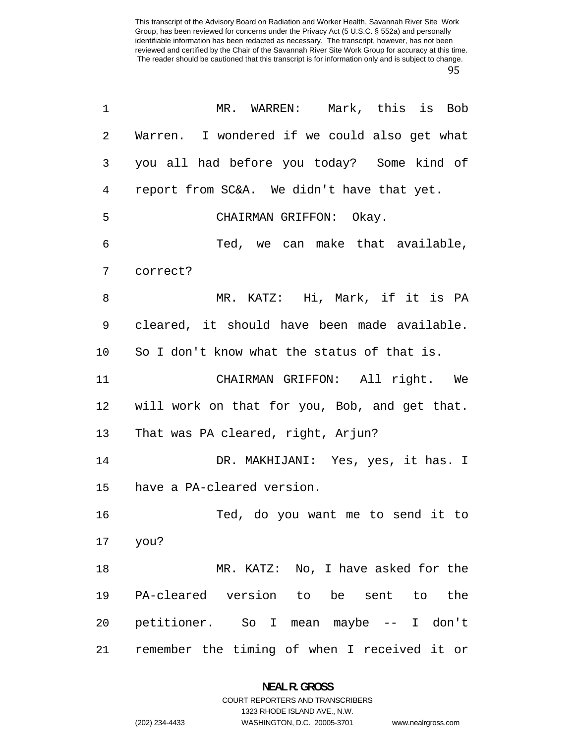| $\mathbf 1$    | MR. WARREN: Mark, this is Bob                 |
|----------------|-----------------------------------------------|
| 2              | Warren. I wondered if we could also get what  |
| 3              | you all had before you today? Some kind of    |
| $\overline{4}$ | report from SC&A. We didn't have that yet.    |
| 5              | CHAIRMAN GRIFFON: Okay.                       |
| $\epsilon$     | Ted, we can make that available,              |
| 7              | correct?                                      |
| 8              | MR. KATZ: Hi, Mark, if it is PA               |
| 9              | cleared, it should have been made available.  |
| 10             | So I don't know what the status of that is.   |
| 11             | CHAIRMAN GRIFFON: All right. We               |
| 12             | will work on that for you, Bob, and get that. |
| 13             | That was PA cleared, right, Arjun?            |
| 14             | DR. MAKHIJANI: Yes, yes, it has. I            |
| 15             | have a PA-cleared version.                    |
| 16             | Ted, do you want me to send it to             |
| 17             | you?                                          |
| 18             | MR. KATZ: No, I have asked for the            |
| 19             | PA-cleared version to be sent to the          |
| 20             | petitioner. So I mean maybe -- I don't        |
| 21             | remember the timing of when I received it or  |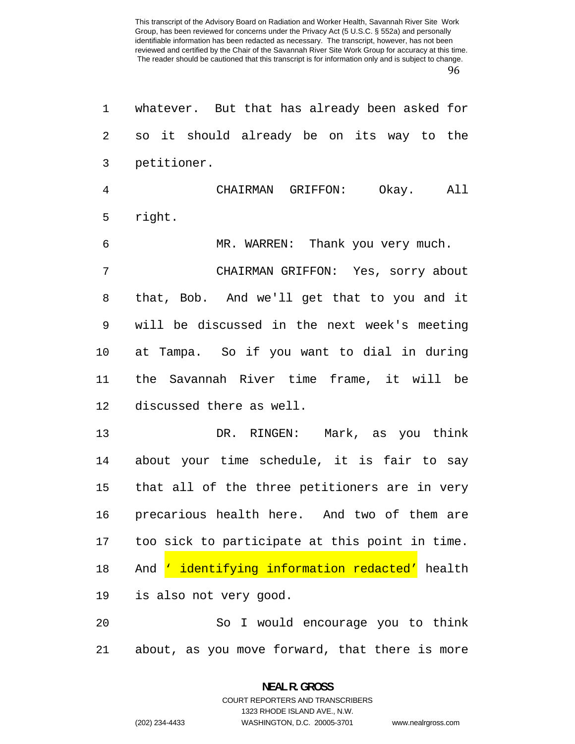| 1  | whatever. But that has already been asked for         |
|----|-------------------------------------------------------|
| 2  | so it should already be on its way to the             |
| 3  | petitioner.                                           |
| 4  | CHAIRMAN GRIFFON:<br>Okay. All                        |
| 5  | right.                                                |
| 6  | MR. WARREN: Thank you very much.                      |
| 7  | CHAIRMAN GRIFFON: Yes, sorry about                    |
| 8  | that, Bob. And we'll get that to you and it           |
| 9  | will be discussed in the next week's meeting          |
| 10 | at Tampa. So if you want to dial in during            |
| 11 | the Savannah River time frame, it will be             |
| 12 | discussed there as well.                              |
| 13 | DR. RINGEN: Mark, as you think                        |
| 14 | about your time schedule, it is fair to say           |
| 15 | that all of the three petitioners are in very         |
| 16 | precarious health here. And two of them are           |
| 17 | too sick to participate at this point in time.        |
| 18 | And <u>' identifying information redacted'</u> health |
| 19 | is also not very good.                                |
| 20 | So I would encourage you to think                     |
| 21 | about, as you move forward, that there is more        |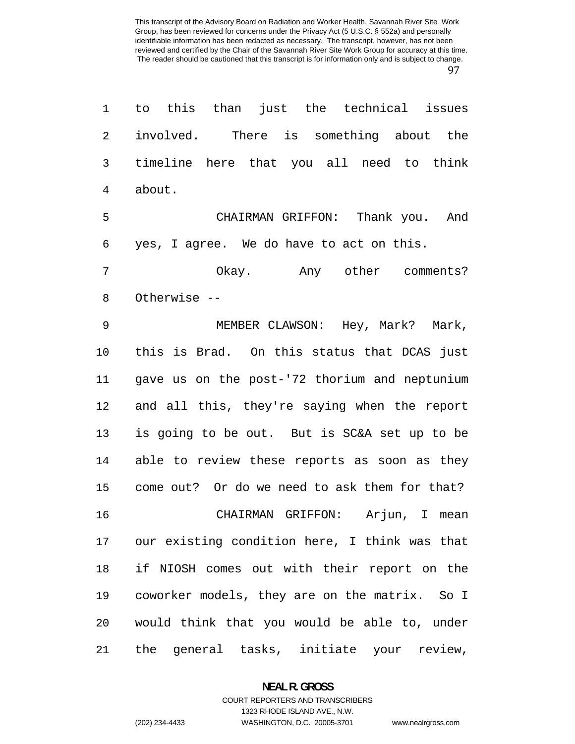| $\mathbf 1$    | to this than just the technical issues           |
|----------------|--------------------------------------------------|
| $\overline{2}$ | involved. There is something about the           |
| 3              | timeline here that you all need to think         |
| 4              | about.                                           |
| 5              | CHAIRMAN GRIFFON: Thank you. And                 |
| 6              | yes, I agree. We do have to act on this.         |
| 7              | Okay. Any other comments?                        |
| 8              | Otherwise --                                     |
| 9              | MEMBER CLAWSON: Hey, Mark? Mark,                 |
| 10             | this is Brad. On this status that DCAS just      |
| 11             | gave us on the post-'72 thorium and neptunium    |
| 12             | and all this, they're saying when the report     |
| 13             | is going to be out. But is SC&A set up to be     |
| 14             | able to review these reports as soon as they     |
| 15             | come out? Or do we need to ask them for that?    |
| 16             | CHAIRMAN GRIFFON: Arjun, I mean                  |
|                | 17 our existing condition here, I think was that |
| 18             | if NIOSH comes out with their report on the      |
| 19             | coworker models, they are on the matrix. So I    |
| 20             | would think that you would be able to, under     |
| 21             | the general tasks, initiate your review,         |

**NEAL R. GROSS**  COURT REPORTERS AND TRANSCRIBERS

1323 RHODE ISLAND AVE., N.W.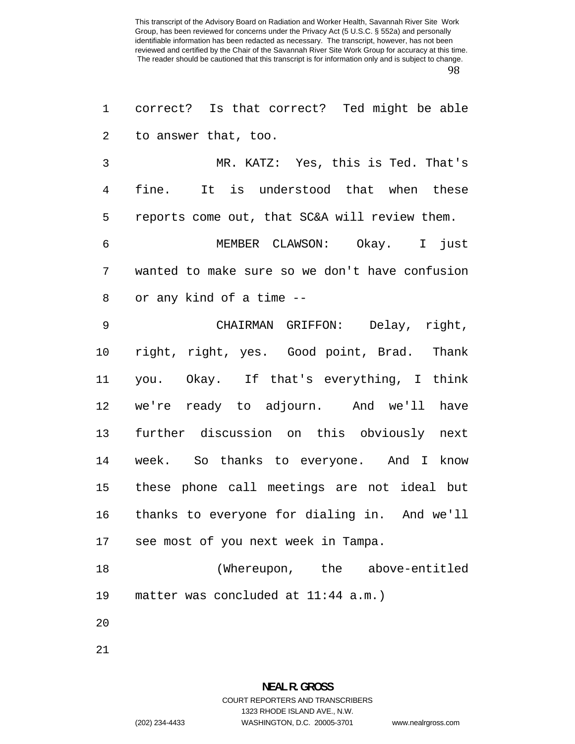correct? Is that correct? Ted might be able to answer that, too.

MR. KATZ: Yes, this is Ted. That's fine. It is understood that when these reports come out, that SC&A will review them.

MEMBER CLAWSON: Okay. I just wanted to make sure so we don't have confusion or any kind of a time --

CHAIRMAN GRIFFON: Delay, right, right, right, yes. Good point, Brad. Thank you. Okay. If that's everything, I think we're ready to adjourn. And we'll have further discussion on this obviously next week. So thanks to everyone. And I know these phone call meetings are not ideal but thanks to everyone for dialing in. And we'll see most of you next week in Tampa.

(Whereupon, the above-entitled matter was concluded at 11:44 a.m.)

- 
-